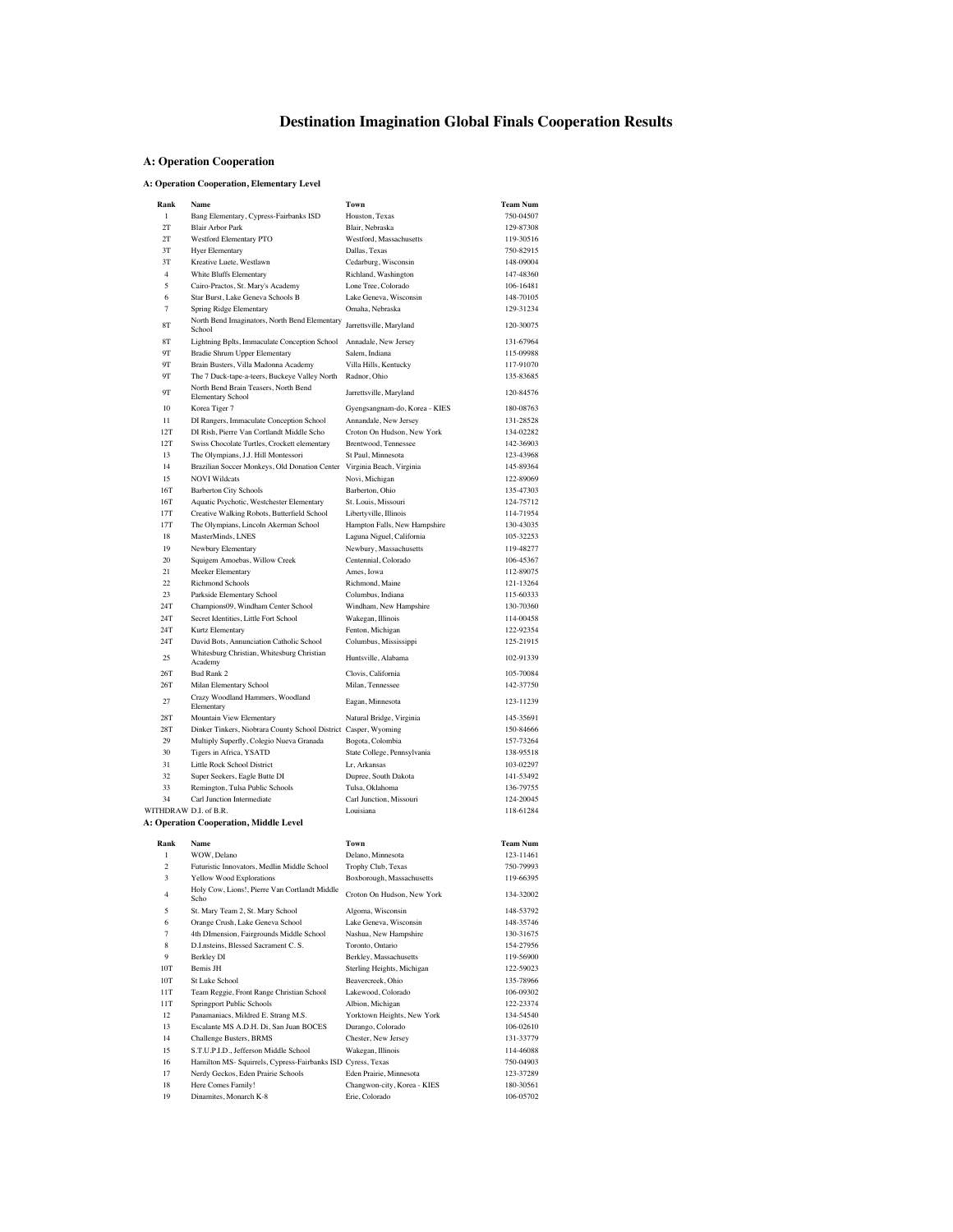## **Destination Imagination Global Finals Cooperation Results**

#### **A: Operation Cooperation**

#### **A: Operation Cooperation, Elementary Level**

| Rank                  | Name                                                                                     | Town                                            | <b>Team Num</b>        |
|-----------------------|------------------------------------------------------------------------------------------|-------------------------------------------------|------------------------|
| $\mathbf{1}$          | Bang Elementary, Cypress-Fairbanks ISD                                                   | Houston, Texas                                  | 750-04507              |
| 2T                    | <b>Blair Arbor Park</b>                                                                  | Blair, Nebraska                                 | 129-87308              |
| 2T                    | Westford Elementary PTO                                                                  | Westford, Massachusetts                         | 119-30516              |
| 3T                    | <b>Hyer Elementary</b>                                                                   | Dallas, Texas                                   | 750-82915              |
| 3T                    | Kreative Luete, Westlawn                                                                 | Cedarburg, Wisconsin                            | 148-09004              |
| $\overline{4}$        | White Bluffs Elementary                                                                  | Richland, Washington                            | 147-48360              |
| 5                     | Cairo-Practos, St. Mary's Academy                                                        | Lone Tree, Colorado                             | 106-16481              |
| 6                     | Star Burst, Lake Geneva Schools B                                                        | Lake Geneva, Wisconsin                          | 148-70105              |
| $\overline{7}$        | Spring Ridge Elementary                                                                  | Omaha, Nebraska                                 | 129-31234              |
| 8T<br>8T              | North Bend Imaginators, North Bend Elementary<br>School                                  | Jarrettsville, Maryland                         | 120-30075<br>131-67964 |
| 9Τ                    | Lightning Bplts, Immaculate Conception School<br>Bradie Shrum Upper Elementary           | Annadale, New Jersey<br>Salem, Indiana          | 115-09988              |
| 9Τ                    | Brain Busters, Villa Madonna Academy                                                     | Villa Hills, Kentucky                           | 117-91070              |
| 9Τ                    | The 7 Duck-tape-a-teers, Buckeye Valley North                                            | Radnor, Ohio                                    | 135-83685              |
| 9Τ                    | North Bend Brain Teasers, North Bend<br><b>Elementary School</b>                         | Jarrettsville, Maryland                         | 120-84576              |
| 10                    | Korea Tiger 7                                                                            | Gyengsangnam-do, Korea - KIES                   | 180-08763              |
| 11                    | DI Rangers, Immaculate Conception School                                                 | Annandale, New Jersey                           | 131-28528              |
| 12T                   | DI Rish, Pierre Van Cortlandt Middle Scho                                                | Croton On Hudson, New York                      | 134-02282              |
| 12T                   | Swiss Chocolate Turtles, Crockett elementary                                             | Brentwood, Tennessee                            | 142-36903              |
| 13                    | The Olympians, J.J. Hill Montessori                                                      | St Paul, Minnesota                              | 123-43968              |
| 14                    | Brazilian Soccer Monkeys, Old Donation Center                                            | Virginia Beach, Virginia                        | 145-89364              |
| 15                    | <b>NOVI Wildcats</b>                                                                     | Novi, Michigan                                  | 122-89069              |
| 16T                   | <b>Barberton City Schools</b>                                                            | Barberton, Ohio                                 | 135-47303<br>124-75712 |
| 16T<br>17T            | Aquatic Psychotic, Westchester Elementary<br>Creative Walking Robots, Butterfield School | St. Louis, Missouri<br>Libertyville, Illinois   | 114-71954              |
| 17T                   | The Olympians, Lincoln Akerman School                                                    | Hampton Falls, New Hampshire                    | 130-43035              |
| 18                    | MasterMinds, LNES                                                                        | Laguna Niguel, California                       | 105-32253              |
| 19                    | Newbury Elementary                                                                       | Newbury, Massachusetts                          | 119-48277              |
| 20                    | Squigem Amoebas, Willow Creek                                                            | Centennial, Colorado                            | 106-45367              |
| 21                    | Meeker Elementary                                                                        | Ames, Iowa                                      | 112-89075              |
| 22                    | <b>Richmond Schools</b>                                                                  | Richmond, Maine                                 | 121-13264              |
| 23                    | Parkside Elementary School                                                               | Columbus, Indiana                               | 115-60333              |
| 24T                   | Champions09, Windham Center School                                                       | Windham, New Hampshire                          | 130-70360              |
| 24T                   | Secret Identities, Little Fort School                                                    | Wakegan, Illinois                               | 114-00458              |
| 24T                   | Kurtz Elementary                                                                         | Fenton, Michigan                                | 122-92354              |
| 24T                   | David Bots, Annunciation Catholic School<br>Whitesburg Christian, Whitesburg Christian   | Columbus, Mississippi                           | 125-21915              |
| 25                    | Academy                                                                                  | Huntsville, Alabama                             | 102-91339              |
| 26T                   | Bud Rank 2                                                                               | Clovis, California                              | 105-70084              |
| 26T                   | Milan Elementary School                                                                  | Milan, Tennessee                                | 142-37750              |
| 27                    | Crazy Woodland Hammers, Woodland<br>Elementary                                           | Eagan, Minnesota                                | 123-11239              |
| 28T                   | Mountain View Elementary                                                                 | Natural Bridge, Virginia                        | 145-35691              |
| 28T                   | Dinker Tinkers, Niobrara County School District Casper, Wyoming                          |                                                 | 150-84666              |
| 29                    | Multiply Superfly, Colegio Nueva Granada                                                 | Bogota, Colombia                                | 157-73264              |
| 30<br>31              | Tigers in Africa, YSATD                                                                  | State College, Pennsylvania                     | 138-95518              |
| 32                    | Little Rock School District<br>Super Seekers, Eagle Butte DI                             | Lr, Arkansas<br>Dupree, South Dakota            | 103-02297<br>141-53492 |
| 33                    | Remington, Tulsa Public Schools                                                          | Tulsa, Oklahoma                                 | 136-79755              |
| 34                    | Carl Junction Intermediate                                                               | Carl Junction, Missouri                         | 124-20045              |
| WITHDRAW D.I. of B.R. |                                                                                          | Louisiana                                       | 118-61284              |
|                       | A: Operation Cooperation, Middle Level                                                   |                                                 |                        |
| Rank                  | Name                                                                                     | Town                                            | <b>Team Num</b>        |
| 1                     | WOW, Delano                                                                              | Delano, Minnesota                               | 123-11461              |
| $\overline{c}$        | Futuristic Innovators, Medlin Middle School                                              | Trophy Club, Texas                              | 750-79993              |
| 3                     | Yellow Wood Explorations                                                                 | Boxborough, Massachusetts                       | 119-66395              |
| 4                     | Holy Cow, Lions!, Pierre Van Cortlandt Middle<br>Scho                                    | Croton On Hudson, New York                      | 134-32002              |
| 5                     | St. Mary Team 2, St. Mary School                                                         | Algoma, Wisconsin                               | 148-53792              |
| 6                     | Orange Crush, Lake Geneva School                                                         | Lake Geneva, Wisconsin                          | 148-35746              |
| 7                     | 4th DImension, Fairgrounds Middle School                                                 | Nashua, New Hampshire                           | 130-31675              |
| 8                     | D.I.nsteins, Blessed Sacrament C.S.                                                      | Toronto, Ontario                                | 154-27956              |
| 9<br>10T              | <b>Berkley DI</b><br>Bemis JH                                                            | Berkley, Massachusetts                          | 119-56900<br>122-59023 |
| 10T                   | St Luke School                                                                           | Sterling Heights, Michigan<br>Beavercreek, Ohio | 135-78966              |
| 11T                   | Team Reggie, Front Range Christian School                                                | Lakewood, Colorado                              | 106-09302              |
| 11T                   | Springport Public Schools                                                                | Albion, Michigan                                | 122-23374              |
| 12                    | Panamaniacs, Mildred E. Strang M.S.                                                      | Yorktown Heights, New York                      | 134-54540              |
| 13                    | Escalante MS A.D.H. Di, San Juan BOCES                                                   | Durango, Colorado                               | 106-02610              |
| 14                    | Challenge Busters, BRMS                                                                  | Chester, New Jersey                             | 131-33779              |
| 15                    | S.T.U.P.I.D., Jefferson Middle School                                                    | Wakegan, Illinois                               | 114-46088              |
| 16                    | Hamilton MS- Squirrels, Cypress-Fairbanks ISD Cyress, Texas                              |                                                 | 750-04903              |
| 17                    | Nerdy Geckos, Eden Prairie Schools                                                       | Eden Prairie, Minnesota                         | 123-37289              |
| 18                    | Here Comes Family!                                                                       | Changwon-city, Korea - KIES                     | 180-30561              |
| 19                    | Dinamites, Monarch K-8                                                                   | Erie, Colorado                                  | 106-05702              |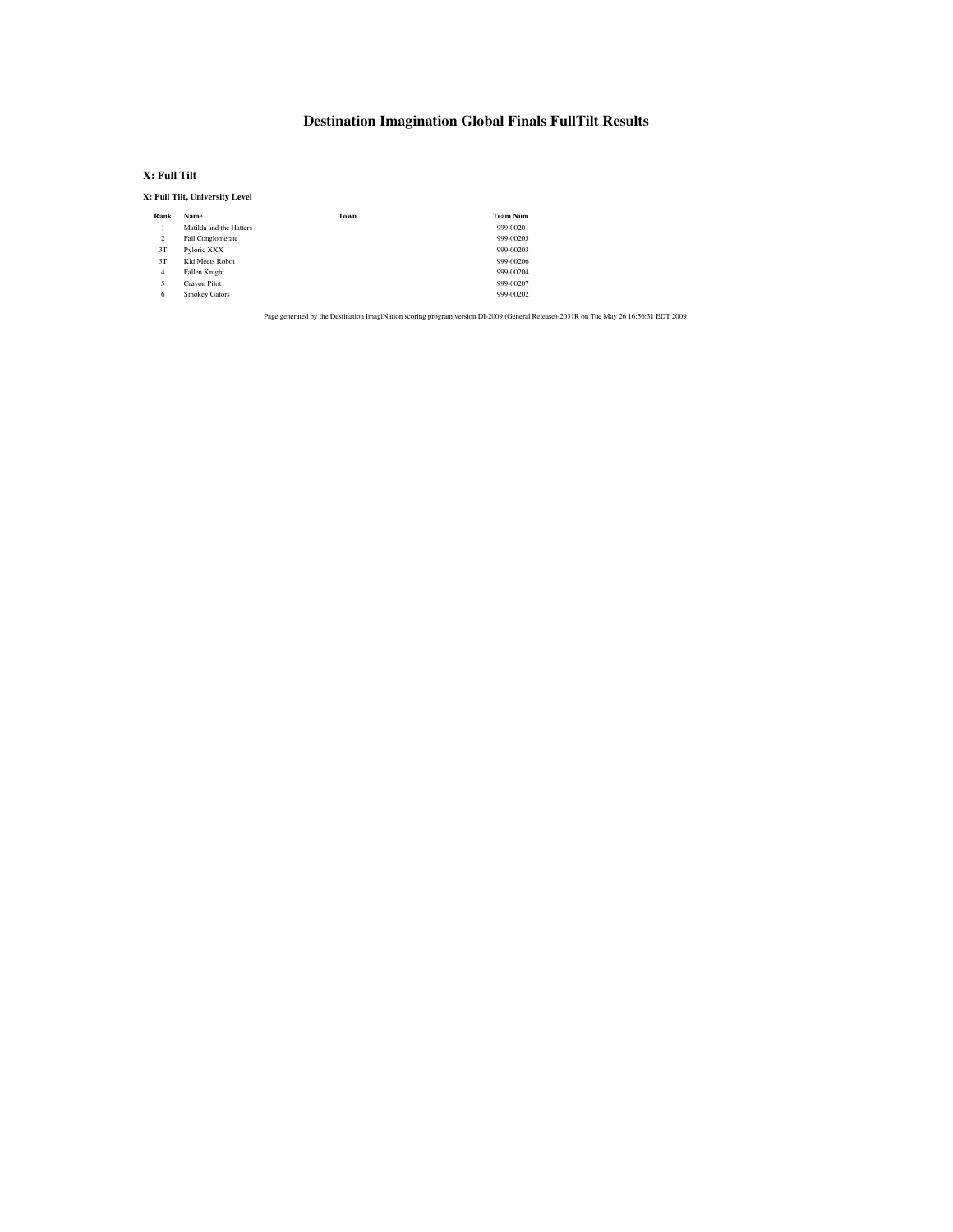### **Destination Imagination Global Finals FullTilt Results**

#### **X: Full Tilt**

#### **X: Full Tilt, University Level**

| <b>Name</b>             | Town | <b>Team Num</b> |
|-------------------------|------|-----------------|
| Matilda and the Hatters |      | 999-00201       |
| Fail Conglomerate       |      | 999-00205       |
| Pyloric XXX             |      | 999-00203       |
| Kid Meets Robot         |      | 999-00206       |
| Fallen Knight           |      | 999-00204       |
| Crayon Pilot            |      | 999-00207       |
| Smokey Gators           |      | 999-00202       |
|                         |      |                 |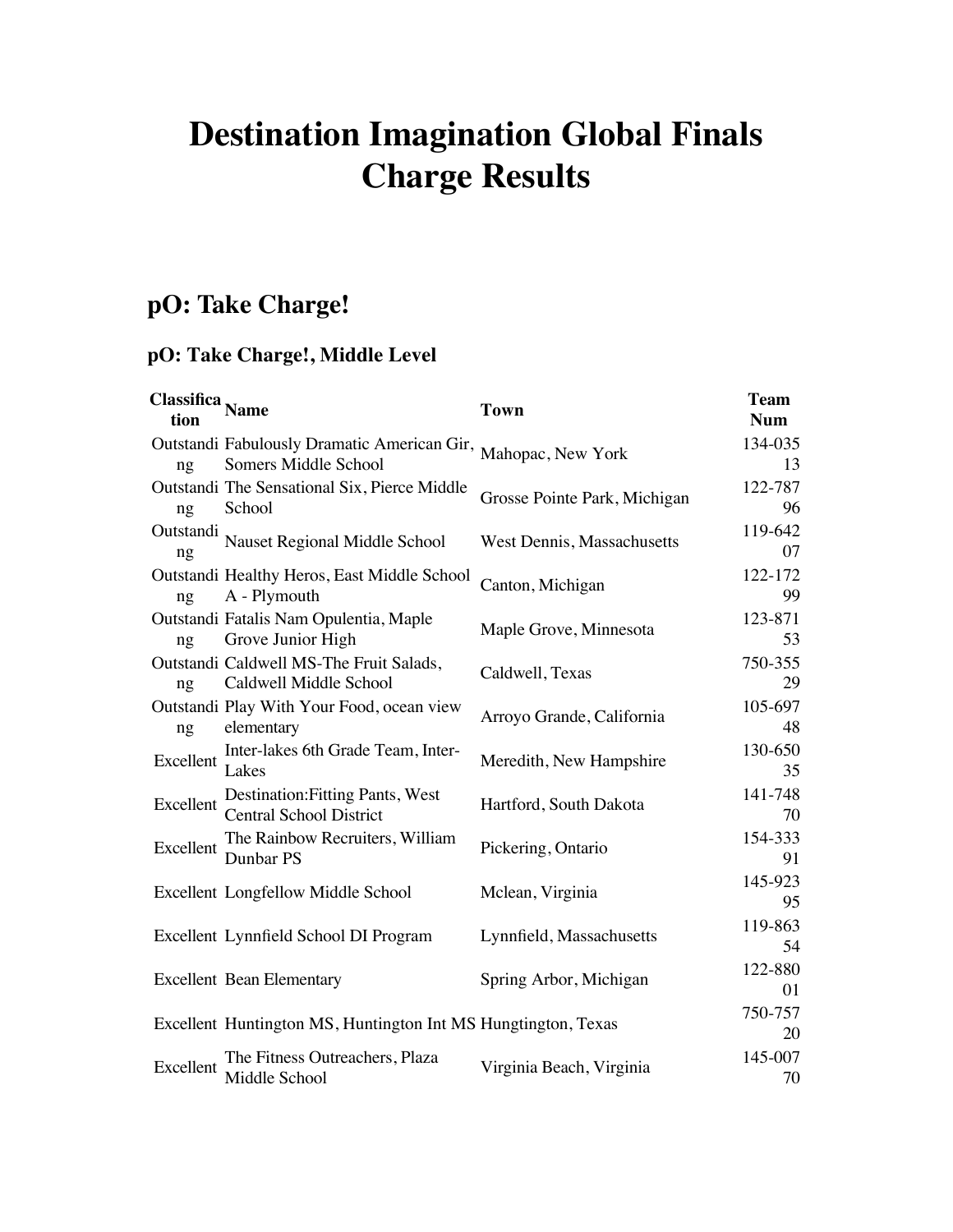# **Destination Imagination Global Finals Charge Results**

# **pO: Take Charge!**

# **pO: Take Charge!, Middle Level**

| <b>Classitica</b> Name<br>tion |                                                                     | <b>Town</b>                  | <b>Team</b><br><b>Num</b> |
|--------------------------------|---------------------------------------------------------------------|------------------------------|---------------------------|
| ng                             | Outstandi Fabulously Dramatic American Gir,<br>Somers Middle School | Mahopac, New York            | 134-035<br>13             |
| ng                             | Outstandi The Sensational Six, Pierce Middle<br>School              | Grosse Pointe Park, Michigan | 122-787<br>96             |
| Outstandi<br>ng                | Nauset Regional Middle School                                       | West Dennis, Massachusetts   | 119-642<br>07             |
| ng                             | Outstandi Healthy Heros, East Middle School<br>A - Plymouth         | Canton, Michigan             | 122-172<br>99             |
| ng                             | Outstandi Fatalis Nam Opulentia, Maple<br>Grove Junior High         | Maple Grove, Minnesota       | 123-871<br>53             |
| ng                             | Outstandi Caldwell MS-The Fruit Salads,<br>Caldwell Middle School   | Caldwell, Texas              | 750-355<br>29             |
| ng                             | Outstandi Play With Your Food, ocean view<br>elementary             | Arroyo Grande, California    | 105-697<br>48             |
| Excellent                      | Inter-lakes 6th Grade Team, Inter-<br>Lakes                         | Meredith, New Hampshire      | 130-650<br>35             |
| Excellent                      | Destination: Fitting Pants, West<br><b>Central School District</b>  | Hartford, South Dakota       | 141-748<br>70             |
| Excellent                      | The Rainbow Recruiters, William<br>Dunbar PS                        | Pickering, Ontario           | 154-333<br>91             |
|                                | Excellent Longfellow Middle School                                  | Mclean, Virginia             | 145-923<br>95             |
|                                | Excellent Lynnfield School DI Program                               | Lynnfield, Massachusetts     | 119-863<br>54             |
|                                | <b>Excellent Bean Elementary</b>                                    | Spring Arbor, Michigan       | 122-880<br>01             |
|                                | Excellent Huntington MS, Huntington Int MS Hungtington, Texas       |                              | 750-757<br>20             |
| Excellent                      | The Fitness Outreachers, Plaza<br>Middle School                     | Virginia Beach, Virginia     | 145-007<br>70             |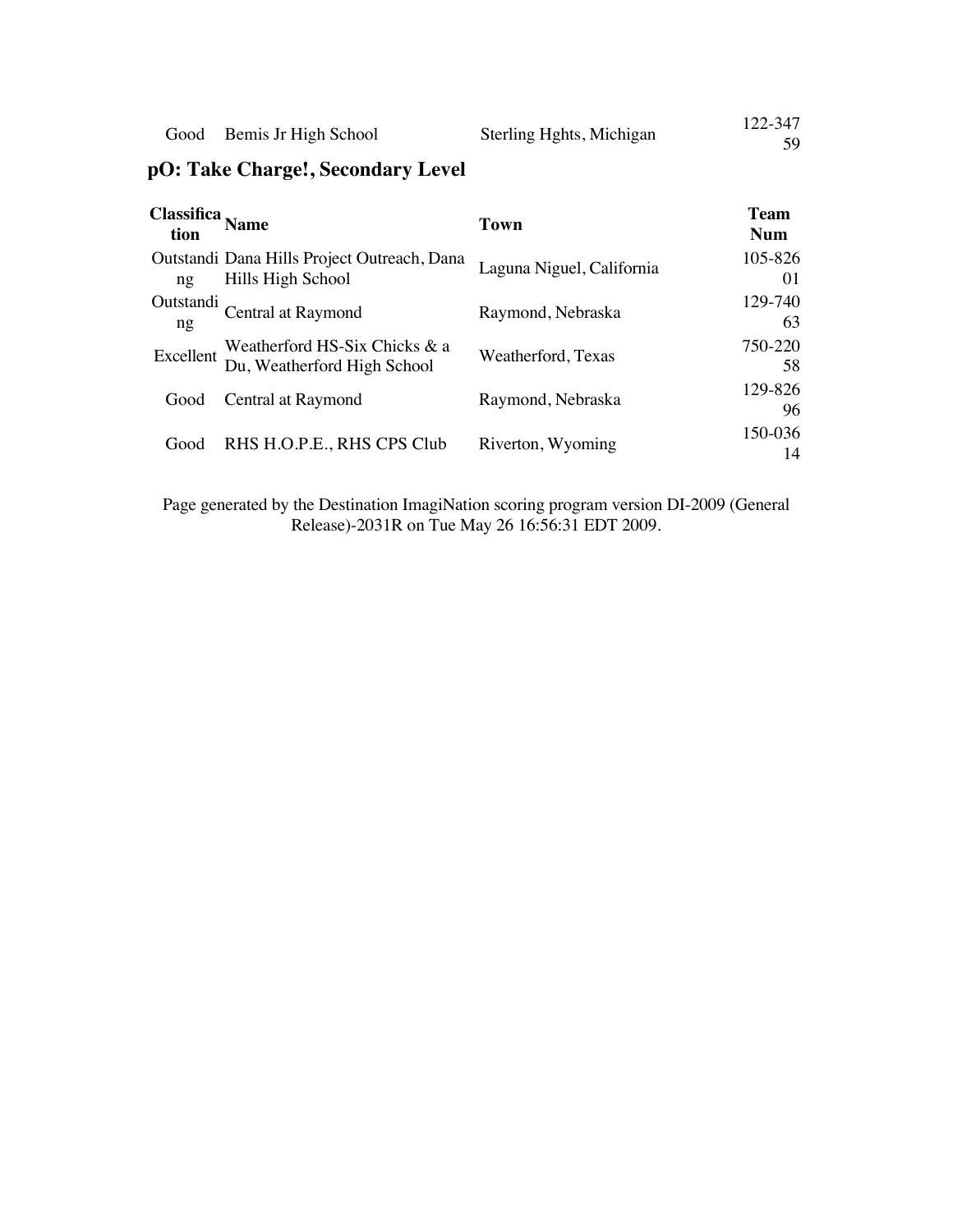| Sterling Hghts, Michigan  | 122-347 |
|---------------------------|---------|
| Good Bemis Jr High School | 59      |

# **pO: Take Charge!, Secondary Level**

| Classitica <sub>Name</sub><br>tion |                                                                  | Town                      | <b>Team</b><br><b>Num</b> |
|------------------------------------|------------------------------------------------------------------|---------------------------|---------------------------|
| $n_{\mathfrak{L}}$                 | Outstandi Dana Hills Project Outreach, Dana<br>Hills High School | Laguna Niguel, California | 105-826<br>01             |
| Outstandi<br>ng                    | Central at Raymond                                               | Raymond, Nebraska         | 129-740<br>63             |
| Excellent                          | Weatherford HS-Six Chicks & a<br>Du, Weatherford High School     | Weatherford, Texas        | 750-220<br>58             |
| Good                               | Central at Raymond                                               | Raymond, Nebraska         | 129-826<br>96             |
| Good                               | RHS H.O.P.E., RHS CPS Club                                       | Riverton, Wyoming         | 150-036<br>14             |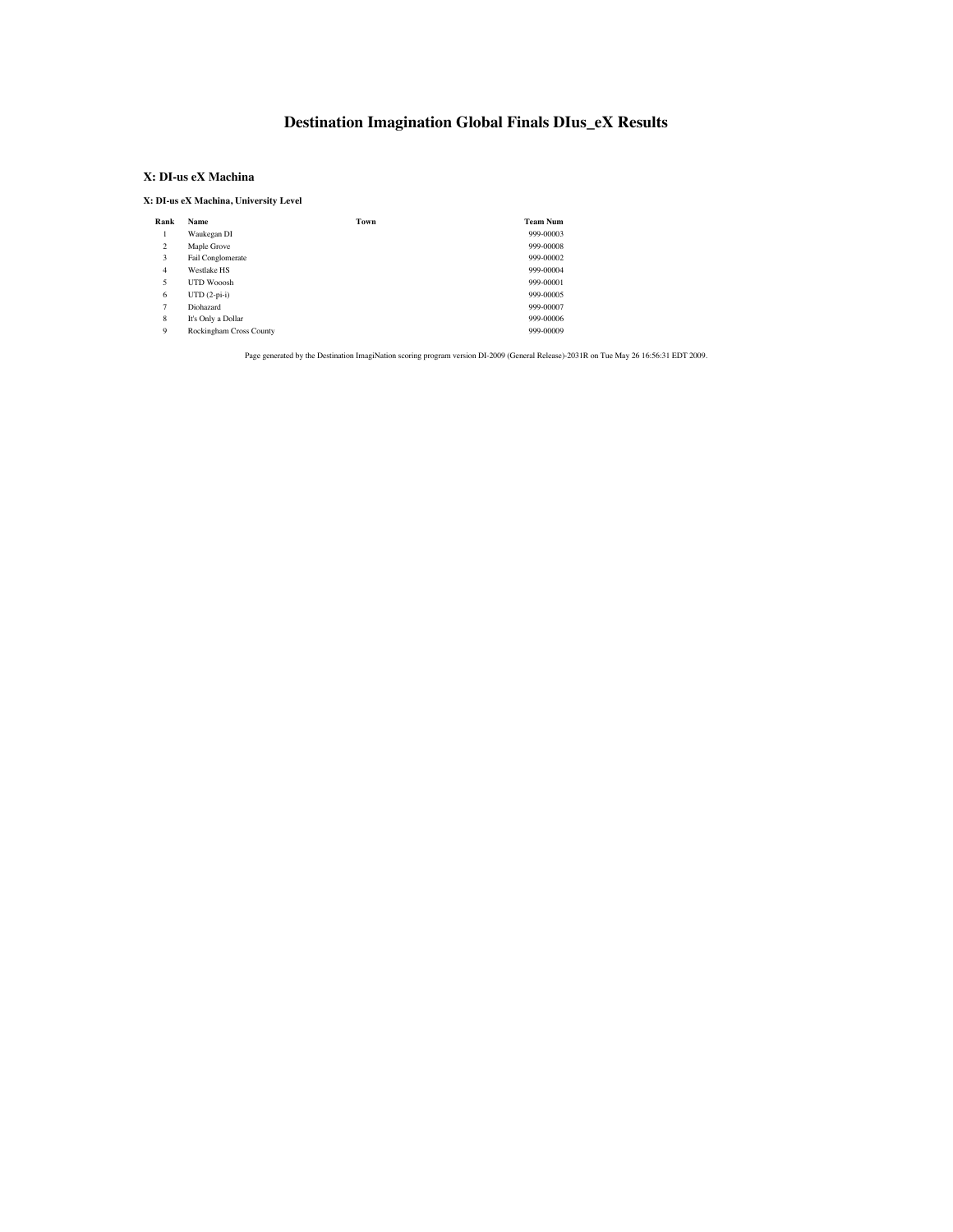## **Destination Imagination Global Finals DIus\_eX Results**

### **X: DI-us eX Machina**

**X: DI-us eX Machina, University Level**

| Rank           | <b>Name</b>             | Town | <b>Team Num</b> |
|----------------|-------------------------|------|-----------------|
|                | Waukegan DI             |      | 999-00003       |
| 2              | Maple Grove             |      | 999-00008       |
| 3              | Fail Conglomerate       |      | 999-00002       |
| 4              | <b>Westlake HS</b>      |      | 999-00004       |
| 5              | UTD Wooosh              |      | 999-00001       |
| 6              | $UTD (2-pi-i)$          |      | 999-00005       |
| $\overline{7}$ | Diohazard               |      | 999-00007       |
| 8              | It's Only a Dollar      |      | 999-00006       |
| 9              | Rockingham Cross County |      | 999-00009       |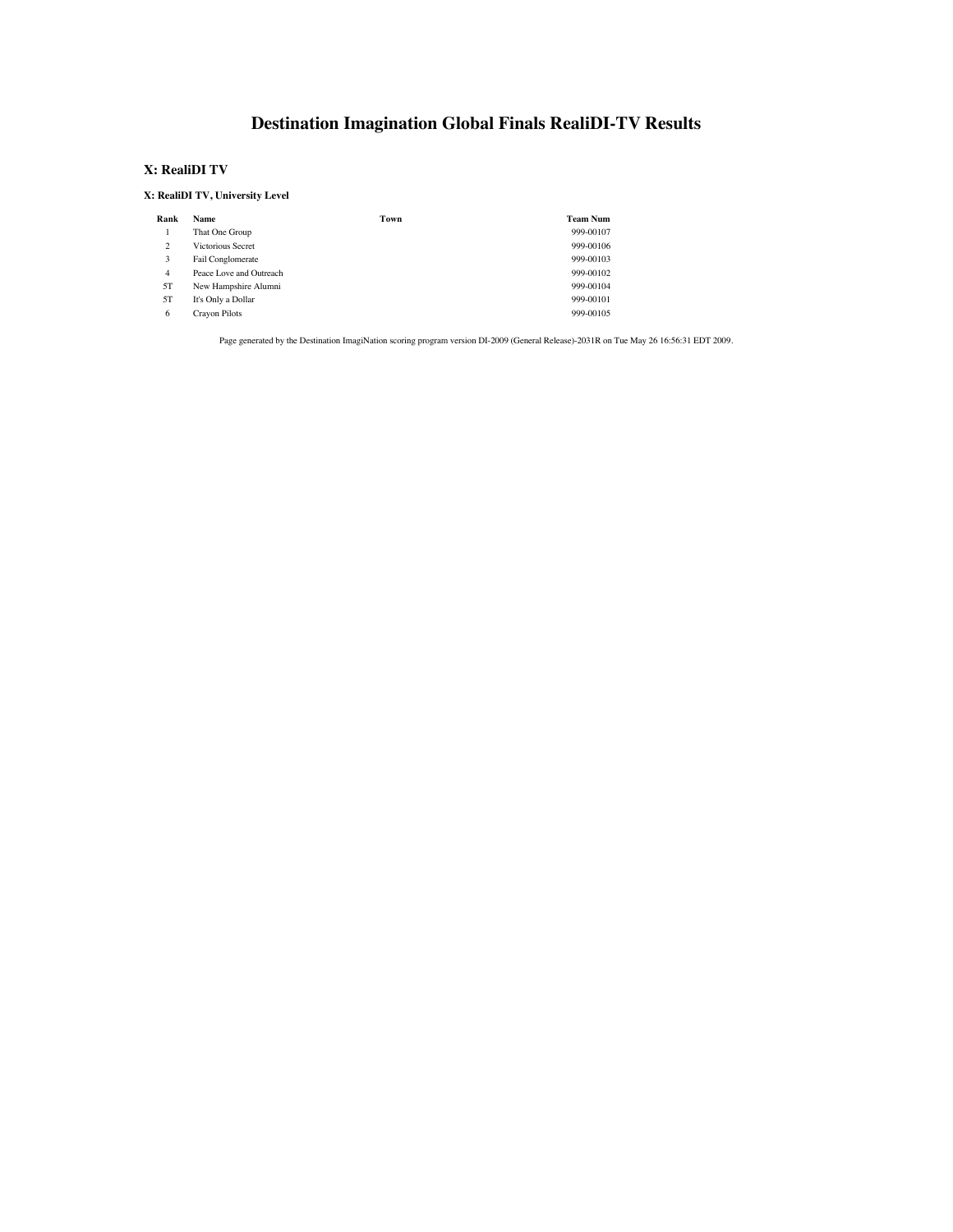# **Destination Imagination Global Finals RealiDI-TV Results**

#### **X: RealiDI TV**

#### **X: RealiDI TV, University Level**

| Rank           | Name                     | Town | <b>Team Num</b> |
|----------------|--------------------------|------|-----------------|
|                | That One Group           |      | 999-00107       |
| $\overline{c}$ | <b>Victorious Secret</b> |      | 999-00106       |
| 3              | Fail Conglomerate        |      | 999-00103       |
| 4              | Peace Love and Outreach  |      | 999-00102       |
| 5T             | New Hampshire Alumni     |      | 999-00104       |
| 5T             | It's Only a Dollar       |      | 999-00101       |
| 6              | Crayon Pilots            |      | 999-00105       |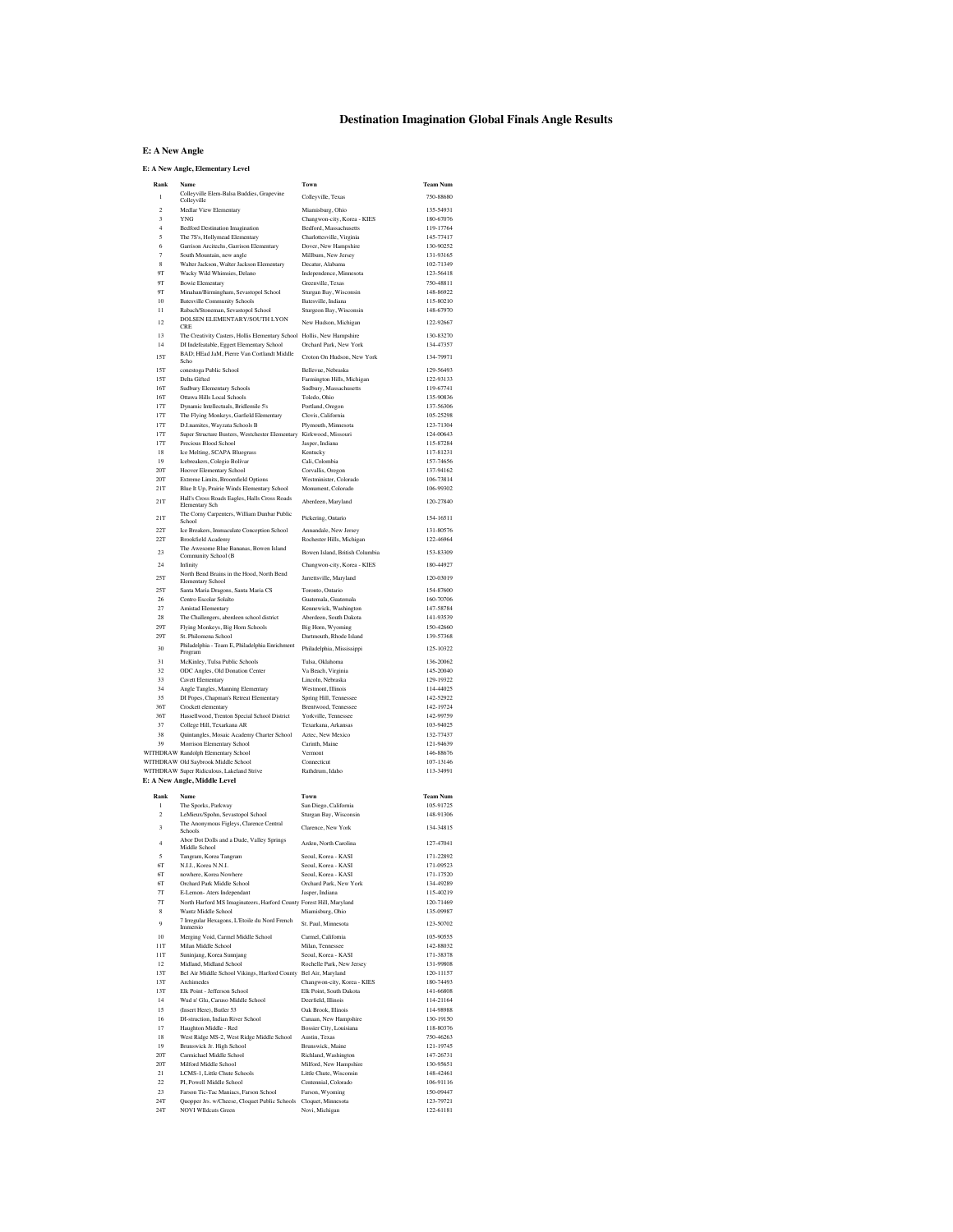### **Destination Imagination Global Finals Angle Results**

#### **E: A New Angle**

#### **E: A New Angle, Elementary Level**

| Rank                                      | Name<br>Colleyville Elem-Balsa Buddies, Grapevine                                              | Town                                                  | <b>Team Num</b>        |
|-------------------------------------------|------------------------------------------------------------------------------------------------|-------------------------------------------------------|------------------------|
| 1                                         | Collevville                                                                                    | Colleyville, Texas                                    | 750-88680              |
| $\overline{2}$                            | Medlar View Elementary                                                                         | Miamisburg, Ohio                                      | 135-54931              |
| $\overline{\mathbf{3}}$<br>$\overline{4}$ | <b>YNG</b><br><b>Bedford Destination Imagination</b>                                           | Changwon-city, Korea - KIES<br>Bedford, Massachusetts | 180-67076<br>119-17764 |
| 5                                         | The 7S's, Hollymead Elementary                                                                 | Charlottesville, Virginia                             | 145-77417              |
| 6                                         | Garrison Arcitechs, Garrison Elementary                                                        | Dover, New Hampshire                                  | 130-90252              |
| 7                                         | South Mountain, new angle                                                                      | Millburn, New Jersey                                  | 131-93165              |
| $\mathbf{8}$<br><b>OT</b>                 | Walter Jackson, Walter Jackson Elementary                                                      | Decatur, Alabama                                      | 102-71349<br>123-56418 |
| <b>OT</b>                                 | Wacky Wild Whimsies, Delano<br><b>Bowie Elementary</b>                                         | Independence, Minnesota<br>Greenville, Texas          | 750.48811              |
| 9Т                                        | Minahan/Birmingham, Sevastopol School                                                          | Sturgan Bay, Wisconsin                                | 148-86922              |
| 10                                        | <b>Batesville Community Schools</b>                                                            | Batesville, Indiana                                   | 115-80210              |
| $^{11}$                                   | Rabach/Stoneman, Sevastopol School                                                             | Sturgeon Bay, Wisconsin                               | 148-67970              |
| 12                                        | DOLSEN ELEMENTARY/SOUTH LYON<br>CRE                                                            | New Hudson, Michigan                                  | 122-92667              |
| 13                                        | The Creativity Casters, Hollis Elementary School Hollis, New Hampshire                         |                                                       | 130-83270              |
| 14                                        | DI Indefeatable, Eggert Elementary School                                                      | Orchard Park, New York                                | 134-47357              |
| 15T                                       | BAD; HEad JaM, Pierre Van Cortlandt Middle<br>Scho                                             | Croton On Hudson, New York                            | 134-79971              |
| 15T                                       | conestoga Public School                                                                        | Bellevue, Nebraska                                    | 129-56493              |
| 15T                                       | Delta Gifted                                                                                   | Farmington Hills, Michigan                            | 122-93133              |
| 16T<br>16T                                | Sudbury Elementary Schools<br>Ottawa Hills Local Schools                                       | Sudbury, Massachusetts<br>Toledo, Ohio                | 119-67741<br>135-90836 |
| 17T                                       | Dynamic Intellectuals, Bridlemile 5's                                                          | Portland, Oregon                                      | 137-56306              |
| 17T                                       | The Flying Monkeys, Garfield Elementary                                                        | Clovis, California                                    | 105-25298              |
| 17T                                       | D.I.namites, Wayzata Schools B                                                                 | Plymouth, Minnesota                                   | 123-71304              |
| 17T<br>17T                                | Super Structure Busters, Westchester Elementary Kirkwood, Missouri<br>Precious Blood School    |                                                       | 124-00643<br>115-87284 |
| 18                                        | Ice Melting, SCAPA Bluegrass                                                                   | Jasper, Indiana<br>Kentucky                           | 117-81231              |
| 19                                        | Icebreakers, Colegio Bolívar                                                                   | Cali, Colombia                                        | 157-74656              |
| <b>20T</b>                                | Hoover Elementary School                                                                       | Corvallis, Oregon                                     | 137-94162              |
| <b>20T</b>                                | Extreme Limits, Broomfield Options                                                             | Westminister, Colorado                                | 106-73814              |
| 21T                                       | Blue It Up, Prairie Winds Elementary School<br>Hall's Cross Roads Eagles, Halls Cross Roads    | Monument, Colorado                                    | 106-99302              |
| 21T                                       | <b>Elementary Sch</b>                                                                          | Aberdeen, Maryland                                    | 120-27840              |
| 21T                                       | The Corny Carpenters, William Dunbar Public                                                    | Pickering, Ontario                                    | 154-16511              |
| 22T                                       | School<br>Ice Breakers, Immaculate Conception School                                           | Annandale, New Jersey                                 | 131-80576              |
| 22T                                       | <b>Brookfield Academy</b>                                                                      | Rochester Hills, Michigan                             | 122-46964              |
| 23                                        | The Awesome Blue Bananas, Bowen Island                                                         | Bowen Island, British Columbia                        | 153-83309              |
| 24                                        | Community School (B<br>Infinity                                                                | Changwon-city, Korea - KIES                           | 180-44927              |
|                                           | North Bend Brains in the Hood, North Bend                                                      |                                                       |                        |
| 25T                                       | Elementary School                                                                              | Jarrettsville, Maryland                               | 120-03019              |
| 25T                                       | Santa Maria Dragons, Santa Maria CS                                                            | Toronto, Ontario                                      | 154-87600              |
| 26<br>27                                  | Centro Escolar Solalto<br>Amistad Elementary                                                   | Guatemala Guatemala<br>Kennewick, Washington          | 160-70706<br>147-58784 |
| 28                                        | The Challengers, aberdeen school district                                                      | Aberdeen, South Dakota                                | 141-93539              |
| 29T                                       | Flying Monkeys, Big Horn Schools                                                               | Big Horn, Wyoming                                     | 150-42660              |
| 29T                                       | St. Philomena School                                                                           | Dartmouth, Rhode Island                               | 139-57368              |
| 30                                        | Philadelphia - Team E, Philadelphia Enrichment<br>Program                                      | Philadelphia, Mississippi                             | 125-10322              |
| 31                                        | McKinley, Tulsa Public Schools                                                                 | Tulsa, Oklahoma                                       | 136-20062              |
| 32                                        | ODC Angles, Old Donation Center                                                                | Va Beach, Virginia                                    | 145-20040              |
| 33                                        | Cavett Elementary                                                                              | Lincoln, Nebraska                                     | 129-19322              |
| 34<br>35                                  | Angle Tangles, Manning Elementary<br>DI Popes, Chapman's Retreat Elementary                    | Westmont, Illinois<br>Spring Hill, Tennessee          | 114-44025<br>142-52922 |
| 36T                                       | Crockett elementary                                                                            | Brentwood, Tennessee                                  | 142-19724              |
| 36T                                       | Hassellwood, Trenton Special School District                                                   | Yorkville, Tennessee                                  | 142-99759              |
| 37                                        | College Hill, Texarkana AR                                                                     | Texarkana, Arkansas                                   | 103-94025              |
| 38<br>39                                  | Quintangles, Mosaic Academy Charter School<br>Morrison Elementary School                       | Aztec, New Mexico<br>Carinth, Maine                   | 132-77437<br>121-94639 |
|                                           | WITHDRAW Randolph Elementary School                                                            | Vermont                                               | 146-88676              |
|                                           | WITHDRAW Old Saybrook Middle School                                                            | Connecticut                                           | 107-13146              |
|                                           | WITHDRAW Super Ridiculous, Lakeland Strive                                                     | Rathdrum, Idaho                                       | 113-34991              |
|                                           | E: A New Angle, Middle Level                                                                   |                                                       |                        |
| Rank                                      | Name                                                                                           | Town                                                  | <b>Team Num</b>        |
| I.                                        | The Sporks, Parkway                                                                            | San Diego, California                                 | 105-91725              |
| $\overline{2}$                            | LeMieux/Spohn, Sevastopol School                                                               | Sturgan Bay, Wisconsin                                | 148-91306              |
| 3                                         | The Anonymous Figleys, Clarence Central<br>Schools                                             | Clarence, New York                                    | 134-34815              |
| $\overline{4}$                            | Abor Dot Dolls and a Dude, Valley Springs                                                      | Arden, North Carolina                                 | 127-47041              |
|                                           | Middle School                                                                                  |                                                       |                        |
| 5<br>6T                                   | Tangram, Korea Tangram<br>N.I.I., Korea N.N.I.                                                 | Seoul, Korea - KASI<br>Seoul, Korea - KASI            | 171-22892<br>171-09523 |
| 6T                                        | nowhere, Korea Nowhere                                                                         | Seoul, Korea - KASI                                   | 171-17520              |
| 6T                                        | Orchard Park Middle School                                                                     | Orchard Park, New York                                | 134-49289              |
| 7 <sub>T</sub>                            | E-Lemon- Aters Independant                                                                     | Jasper, Indiana                                       | 115-40219              |
| $T\Gamma$<br>8                            | North Harford MS Imaginateers, Harford County Forest Hill, Maryland                            | Miamisburg, Ohio                                      | 120-71469              |
|                                           | Wantz Middle School<br>7 Irregular Hexagons, L'Etoile du Nord French                           |                                                       | 135-09987              |
| $\ddot{Q}$                                | Immersio                                                                                       | St. Paul, Minnesota                                   | 123-50702              |
| 10                                        | Merging Void, Carmel Middle School                                                             | Carmel, California                                    | 105-90555              |
| 11T<br>11T                                | Milan Middle School<br>Suninjang, Korea Sunnjang                                               | Milan. Tennessee<br>Seoul, Korea - KASI               | 142-88032<br>171-38378 |
| 12                                        | Midland, Midland School                                                                        | Rochelle Park, New Jersey                             | 131-99808              |
| 13T                                       | Bel Air Middle School Vikings, Harford County Bel Air, Maryland                                |                                                       | 120-11157              |
| 13T                                       | Archimedes                                                                                     | Changwon-city, Korea - KIES                           | 180-74493              |
| 13T<br>14                                 | Elk Point - Jefferson School<br>Wud n' Glu, Caruso Middle School                               | Elk Point, South Dakota                               | 141-66808<br>114-21164 |
| 15                                        | (Insert Here), Butler 53                                                                       | Deerfield, Illinois<br>Oak Brook, Illinois            | 114-98988              |
| 16                                        | DI-struction. Indian River School                                                              | Canaan, New Hampshire                                 | 130-19150              |
| 17                                        | Haughton Middle - Red                                                                          | Bossier City, Louisiana                               | 118-80376              |
| $18\,$                                    | West Ridge MS-2, West Ridge Middle School                                                      | Austin, Texas                                         | 750-46263              |
| 19<br>20T                                 | Brunswick Jr. High School<br>Carmichael Middle School                                          | Brunswick, Maine                                      | 121-19745<br>147-26731 |
| 20T                                       | Milford Middle School                                                                          | Richland, Washington<br>Milford, New Hampshire        | 130-95651              |
| 21                                        | LCMS-1. Little Chute Schools                                                                   | Little Chute, Wisconsin                               | 148-42461              |
| 22                                        | PI. Powell Middle School                                                                       | Centennial, Colorado                                  | 106-91116              |
| 23                                        | Farson Tic-Tac Maniacs, Farson School                                                          | Farson, Wyoming                                       | 150-09447              |
| 24T<br>$24\mathrm{T}$                     | Quopper Jrs. w/Cheese, Cloquet Public Schools Cloquet, Minnesota<br><b>NOVI WIldcats Green</b> | Novi, Michigan                                        | 123-79721<br>122-61181 |
|                                           |                                                                                                |                                                       |                        |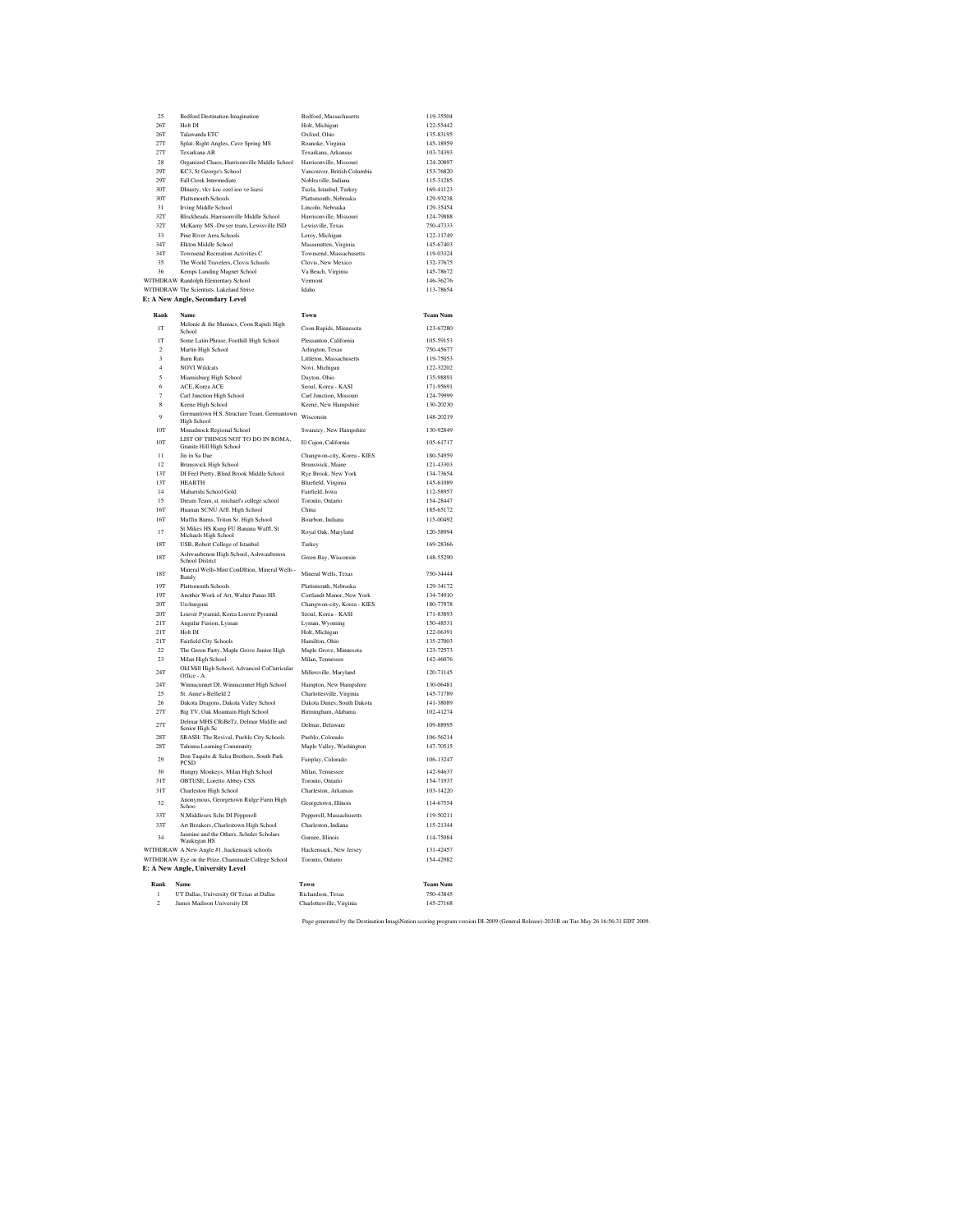| 25                       | <b>Bedford Destination Imagination</b>                               | Bedford, Massachusetts      | 119-35504       |
|--------------------------|----------------------------------------------------------------------|-----------------------------|-----------------|
| 26T                      | Holt DI                                                              | Holt, Michigan              | 122-55442       |
| 26T                      | Talawanda ETC                                                        | Oxford, Ohio                | 135-83195       |
| 27T                      | Splat. Right Angles, Cave Spring MS                                  | Roanoke, Virginia           | 145-18959       |
| 27T                      |                                                                      |                             | 103-74393       |
|                          | Texarkana AR                                                         | Texarkana, Arkansas         |                 |
| 28                       | Organized Chaos, Harrisonville Middle School Harrisonville, Missouri |                             | 124-20897       |
| 29T                      | KC3, St George's School                                              | Vancouver, British Columbia | 153-76820       |
| 29T                      | Fall Creek Intermediate                                              | Noblesville, Indiana        | 115-31285       |
| 30T                      | DInasty, vkv koc ozel ioo ve lisesi                                  | Tuzla, Istanbul, Turkey     | 169-41123       |
| 30T                      | <b>Plattsmouth Schools</b>                                           | Plattsmouth, Nebraska       | 129-93238       |
| 31                       | <b>Irving Middle School</b>                                          | Lincoln, Nebraska           | 129-35454       |
| 32T                      | Blockheads, Harrisonville Middle School                              | Harrisonville, Missouri     | 124-79888       |
| 32T                      | McKamy MS -Dwyer team, Lewisville ISD                                | Lewisville, Texas           | 750-47333       |
| 33                       | Pine River Area Schools                                              | Leroy, Michigan             | 122-11749       |
| 34T                      | Elkton Middle School                                                 | Massanutten, Virginia       | 145-67403       |
| 34T                      | Townsend Recreation Activities C                                     | Townsend, Massachusetts     | 119-03324       |
| 35                       | The World Travelers, Clovis Schools                                  | Clovis, New Mexico          | 132-37675       |
| 36                       |                                                                      |                             |                 |
|                          | Kemps Landing Magnet School                                          | Va Beach, Virginia          | 145-78672       |
|                          | WITHDRAW Randolph Elementary School                                  | Vermont                     | 146-36276       |
|                          | WITHDRAW The Scientists, Lakeland Strive                             | Idaho                       | 113-78654       |
|                          | E: A New Angle, Secondary Level                                      |                             |                 |
| Rank                     | Name                                                                 | Town                        | <b>Team Num</b> |
|                          |                                                                      |                             |                 |
| IТ                       | Melonie & the Maniacs, Coon Rapids High<br>School                    | Coon Rapids, Minnesota      | 123-67280       |
| <b>IT</b>                |                                                                      | Pleasanton, California      | 105,59153       |
|                          | Some Latin Phrase, Foothill High School                              |                             |                 |
| $\overline{2}$           | Martin High School                                                   | Arlington, Texas            | 750-45677       |
| $\overline{\mathbf{3}}$  | <b>Barn Rats</b>                                                     | Littleton, Massachusetts    | 119-75053       |
| $\overline{4}$           | <b>NOVI Wildcats</b>                                                 | Novi, Michigan              | 122-32202       |
| $\overline{\phantom{a}}$ | Miamisburg High School                                               | Davton, Ohio                | 135-98891       |
| 6                        | ACE, Korea ACE                                                       | Seoul, Korea - KASI         | 171-95691       |
| $\overline{7}$           | Carl Junction High School                                            | Carl Junction, Missouri     | 124-79999       |
| 8                        | Keene High School                                                    | Keene, New Hampshire        | 130-20230       |
| $\ddot{Q}$               | Germantown H.S. Structure Team, Germantown                           | Wisconsin                   | 148-20219       |
|                          | <b>High School</b>                                                   |                             |                 |
| 10T                      | Monadnock Regional School                                            | Swanzey, New Hampshire      | 130-92849       |
| 10T                      | LIST OF THINGS NOT TO DO IN ROMA,                                    | El Caion, California        | 105-61717       |
|                          | Granite Hill High School                                             |                             |                 |
| $\overline{11}$          | Jin in Sa Dae                                                        | Changwon-city, Korea - KIES | 180-54959       |
| 12                       | <b>Brunswick High School</b>                                         | Brunswick, Maine            | 121-43303       |
| 13T                      | DI Feel Pretty, Blind Brook Middle School                            | Rye Brook, New York         | 134-73654       |
| 13T                      | <b>HEARTH</b>                                                        | Bluefield, Virginia         | 145-61089       |
| 14                       | Maharishi School Gold                                                | <b>Fairfield Iowa</b>       | 112-58957       |
| 15                       | Dream Team, st. michael's college school                             | Toronto, Ontario            | 154-28447       |
| 16T                      | Huanan SCNU Affl. High School                                        | China                       | 185-65172       |
| 16T                      | Muffin Burns, Triton Sr. High School                                 | Bourbon, Indiana            | 115-00492       |
|                          | St Mikes HS Kung FU Banana Waffl, St                                 |                             |                 |
| 17                       | Michaels High School                                                 | Royal Oak, Maryland         | 120-58994       |
| <b>18T</b>               | USB, Robert College of Istanbul                                      | Turkey                      | 169-28366       |
| 18T                      | Ashwaubenon High School, Ashwaubenon                                 | Green Bay, Wisconsin        | 148-55290       |
|                          | <b>School District</b>                                               |                             |                 |
| 18T                      | Mineral Wells-Mint ConDItion, Mineral Wells -                        | Mineral Wells, Texas        | 750-34444       |
|                          | Bandy                                                                |                             |                 |
| 19T                      | Plattsmouth Schools                                                  | Plattsmouth, Nebraska       | 129-34172       |
| 10T                      | Another Work of Art, Walter Panas HS                                 | Cortlandt Manor, New York   | 134-74910       |
| 20T                      | Urchurguni                                                           | Changwon-city, Korea - KIES | 180-77978       |
| 20T                      | Louver Pyramid, Korea Louvre Pyramid                                 | Seoul, Korea - KASI         | 171-83893       |
| 21T                      | Angular Fusion, Lyman                                                | Lyman, Wyoming              | 150-48531       |
| 21T                      | Holt DI                                                              | Holt, Michigan              | 122-06391       |
| 21T                      | Fairfield City Schools                                               | Hamilton, Ohio              | 135-27003       |
| 22                       | The Green Party, Maple Grove Junior High                             | Maple Grove, Minnesota      | 123-72573       |
| 23                       | Milan High School                                                    | Milan, Tennessee            | 142-46076       |
|                          | Old Mill High School, Advanced CoCurricular                          |                             |                 |
| 24T                      | Office - A                                                           | Millersville, Maryland      | 120-71145       |
| 24T                      | Winnacunnet DI, Winnacunnet High School                              | Hampton, New Hampshire      | 130-06481       |
| 25                       | St. Anne's-Belfield 2                                                | Charlottesville, Virginia   | 145-71789       |
| 26                       | Dakota Dragons, Dakota Valley School                                 | Dakota Dunes, South Dakota  | 141-38089       |
| 27T                      | Big TV, Oak Mountain High School                                     | Birmingham, Alabama         | 102-41274       |
| 27T                      | Delmar MHS CRiBeTz, Delmar Middle and                                | Delmar Delaware             | 109-88995       |
|                          | Senior High Sc                                                       |                             |                 |
| 28T                      | SRASH: The Revival, Pueblo City Schools                              | Pueblo, Colorado            | 106-56214       |
| <b>28T</b>               | Tahoma Learning Community                                            | Maple Valley, Washington    | 147-70515       |
| 29                       | Don Taquito & Salsa Brothers, South Park                             | Fairplay, Colorado          | 106-13247       |
|                          | <b>PCSD</b>                                                          |                             |                 |
| 30                       | Hungry Monkeys, Milan High School                                    | Milan, Tennessee            | 142-94637       |
| 31T                      | OBTUSE, Loretto Abbey CSS                                            | Toronto, Ontario            | 154-71937       |
| 31T                      | Charleston High School                                               | Charleston, Arkansas        | 103-14220       |
| 32                       | Anonymous, Georgetown Ridge Farm High                                | Georgetown, Illinois        | 114-67554       |
|                          | Schoo                                                                |                             |                 |
| 33T                      | N.Middlesex Schs DI Pepperell                                        | Pepperell, Massachusetts    | 119-50211       |
| 33T                      | Art Breakers, Charlestown High School                                | Charleston, Indiana         | 115-21344       |
| 34                       | Jasmine and the Others, Schuler Scholars<br>Waukegan HS              | Gurnee, Illinois            | 114-75084       |
|                          | WITHDRAW A New Angle #1, hackensack schools                          | Hackensack, New Jersey      | 131-42457       |
|                          | WITHDRAW Eye on the Prize, Chaminade College School                  | Toronto, Ontario            | 154-42982       |
|                          | E: A New Angle, University Level                                     |                             |                 |
|                          |                                                                      |                             |                 |
| Rank                     | Name                                                                 | Town                        | <b>Team Num</b> |
| $\mathbf{I}$             | UT Dallas, University Of Texas at Dallas                             | Richardson, Texas           | 750-43845       |
| $\,2$                    | James Madison University DI                                          | Charlottesville, Virginia   | 145-27168       |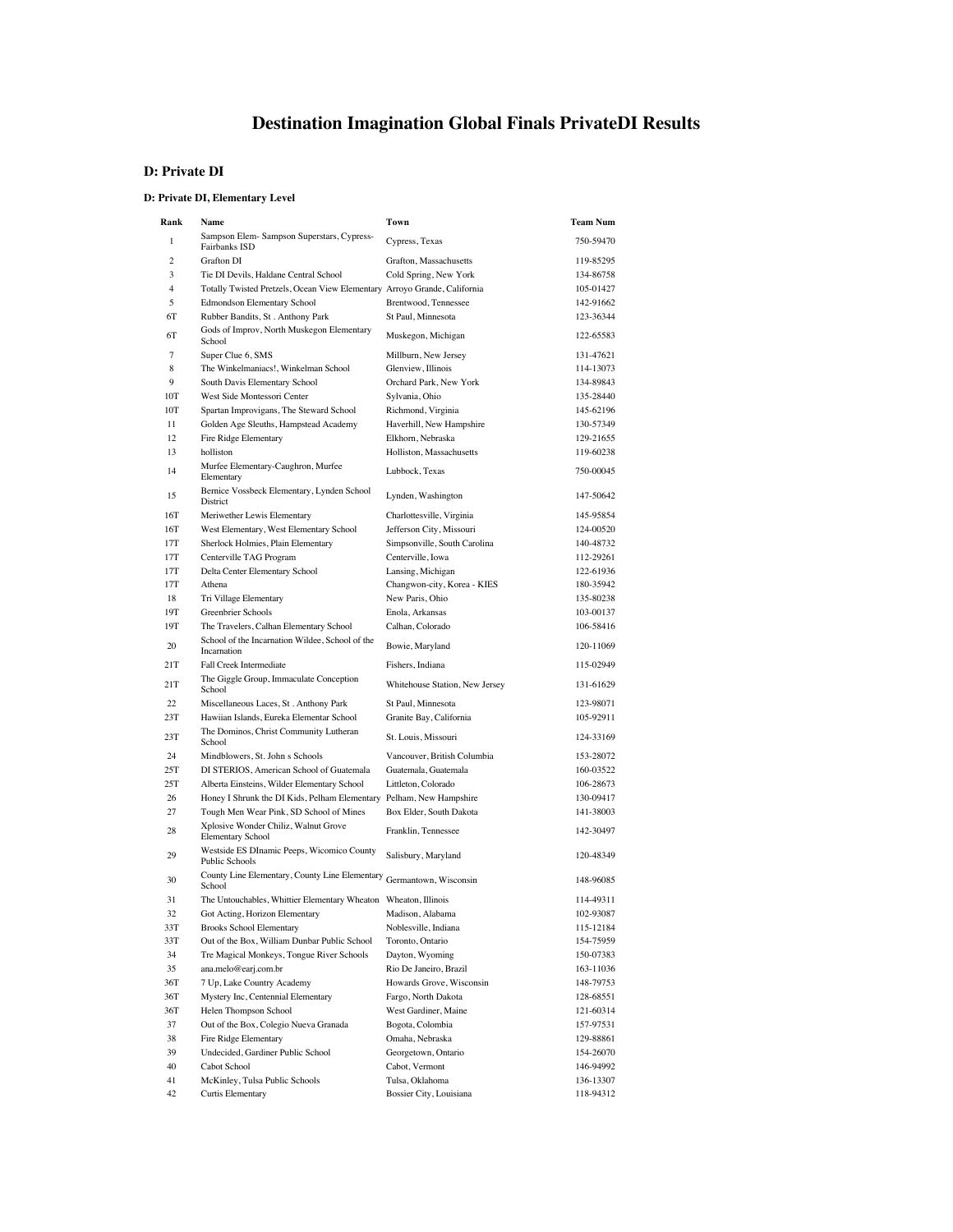# **Destination Imagination Global Finals PrivateDI Results**

### **D: Private DI**

#### **D: Private DI, Elementary Level**

| Rank           | Name                                                                      | Town                                     | <b>Team Num</b>        |
|----------------|---------------------------------------------------------------------------|------------------------------------------|------------------------|
| 1              | Sampson Elem- Sampson Superstars, Cypress-<br>Fairbanks ISD               | Cypress, Texas                           | 750-59470              |
| 2              | <b>Grafton DI</b>                                                         | Grafton, Massachusetts                   | 119-85295              |
| 3              | Tie DI Devils, Haldane Central School                                     | Cold Spring, New York                    | 134-86758              |
| $\overline{4}$ | Totally Twisted Pretzels, Ocean View Elementary Arroyo Grande, California |                                          | 105-01427              |
| 5              | <b>Edmondson Elementary School</b>                                        | Brentwood, Tennessee                     | 142-91662              |
| 6T             | Rubber Bandits, St. Anthony Park                                          | St Paul, Minnesota                       | 123-36344              |
| 6T             | Gods of Improv, North Muskegon Elementary<br>School                       | Muskegon, Michigan                       | 122-65583              |
| 7              | Super Clue 6, SMS                                                         | Millburn, New Jersey                     | 131-47621              |
| 8              | The Winkelmaniacs!, Winkelman School                                      | Glenview, Illinois                       | 114-13073              |
| 9<br>10T       | South Davis Elementary School<br>West Side Montessori Center              | Orchard Park, New York                   | 134-89843              |
| 10T            | Spartan Improvigans, The Steward School                                   | Sylvania, Ohio<br>Richmond, Virginia     | 135-28440<br>145-62196 |
| 11             | Golden Age Sleuths, Hampstead Academy                                     | Haverhill, New Hampshire                 | 130-57349              |
| 12             | Fire Ridge Elementary                                                     | Elkhorn, Nebraska                        | 129-21655              |
| 13             | holliston                                                                 | Holliston, Massachusetts                 | 119-60238              |
| 14             | Murfee Elementary-Caughron, Murfee<br>Elementary                          | Lubbock, Texas                           | 750-00045              |
| 15             | Bernice Vossbeck Elementary, Lynden School<br>District                    | Lynden, Washington                       | 147-50642              |
| 16T            | Meriwether Lewis Elementary                                               | Charlottesville, Virginia                | 145-95854              |
| 16T            | West Elementary, West Elementary School                                   | Jefferson City, Missouri                 | 124-00520              |
| 17T            | Sherlock Holmies, Plain Elementary                                        | Simpsonville, South Carolina             | 140-48732              |
| 17T            | Centerville TAG Program                                                   | Centerville, Iowa                        | 112-29261              |
| 17T            | Delta Center Elementary School                                            | Lansing, Michigan                        | 122-61936              |
| 17T            | Athena                                                                    | Changwon-city, Korea - KIES              | 180-35942              |
| 18             | Tri Village Elementary                                                    | New Paris, Ohio                          | 135-80238              |
| 19T<br>19T     | Greenbrier Schools<br>The Travelers, Calhan Elementary School             | Enola, Arkansas<br>Calhan, Colorado      | 103-00137<br>106-58416 |
| 20             | School of the Incarnation Wildee, School of the<br>Incarnation            | Bowie, Maryland                          | 120-11069              |
| 21T            | Fall Creek Intermediate                                                   | Fishers, Indiana                         | 115-02949              |
| 21T            | The Giggle Group, Immaculate Conception<br>School                         | Whitehouse Station, New Jersey           | 131-61629              |
| 22             | Miscellaneous Laces, St. Anthony Park                                     | St Paul, Minnesota                       | 123-98071              |
| 23T            | Hawiian Islands, Eureka Elementar School                                  | Granite Bay, California                  | 105-92911              |
| 23T            | The Dominos, Christ Community Lutheran<br>School                          | St. Louis, Missouri                      | 124-33169              |
| 24             | Mindblowers, St. John s Schools                                           | Vancouver, British Columbia              | 153-28072              |
| 25T            | DI STERIOS, American School of Guatemala                                  | Guatemala, Guatemala                     | 160-03522              |
| 25T            | Alberta Einsteins, Wilder Elementary School                               | Littleton, Colorado                      | 106-28673              |
| 26             | Honey I Shrunk the DI Kids, Pelham Elementary                             | Pelham, New Hampshire                    | 130-09417              |
| 27             | Tough Men Wear Pink, SD School of Mines                                   | Box Elder, South Dakota                  | 141-38003              |
| 28             | Xplosive Wonder Chiliz, Walnut Grove<br><b>Elementary School</b>          | Franklin, Tennessee                      | 142-30497              |
| 29             | Westside ES DInamic Peeps, Wicomico County<br><b>Public Schools</b>       | Salisbury, Maryland                      | 120-48349              |
| 30             | County Line Elementary, County Line Elementary<br>School                  | Germantown, Wisconsin                    | 148-96085              |
| 31             | The Untouchables, Whittier Elementary Wheaton Wheaton, Illinois           |                                          | 114-49311              |
| 32<br>33T      | Got Acting, Horizon Elementary<br><b>Brooks School Elementary</b>         | Madison, Alabama<br>Noblesville, Indiana | 102-93087<br>115-12184 |
| 33T            | Out of the Box, William Dunbar Public School                              | Toronto, Ontario                         | 154-75959              |
| 34             | Tre Magical Monkeys, Tongue River Schools                                 | Dayton, Wyoming                          | 150-07383              |
| 35             | ana.melo@earj.com.br                                                      | Rio De Janeiro, Brazil                   | 163-11036              |
| 36T            | 7 Up, Lake Country Academy                                                | Howards Grove, Wisconsin                 | 148-79753              |
| 36T            | Mystery Inc, Centennial Elementary                                        | Fargo, North Dakota                      | 128-68551              |
| 36T            | Helen Thompson School                                                     | West Gardiner, Maine                     | 121-60314              |
| 37             | Out of the Box, Colegio Nueva Granada                                     | Bogota, Colombia                         | 157-97531              |
| 38             | Fire Ridge Elementary                                                     | Omaha, Nebraska                          | 129-88861              |
| 39             | Undecided, Gardiner Public School                                         | Georgetown, Ontario                      | 154-26070              |
| 40             | Cabot School                                                              | Cabot, Vermont                           | 146-94992              |
| 41             | McKinley, Tulsa Public Schools                                            | Tulsa, Oklahoma                          | 136-13307              |
| 42             | Curtis Elementary                                                         | Bossier City, Louisiana                  | 118-94312              |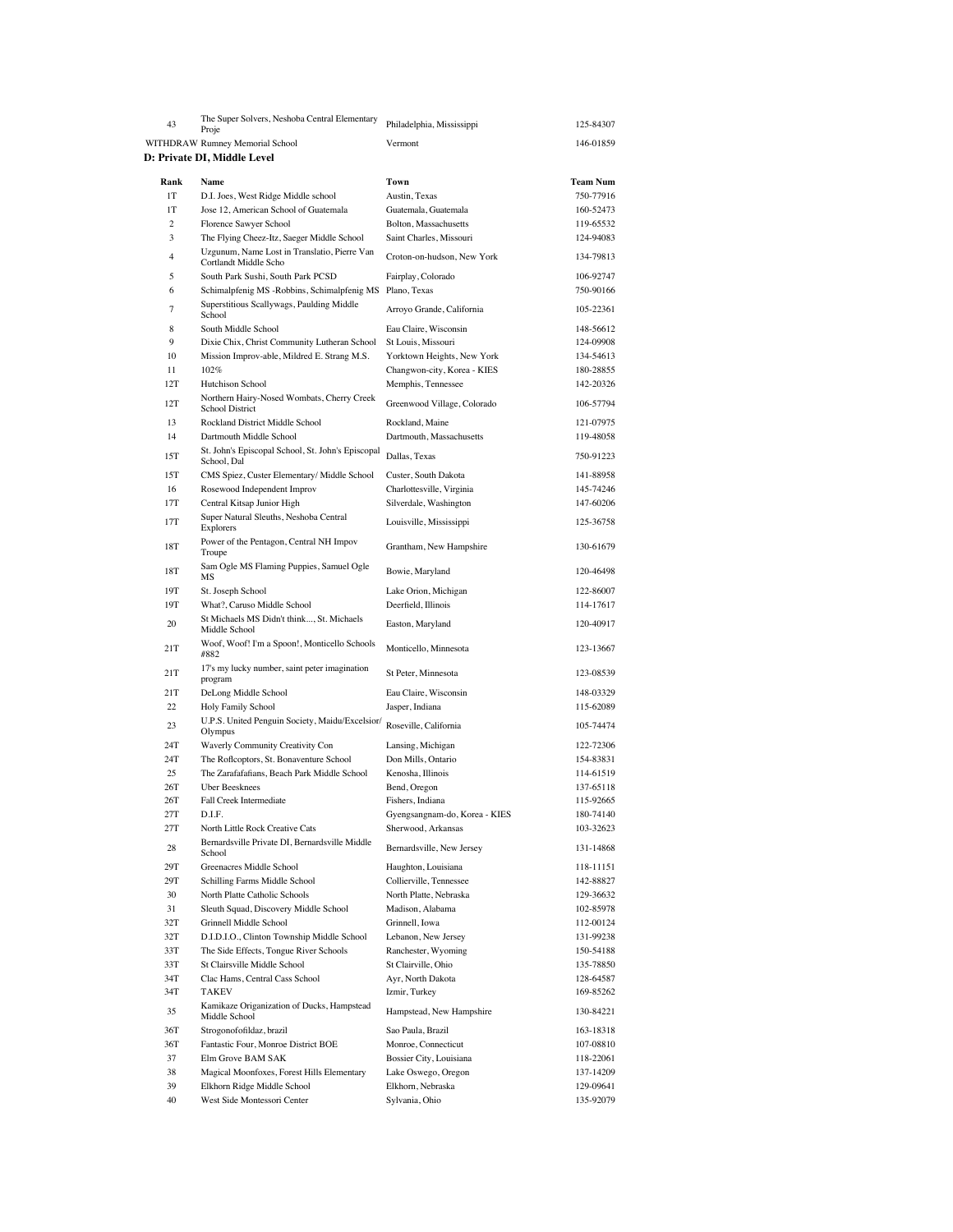| 43             | The Super Solvers, Neshoba Central Elementary<br>Proje                                                | Philadelphia, Mississippi                           | 125-84307              |
|----------------|-------------------------------------------------------------------------------------------------------|-----------------------------------------------------|------------------------|
|                | WITHDRAW Rumney Memorial School                                                                       | Vermont                                             | 146-01859              |
|                | D: Private DI, Middle Level                                                                           |                                                     |                        |
|                |                                                                                                       |                                                     |                        |
| Rank           | Name                                                                                                  | Town                                                | <b>Team Num</b>        |
| 1T<br>1T       | D.I. Joes, West Ridge Middle school<br>Jose 12, American School of Guatemala                          | Austin, Texas                                       | 750-77916<br>160-52473 |
| $\overline{c}$ | Florence Sawyer School                                                                                | Guatemala, Guatemala<br>Bolton, Massachusetts       | 119-65532              |
| 3              | The Flying Cheez-Itz, Saeger Middle School                                                            | Saint Charles, Missouri                             | 124-94083              |
| $\overline{4}$ | Uzgunum, Name Lost in Translatio, Pierre Van<br>Cortlandt Middle Scho                                 | Croton-on-hudson, New York                          | 134-79813              |
| 5              | South Park Sushi, South Park PCSD                                                                     | Fairplay, Colorado                                  | 106-92747              |
| 6              | Schimalpfenig MS -Robbins, Schimalpfenig MS                                                           | Plano, Texas                                        | 750-90166              |
| 7              | Superstitious Scallywags, Paulding Middle<br>School                                                   | Arroyo Grande, California                           | 105-22361              |
| 8<br>9         | South Middle School                                                                                   | Eau Claire, Wisconsin                               | 148-56612              |
| 10             | Dixie Chix, Christ Community Lutheran School<br>Mission Improv-able, Mildred E. Strang M.S.           | St Louis, Missouri<br>Yorktown Heights, New York    | 124-09908<br>134-54613 |
| 11             | 102%                                                                                                  | Changwon-city, Korea - KIES                         | 180-28855              |
| 12T            | Hutchison School                                                                                      | Memphis, Tennessee                                  | 142-20326              |
| 12T            | Northern Hairy-Nosed Wombats, Cherry Creek<br>School District                                         | Greenwood Village, Colorado                         | 106-57794              |
| 13             | Rockland District Middle School                                                                       | Rockland, Maine                                     | 121-07975              |
| 14             | Dartmouth Middle School                                                                               | Dartmouth, Massachusetts                            | 119-48058              |
| 15T            | St. John's Episcopal School, St. John's Episcopal<br>School, Dal                                      | Dallas, Texas                                       | 750-91223              |
| 15T            | CMS Spiez, Custer Elementary/ Middle School                                                           | Custer, South Dakota                                | 141-88958              |
| 16<br>17T      | Rosewood Independent Improv<br>Central Kitsap Junior High                                             | Charlottesville, Virginia<br>Silverdale, Washington | 145-74246<br>147-60206 |
| 17T            | Super Natural Sleuths, Neshoba Central<br>Explorers                                                   | Louisville, Mississippi                             | 125-36758              |
| 18T            | Power of the Pentagon, Central NH Impov<br>Troupe                                                     | Grantham, New Hampshire                             | 130-61679              |
| 18T            | Sam Ogle MS Flaming Puppies, Samuel Ogle<br>MS                                                        | Bowie, Maryland                                     | 120-46498              |
| 19T            | St. Joseph School                                                                                     | Lake Orion, Michigan                                | 122-86007              |
| 19T            | What?, Caruso Middle School                                                                           | Deerfield, Illinois                                 | 114-17617              |
| 20             | St Michaels MS Didn't think, St. Michaels<br>Middle School                                            | Easton, Maryland                                    | 120-40917              |
| 21T            | Woof, Woof! I'm a Spoon!, Monticello Schools<br>#882<br>17's my lucky number, saint peter imagination | Monticello, Minnesota                               | 123-13667              |
| 21T<br>21T     | program<br>DeLong Middle School                                                                       | St Peter, Minnesota<br>Eau Claire, Wisconsin        | 123-08539<br>148-03329 |
| 22             | Holy Family School                                                                                    | Jasper, Indiana                                     | 115-62089              |
| 23             | U.P.S. United Penguin Society, Maidu/Excelsior/<br>Olympus                                            | Roseville, California                               | 105-74474              |
| 24T            | Waverly Community Creativity Con                                                                      | Lansing, Michigan                                   | 122-72306              |
| 24T            | The Roflcoptors, St. Bonaventure School                                                               | Don Mills, Ontario                                  | 154-83831              |
| 25             | The Zarafafafians, Beach Park Middle School                                                           | Kenosha, Illinois                                   | 114-61519              |
| 26T            | Uber Beesknees                                                                                        | Bend, Oregon                                        | 137-65118              |
| 26T<br>27T     | Fall Creek Intermediate<br>D.I.F.                                                                     | Fishers, Indiana                                    | 115-92665<br>180-74140 |
| 27T            | North Little Rock Creative Cats                                                                       | Gyengsangnam-do, Korea - KIES<br>Sherwood, Arkansas | 103-32623              |
| 28             | Bernardsville Private DI, Bernardsville Middle<br>School                                              | Bernardsville, New Jersey                           | 131-14868              |
| 29T            | Greenacres Middle School                                                                              | Haughton, Louisiana                                 | 118-11151              |
| 29T            | Schilling Farms Middle School                                                                         | Collierville, Tennessee                             | 142-88827              |
| 30             | North Platte Catholic Schools                                                                         | North Platte, Nebraska                              | 129-36632              |
| 31             | Sleuth Squad, Discovery Middle School                                                                 | Madison, Alabama                                    | 102-85978              |
| 32T<br>32T     | Grinnell Middle School<br>D.I.D.I.O., Clinton Township Middle School                                  | Grinnell, Iowa<br>Lebanon, New Jersey               | 112-00124<br>131-99238 |
| 33T            | The Side Effects, Tongue River Schools                                                                | Ranchester, Wyoming                                 | 150-54188              |
| 33T            | St Clairsville Middle School                                                                          | St Clairville, Ohio                                 | 135-78850              |
| 34T            | Clac Hams, Central Cass School                                                                        | Ayr, North Dakota                                   | 128-64587              |
| 34T            | <b>TAKEV</b>                                                                                          | Izmir, Turkey                                       | 169-85262              |
| 35             | Kamikaze Origanization of Ducks, Hampstead<br>Middle School                                           | Hampstead, New Hampshire                            | 130-84221              |
| 36T            | Strogonofofildaz, brazil                                                                              | Sao Paula, Brazil                                   | 163-18318              |
| 36T            | Fantastic Four, Monroe District BOE                                                                   | Monroe, Connecticut                                 | 107-08810              |
| 37             | Elm Grove BAM SAK                                                                                     | Bossier City, Louisiana                             | 118-22061              |
| 38             | Magical Moonfoxes, Forest Hills Elementary                                                            | Lake Oswego, Oregon                                 | 137-14209              |
| 39<br>40       | Elkhorn Ridge Middle School<br>West Side Montessori Center                                            | Elkhorn, Nebraska<br>Sylvania, Ohio                 | 129-09641<br>135-92079 |
|                |                                                                                                       |                                                     |                        |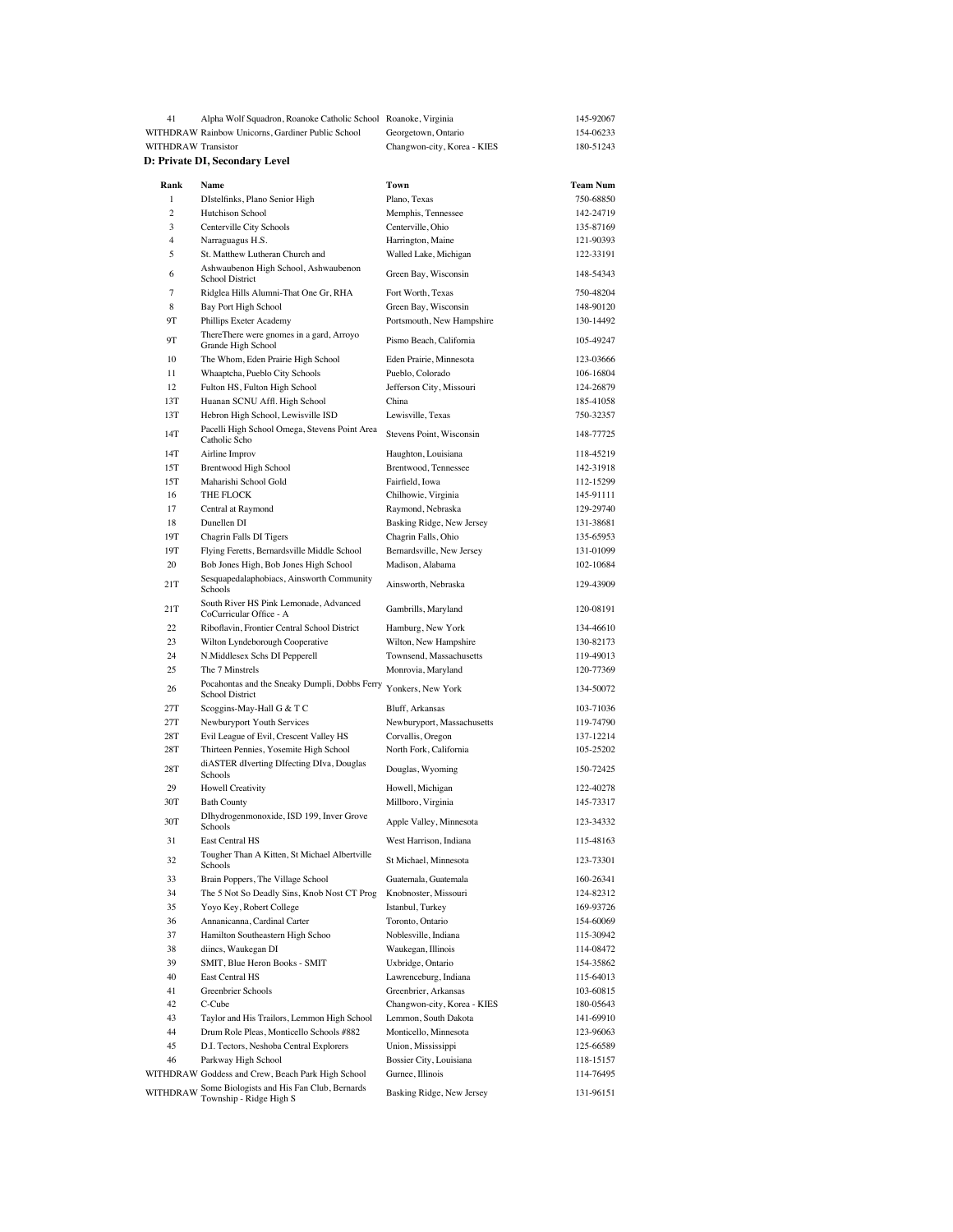| 41                  | Alpha Wolf Squadron, Roanoke Catholic School Roanoke, Virginia                                       |                                                   | 145-92067              |
|---------------------|------------------------------------------------------------------------------------------------------|---------------------------------------------------|------------------------|
|                     | WITHDRAW Rainbow Unicorns, Gardiner Public School                                                    | Georgetown, Ontario                               | 154-06233              |
| WITHDRAW Transistor |                                                                                                      | Changwon-city, Korea - KIES                       | 180-51243              |
|                     | D: Private DI, Secondary Level                                                                       |                                                   |                        |
| Rank                | Name                                                                                                 | Town                                              | Team Num               |
| $\mathbf{1}$        | DIstelfinks, Plano Senior High                                                                       | Plano, Texas                                      | 750-68850              |
| 2                   | Hutchison School                                                                                     | Memphis, Tennessee                                | 142-24719              |
| 3                   | Centerville City Schools                                                                             | Centerville, Ohio                                 | 135-87169              |
| $\overline{4}$      | Narraguagus H.S.                                                                                     | Harrington, Maine                                 | 121-90393              |
| 5                   | St. Matthew Lutheran Church and                                                                      | Walled Lake, Michigan                             | 122-33191              |
| 6                   | Ashwaubenon High School, Ashwaubenon<br>School District                                              | Green Bay, Wisconsin                              | 148-54343              |
| 7                   | Ridglea Hills Alumni-That One Gr, RHA                                                                | Fort Worth, Texas                                 | 750-48204              |
| 8                   | Bay Port High School                                                                                 | Green Bay, Wisconsin                              | 148-90120              |
| 9Τ                  | Phillips Exeter Academy                                                                              | Portsmouth, New Hampshire                         | 130-14492              |
| 9Τ                  | ThereThere were gnomes in a gard, Arroyo<br>Grande High School                                       | Pismo Beach, California                           | 105-49247              |
| 10                  | The Whom, Eden Prairie High School                                                                   | Eden Prairie, Minnesota                           | 123-03666              |
| 11                  | Whaaptcha, Pueblo City Schools                                                                       | Pueblo, Colorado                                  | 106-16804              |
| 12                  | Fulton HS, Fulton High School                                                                        | Jefferson City, Missouri                          | 124-26879              |
| 13T<br>13T          | Huanan SCNU Affl. High School                                                                        | China<br>Lewisville, Texas                        | 185-41058<br>750-32357 |
| 14T                 | Hebron High School, Lewisville ISD<br>Pacelli High School Omega, Stevens Point Area<br>Catholic Scho | Stevens Point, Wisconsin                          | 148-77725              |
| 14T                 | Airline Improv                                                                                       | Haughton, Louisiana                               | 118-45219              |
| 15T                 | <b>Brentwood High School</b>                                                                         | Brentwood, Tennessee                              | 142-31918              |
| 15T                 | Maharishi School Gold                                                                                | Fairfield, Iowa                                   | 112-15299              |
| 16                  | THE FLOCK                                                                                            | Chilhowie, Virginia                               | 145-91111              |
| 17                  | Central at Raymond                                                                                   | Raymond, Nebraska                                 | 129-29740              |
| 18                  | Dunellen DI                                                                                          | Basking Ridge, New Jersey                         | 131-38681              |
| 19T                 | Chagrin Falls DI Tigers                                                                              | Chagrin Falls, Ohio                               | 135-65953              |
| 19T                 | Flying Feretts, Bernardsville Middle School                                                          | Bernardsville, New Jersey                         | 131-01099              |
| 20                  | Bob Jones High, Bob Jones High School                                                                | Madison, Alabama                                  | 102-10684              |
| 21T                 | Sesquapedalaphobiacs, Ainsworth Community<br>Schools                                                 | Ainsworth, Nebraska                               | 129-43909              |
| 21T                 | South River HS Pink Lemonade, Advanced<br>CoCurricular Office - A                                    | Gambrills, Maryland                               | 120-08191              |
| 22                  | Riboflavin, Frontier Central School District                                                         | Hamburg, New York                                 | 134-46610              |
| 23                  | Wilton Lyndeborough Cooperative                                                                      | Wilton, New Hampshire                             | 130-82173              |
| 24                  | N.Middlesex Schs DI Pepperell                                                                        | Townsend, Massachusetts                           | 119-49013              |
| 25                  | The 7 Minstrels                                                                                      | Monrovia, Maryland                                | 120-77369              |
| 26                  | Pocahontas and the Sneaky Dumpli, Dobbs Ferry<br>School District                                     | Yonkers, New York                                 | 134-50072              |
| 27T                 | Scoggins-May-Hall G & T C                                                                            | Bluff, Arkansas                                   | 103-71036              |
| 27T                 | Newburyport Youth Services                                                                           | Newburyport, Massachusetts                        | 119-74790              |
| 28T                 | Evil League of Evil, Crescent Valley HS                                                              | Corvallis, Oregon                                 | 137-12214              |
| 28T<br>28T          | Thirteen Pennies, Yosemite High School<br>diASTER dIverting DIfecting DIva, Douglas                  | North Fork, California<br>Douglas, Wyoming        | 105-25202<br>150-72425 |
| 29                  | Schools<br><b>Howell Creativity</b>                                                                  | Howell, Michigan                                  | 122-40278              |
| 30T                 | <b>Bath County</b>                                                                                   | Millboro, Virginia                                | 145-73317              |
|                     | DIhydrogenmonoxide, ISD 199, Inver Grove                                                             |                                                   |                        |
| 30T<br>31           | Schools<br>East Central HS                                                                           | Apple Valley, Minnesota<br>West Harrison, Indiana | 123-34332<br>115-48163 |
| 32                  | Tougher Than A Kitten, St Michael Albertville<br>Schools                                             | St Michael, Minnesota                             | 123-73301              |
| 33                  | Brain Poppers, The Village School                                                                    | Guatemala, Guatemala                              | 160-26341              |
| 34                  | The 5 Not So Deadly Sins, Knob Nost CT Prog                                                          | Knobnoster, Missouri                              | 124-82312              |
| 35                  | Yoyo Key, Robert College                                                                             | Istanbul, Turkey                                  | 169-93726              |
| 36                  | Annanicanna, Cardinal Carter                                                                         | Toronto, Ontario                                  | 154-60069              |
| 37                  | Hamilton Southeastern High Schoo                                                                     | Noblesville, Indiana                              | 115-30942              |
| 38                  | diincs, Waukegan DI                                                                                  | Waukegan, Illinois                                | 114-08472              |
| 39                  | SMIT, Blue Heron Books - SMIT                                                                        | Uxbridge, Ontario                                 | 154-35862              |
| 40                  | East Central HS                                                                                      | Lawrenceburg, Indiana                             | 115-64013              |
| 41                  | Greenbrier Schools                                                                                   | Greenbrier, Arkansas                              | 103-60815              |
| 42                  | C-Cube                                                                                               | Changwon-city, Korea - KIES                       | 180-05643              |
| 43                  | Taylor and His Trailors, Lemmon High School                                                          | Lemmon, South Dakota                              | 141-69910              |
| 44                  | Drum Role Pleas, Monticello Schools #882                                                             | Monticello, Minnesota                             | 123-96063              |
| 45                  | D.I. Tectors, Neshoba Central Explorers                                                              | Union, Mississippi                                | 125-66589              |
| 46                  | Parkway High School                                                                                  | Bossier City, Louisiana                           | 118-15157              |
| WITHDRAW            | WITHDRAW Goddess and Crew, Beach Park High School<br>Some Biologists and His Fan Club, Bernards      | Gurnee, Illinois<br>Basking Ridge, New Jersey     | 114-76495<br>131-96151 |
|                     | Township - Ridge High S                                                                              |                                                   |                        |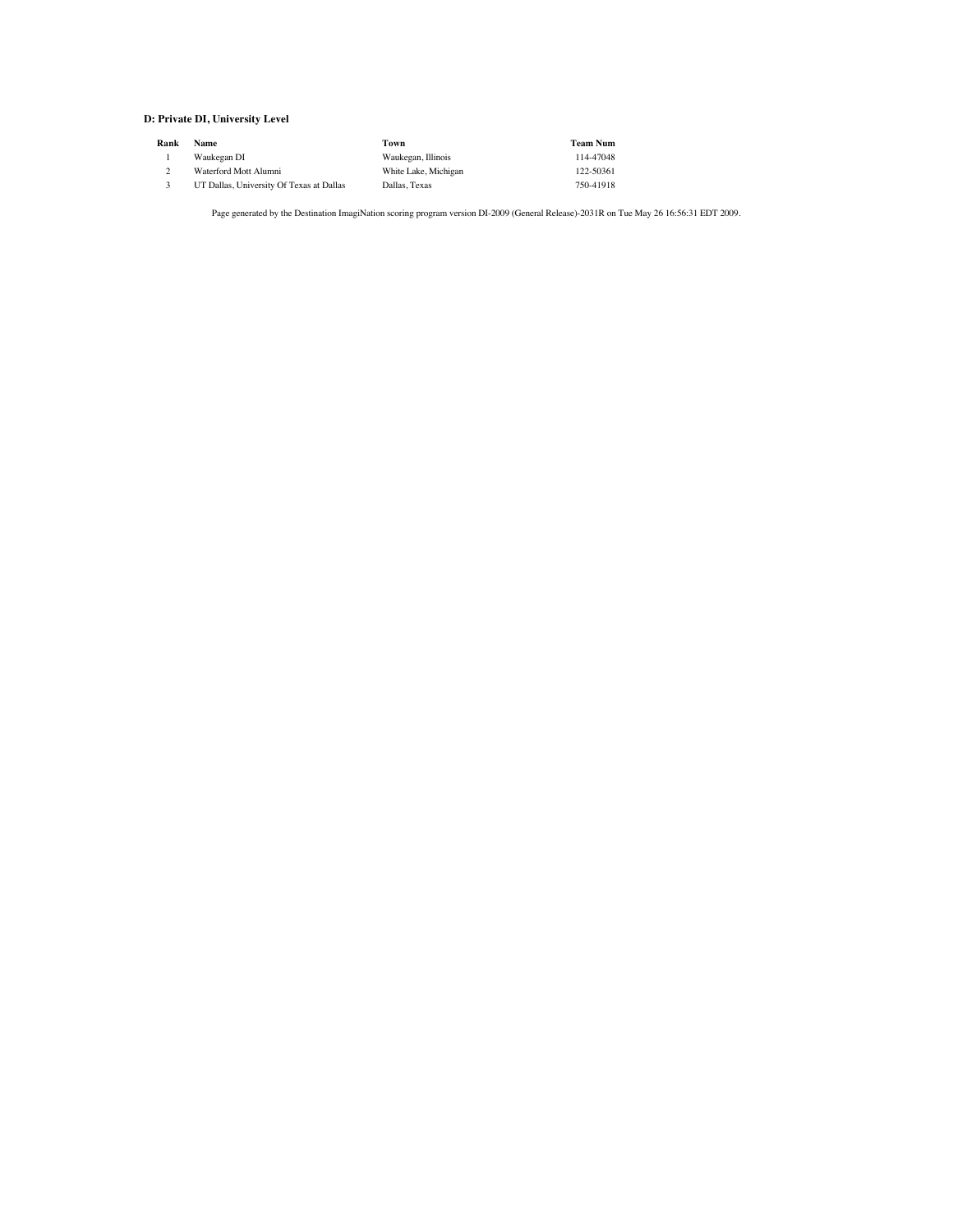#### **D: Private DI, University Level**

| Rank | <b>Name</b>                              | Town                 | <b>Team Num</b> |
|------|------------------------------------------|----------------------|-----------------|
|      | Waukegan DI                              | Waukegan, Illinois   | 114-47048       |
|      | Waterford Mott Alumni                    | White Lake, Michigan | 122-50361       |
|      | UT Dallas, University Of Texas at Dallas | Dallas, Texas        | 750-41918       |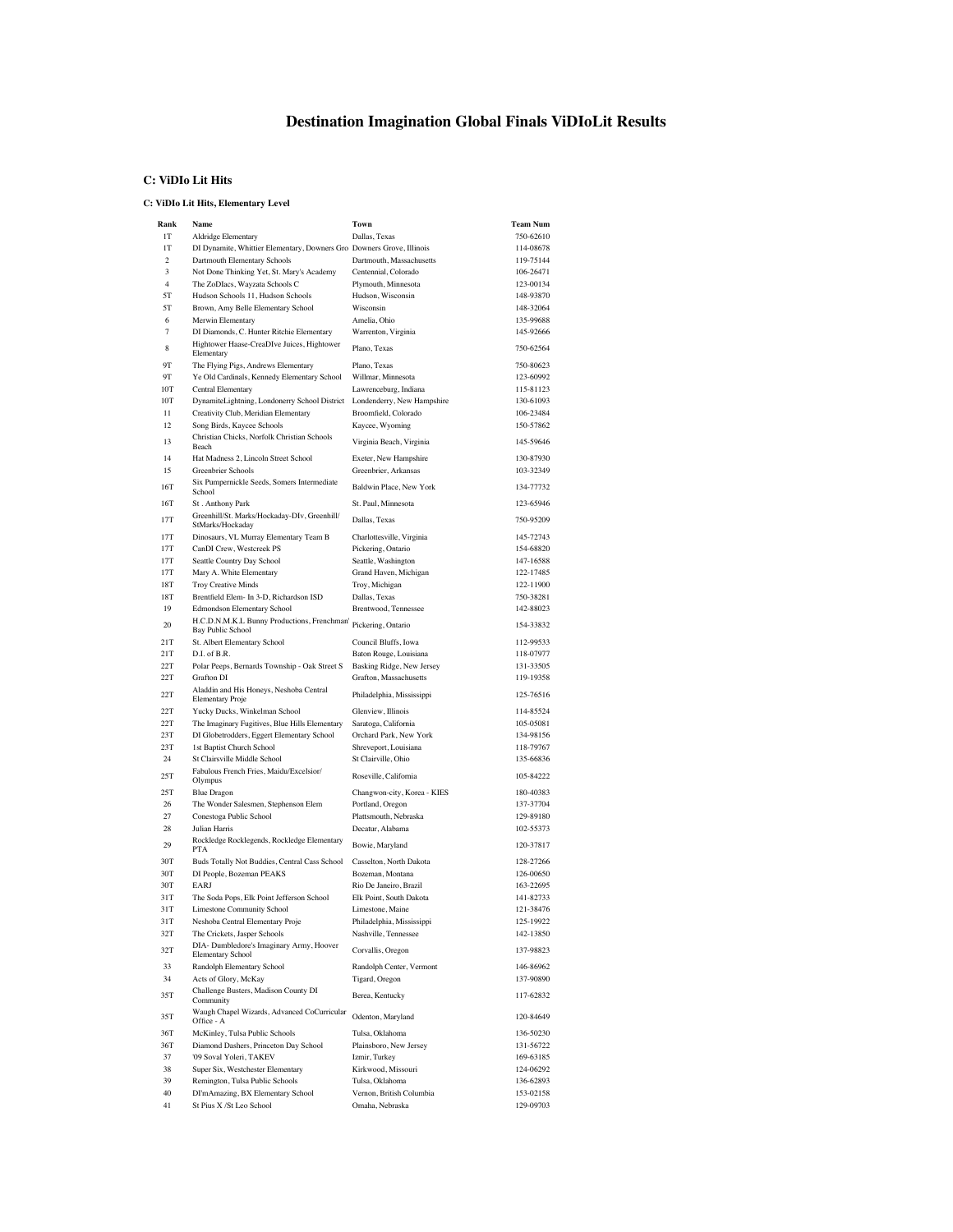# **Destination Imagination Global Finals ViDIoLit Results**

### **C: ViDIo Lit Hits**

#### **C: ViDIo Lit Hits, Elementary Level**

| Rank                | Name                                                                     | Town                                                | <b>Team Num</b>        |
|---------------------|--------------------------------------------------------------------------|-----------------------------------------------------|------------------------|
| 1T                  | Aldridge Elementary                                                      | Dallas, Texas                                       | 750-62610              |
| 1T                  | DI Dynamite, Whittier Elementary, Downers Gro Downers Grove, Illinois    |                                                     | 114-08678              |
| $\overline{c}$      | Dartmouth Elementary Schools                                             | Dartmouth, Massachusetts                            | 119-75144              |
| 3<br>$\overline{4}$ | Not Done Thinking Yet, St. Mary's Academy                                | Centennial, Colorado                                | 106-26471              |
| 5T                  | The ZoDIacs, Wayzata Schools C<br>Hudson Schools 11, Hudson Schools      | Plymouth, Minnesota<br>Hudson, Wisconsin            | 123-00134<br>148-93870 |
| 5T                  | Brown, Amy Belle Elementary School                                       | Wisconsin                                           | 148-32064              |
| 6                   | Merwin Elementary                                                        | Amelia, Ohio                                        | 135-99688              |
| $\overline{7}$      | DI Diamonds, C. Hunter Ritchie Elementary                                | Warrenton, Virginia                                 | 145-92666              |
| 8                   | Hightower Haase-CreaDIve Juices, Hightower                               | Plano, Texas                                        | 750-62564              |
| 9T                  | Elementary<br>The Flying Pigs, Andrews Elementary                        | Plano, Texas                                        | 750-80623              |
| 9Т                  | Ye Old Cardinals, Kennedy Elementary School                              | Willmar, Minnesota                                  | 123-60992              |
| 10T                 | <b>Central Elementary</b>                                                | Lawrenceburg, Indiana                               | 115-81123              |
| 10T                 | DynamiteLightning, Londonerry School District                            | Londenderry, New Hampshire                          | 130-61093              |
| 11                  | Creativity Club, Meridian Elementary                                     | Broomfield, Colorado                                | 106-23484              |
| 12                  | Song Birds, Kaycee Schools                                               | Kaycee, Wyoming                                     | 150-57862              |
| 13                  | Christian Chicks, Norfolk Christian Schools<br>Beach                     | Virginia Beach, Virginia                            | 145-59646              |
| 14                  | Hat Madness 2, Lincoln Street School                                     | Exeter, New Hampshire                               | 130-87930              |
| 15                  | Greenbrier Schools                                                       | Greenbrier, Arkansas                                | 103-32349              |
| 16T                 | Six Pumpernickle Seeds, Somers Intermediate<br>School                    | Baldwin Place, New York                             | 134-77732              |
| 16T                 | St. Anthony Park                                                         | St. Paul, Minnesota                                 | 123-65946              |
| 17T                 | Greenhill/St. Marks/Hockaday-DIv, Greenhill/<br>StMarks/Hockaday         | Dallas, Texas                                       | 750-95209              |
| 17T                 | Dinosaurs, VL Murray Elementary Team B                                   | Charlottesville, Virginia                           | 145-72743              |
| 17T<br>17T          | CanDI Crew, Westcreek PS                                                 | Pickering, Ontario                                  | 154-68820              |
| 17T                 | Seattle Country Day School<br>Mary A. White Elementary                   | Seattle, Washington<br>Grand Haven, Michigan        | 147-16588<br>122-17485 |
| 18T                 | Troy Creative Minds                                                      | Troy, Michigan                                      | 122-11900              |
| 18T                 | Brentfield Elem- In 3-D, Richardson ISD                                  | Dallas, Texas                                       | 750-38281              |
| 19                  | Edmondson Elementary School                                              | Brentwood, Tennessee                                | 142-88023              |
| 20                  | H.C.D.N.M.K.L Bunny Productions, Frenchman'<br><b>Bay Public School</b>  | Pickering, Ontario                                  | 154-33832              |
| 21T                 | St. Albert Elementary School                                             | Council Bluffs, Iowa                                | 112-99533              |
| 21T                 | D.I. of B.R.                                                             | Baton Rouge, Louisiana                              | 118-07977              |
| 22T                 | Polar Peeps, Bernards Township - Oak Street S                            | Basking Ridge, New Jersey                           | 131-33505              |
| 22T<br>22T          | Grafton DI<br>Aladdin and His Honeys, Neshoba Central                    | Grafton, Massachusetts<br>Philadelphia, Mississippi | 119-19358<br>125-76516 |
| 22T                 | Elementary Proje<br>Yucky Ducks, Winkelman School                        | Glenview, Illinois                                  | 114-85524              |
| 22T                 | The Imaginary Fugitives, Blue Hills Elementary                           | Saratoga, California                                | 105-05081              |
| 23T                 | DI Globetrodders, Eggert Elementary School                               | Orchard Park, New York                              | 134-98156              |
| 23T                 | 1st Baptist Church School                                                | Shreveport, Louisiana                               | 118-79767              |
| 24                  | St Clairsville Middle School                                             | St Clairville, Ohio                                 | 135-66836              |
| 25T                 | Fabulous French Fries, Maidu/Excelsior/<br>Olympus                       | Roseville, California                               | 105-84222              |
| 25T                 | <b>Blue Dragon</b>                                                       | Changwon-city, Korea - KIES                         | 180-40383              |
| 26                  | The Wonder Salesmen, Stephenson Elem                                     | Portland, Oregon                                    | 137-37704              |
| 27                  | Conestoga Public School                                                  | Plattsmouth, Nebraska                               | 129-89180<br>102-55373 |
| 28<br>29            | Julian Harris<br>Rockledge Rocklegends, Rockledge Elementary             | Decatur, Alabama<br>Bowie, Maryland                 | 120-37817              |
| 30T                 | PTA<br>Buds Totally Not Buddies, Central Cass School                     | Casselton, North Dakota                             | 128-27266              |
| 30T                 | DI People, Bozeman PEAKS                                                 | Bozeman, Montana                                    | 126-00650              |
| 30T                 | <b>EARI</b>                                                              | Rio De Janeiro, Brazil                              | 163-22695              |
| 31T                 | The Soda Pops, Elk Point Jefferson School                                | Elk Point, South Dakota                             | 141-82733              |
| 31T                 | <b>Limestone Community School</b>                                        | Limestone, Maine                                    | 121-38476              |
| 31T                 | Neshoba Central Elementary Proje                                         | Philadelphia, Mississippi                           | 125-19922              |
| 32T                 | The Crickets, Jasper Schools<br>DIA- Dumbledore's Imaginary Army, Hoover | Nashville, Tennessee                                | 142-13850              |
| 32T                 | <b>Elementary School</b>                                                 | Corvallis, Oregon                                   | 137-98823              |
| 33                  | Randolph Elementary School                                               | Randolph Center, Vermont                            | 146-86962              |
| 34<br>35T           | Acts of Glory, McKay<br>Challenge Busters, Madison County DI             | Tigard, Oregon<br>Berea, Kentucky                   | 137-90890<br>117-62832 |
| 35T                 | Community<br>Waugh Chapel Wizards, Advanced CoCurricular                 | Odenton, Maryland                                   | 120-84649              |
| 36T                 | Office - A<br>McKinley, Tulsa Public Schools                             | Tulsa, Oklahoma                                     | 136-50230              |
| 36T                 | Diamond Dashers, Princeton Day School                                    | Plainsboro, New Jersey                              | 131-56722              |
| 37                  | '09 Soval Yoleri, TAKEV                                                  | Izmir, Turkey                                       | 169-63185              |
| 38                  | Super Six, Westchester Elementary                                        | Kirkwood, Missouri                                  | 124-06292              |
| 39                  | Remington, Tulsa Public Schools                                          | Tulsa, Oklahoma                                     | 136-62893              |
| 40                  | DI'mAmazing, BX Elementary School                                        | Vernon, British Columbia                            | 153-02158              |
| 41                  | St Pius X / St Leo School                                                | Omaha, Nebraska                                     | 129-09703              |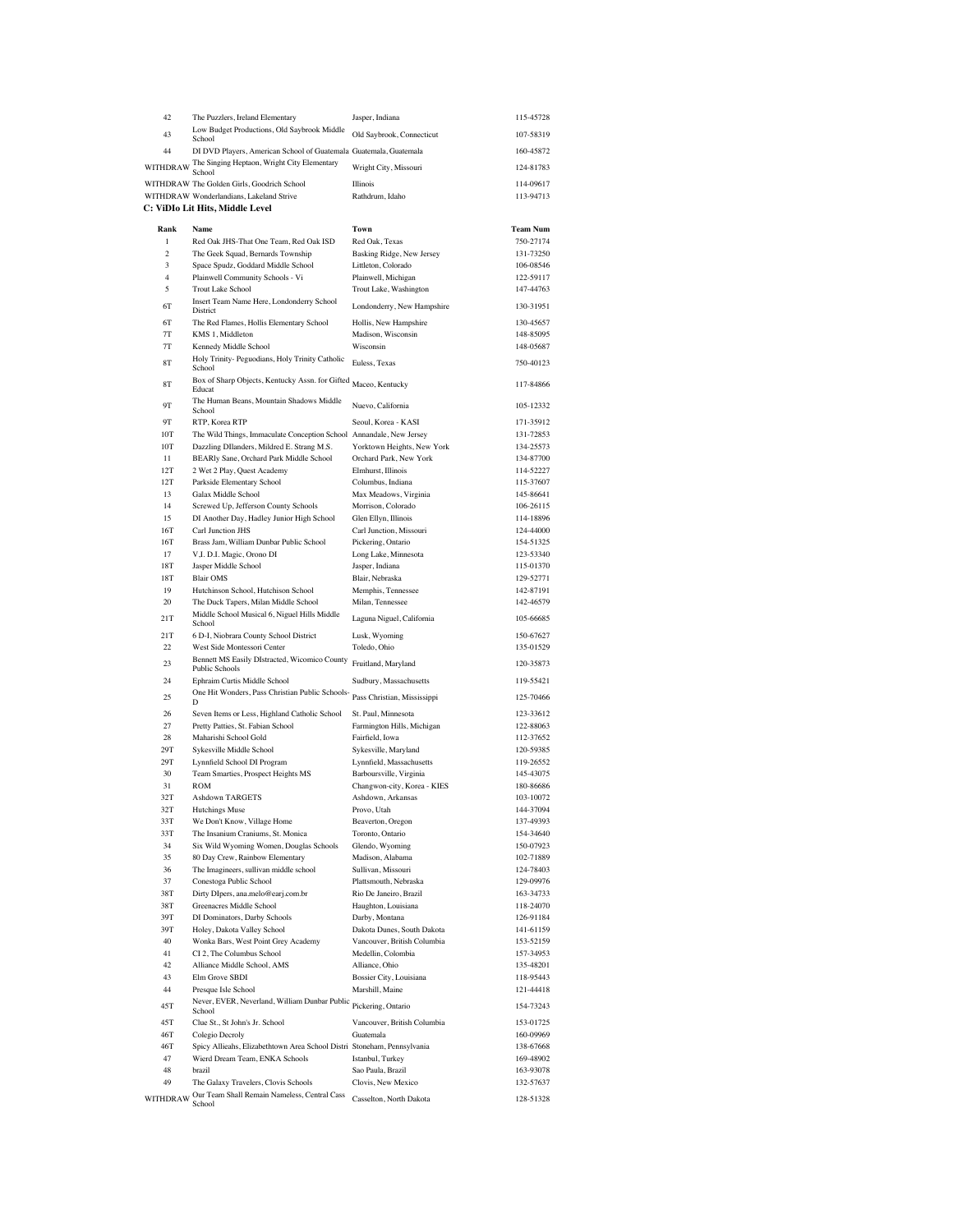| 42                  | The Puzzlers, Ireland Elementary                                                           | Jasper, Indiana                                  | 115-45728              |
|---------------------|--------------------------------------------------------------------------------------------|--------------------------------------------------|------------------------|
| 43                  | Low Budget Productions, Old Saybrook Middle<br>School                                      | Old Saybrook, Connecticut                        | 107-58319              |
| 44                  | DI DVD Players, American School of Guatemala Guatemala, Guatemala                          |                                                  | 160-45872              |
| WITHDRAW            | The Singing Heptaon, Wright City Elementary                                                | Wright City, Missouri                            | 124-81783              |
|                     | School<br>WITHDRAW The Golden Girls, Goodrich School                                       | Illinois                                         | 114-09617              |
|                     | WITHDRAW Wonderlandians, Lakeland Strive                                                   | Rathdrum, Idaho                                  | 113-94713              |
|                     | C: ViDIo Lit Hits, Middle Level                                                            |                                                  |                        |
| Rank                | Name                                                                                       | Town                                             | <b>Team Num</b>        |
| $\,$ 1              | Red Oak JHS-That One Team, Red Oak ISD                                                     | Red Oak, Texas                                   | 750-27174              |
| $\overline{c}$      | The Geek Squad, Bernards Township                                                          | Basking Ridge, New Jersey                        | 131-73250              |
| 3<br>$\overline{4}$ | Space Spudz, Goddard Middle School<br>Plainwell Community Schools - Vi                     | Littleton, Colorado<br>Plainwell, Michigan       | 106-08546<br>122-59117 |
| 5                   | <b>Trout Lake School</b>                                                                   | Trout Lake, Washington                           | 147-44763              |
| 6T                  | Insert Team Name Here, Londonderry School                                                  | Londonderry, New Hampshire                       | 130-31951              |
| 6T                  | District<br>The Red Flames, Hollis Elementary School                                       | Hollis, New Hampshire                            | 130-45657              |
| $7\mathrm{T}$       | KMS 1, Middleton                                                                           | Madison, Wisconsin                               | 148-85095              |
| 7T                  | Kennedy Middle School                                                                      | Wisconsin                                        | 148-05687              |
| 8T                  | Holy Trinity- Peguodians, Holy Trinity Catholic<br>School                                  | Euless, Texas                                    | 750-40123              |
| 8T                  | Box of Sharp Objects, Kentucky Assn. for Gifted<br>Educat                                  | Maceo, Kentucky                                  | 117-84866              |
| 9Т                  | The Human Beans, Mountain Shadows Middle<br>School                                         | Nuevo, California                                | 105-12332              |
| 9Т                  | RTP, Korea RTP                                                                             | Seoul, Korea - KASI                              | 171-35912              |
| 10T                 | The Wild Things, Immaculate Conception School                                              | Annandale, New Jersey                            | 131-72853              |
| 10T                 | Dazzling DIlanders, Mildred E. Strang M.S.<br>BEARly Sane, Orchard Park Middle School      | Yorktown Heights, New York                       | 134-25573              |
| 11<br>12T           | 2 Wet 2 Play, Quest Academy                                                                | Orchard Park, New York<br>Elmhurst, Illinois     | 134-87700<br>114-52227 |
| 12T                 | Parkside Elementary School                                                                 | Columbus, Indiana                                | 115-37607              |
| 13                  | Galax Middle School                                                                        | Max Meadows, Virginia                            | 145-86641              |
| 14<br>15            | Screwed Up, Jefferson County Schools<br>DI Another Day, Hadley Junior High School          | Morrison, Colorado                               | 106-26115<br>114-18896 |
| 16T                 | Carl Junction JHS                                                                          | Glen Ellyn, Illinois<br>Carl Junction, Missouri  | 124-44000              |
| 16T                 | Brass Jam, William Dunbar Public School                                                    | Pickering, Ontario                               | 154-51325              |
| 17                  | V, I. D.I. Magic, Orono DI                                                                 | Long Lake, Minnesota                             | 123-53340              |
| 18T<br>18T          | Jasper Middle School<br><b>Blair OMS</b>                                                   | Jasper, Indiana<br>Blair, Nebraska               | 115-01370<br>129-52771 |
| 19                  | Hutchinson School, Hutchison School                                                        | Memphis, Tennessee                               | 142-87191              |
| 20                  | The Duck Tapers, Milan Middle School                                                       | Milan, Tennessee                                 | 142-46579              |
| 21T                 | Middle School Musical 6, Niguel Hills Middle<br>School                                     | Laguna Niguel, California                        | 105-66685              |
| 21T<br>22           | 6 D-I, Niobrara County School District<br>West Side Montessori Center                      | Lusk, Wyoming<br>Toledo, Ohio                    | 150-67627<br>135-01529 |
| 23                  | Bennett MS Easily DIstracted, Wicomico County<br>Public Schools                            | Fruitland, Maryland                              | 120-35873              |
| 24                  | Ephraim Curtis Middle School                                                               | Sudbury, Massachusetts                           | 119-55421              |
| 25                  | One Hit Wonders, Pass Christian Public Schools-<br>D                                       | Pass Christian, Mississippi                      | 125-70466              |
| 26                  | Seven Items or Less, Highland Catholic School                                              | St. Paul, Minnesota                              | 123-33612              |
| 27                  | Pretty Patties, St. Fabian School                                                          | Farmington Hills, Michigan                       | 122-88063              |
| 28<br>29T           | Maharishi School Gold                                                                      | Fairfield, Iowa                                  | 112-37652              |
| 29T                 | Sykesville Middle School<br>Lynnfield School DI Program                                    | Sykesville, Maryland<br>Lynnfield, Massachusetts | 120-59385<br>119-26552 |
| 30                  | Team Smarties, Prospect Heights MS                                                         | Barboursville, Virginia                          | 145-43075              |
| 31                  | ROM                                                                                        | Changwon-city, Korea - KIES                      | 180-86686              |
| 32T<br>32T          | <b>Ashdown TARGETS</b><br><b>Hutchings Muse</b>                                            | Ashdown, Arkansas<br>Provo, Utah                 | 103-10072<br>144-37094 |
| 33T                 | We Don't Know, Village Home                                                                | Beaverton, Oregon                                | 137-49393              |
| 33T                 | The Insanium Craniums, St. Monica                                                          | Toronto, Ontario                                 | 154-34640              |
| 34                  | Six Wild Wyoming Women, Douglas Schools                                                    | Glendo, Wyoming                                  | 150-07923              |
| 35<br>36            | 80 Day Crew, Rainbow Elementary<br>The Imagineers, sullivan middle school                  | Madison, Alabama<br>Sullivan, Missouri           | 102-71889<br>124-78403 |
| 37                  | Conestoga Public School                                                                    | Plattsmouth, Nebraska                            | 129-09976              |
| 38T                 | Dirty DIpers, ana.melo@earj.com.br                                                         | Rio De Janeiro, Brazil                           | 163-34733              |
| 38T                 | Greenacres Middle School                                                                   | Haughton, Louisiana                              | 118-24070              |
| 39T<br>39T          | DI Dominators, Darby Schools<br>Holey, Dakota Valley School                                | Darby, Montana<br>Dakota Dunes, South Dakota     | 126-91184<br>141-61159 |
| 40                  | Wonka Bars, West Point Grey Academy                                                        | Vancouver, British Columbia                      | 153-52159              |
| 41                  | CI 2, The Columbus School                                                                  | Medellin, Colombia                               | 157-34953              |
| 42<br>43            | Alliance Middle School, AMS<br>Elm Grove SBDI                                              | Alliance, Ohio<br>Bossier City, Louisiana        | 135-48201<br>118-95443 |
| 44                  | Presque Isle School                                                                        | Marshill, Maine                                  | 121-44418              |
| 45T                 | Never, EVER, Neverland, William Dunbar Public<br>School                                    | Pickering, Ontario                               | 154-73243              |
| 45T                 | Clue St., St John's Jr. School                                                             | Vancouver, British Columbia                      | 153-01725              |
| 46T<br>46T          | Colegio Decroly<br>Spicy Allieahs, Elizabethtown Area School Distri Stoneham, Pennsylvania | Guatemala                                        | 160-09969<br>138-67668 |
| 47                  | Wierd Dream Team, ENKA Schools                                                             | Istanbul, Turkey                                 | 169-48902              |
| 48                  | brazil                                                                                     | Sao Paula, Brazil                                | 163-93078              |
| 49                  | The Galaxy Travelers, Clovis Schools                                                       | Clovis, New Mexico                               | 132-57637              |
| WITHDRAW            | Our Team Shall Remain Nameless, Central Cass<br>School                                     | Casselton, North Dakota                          | 128-51328              |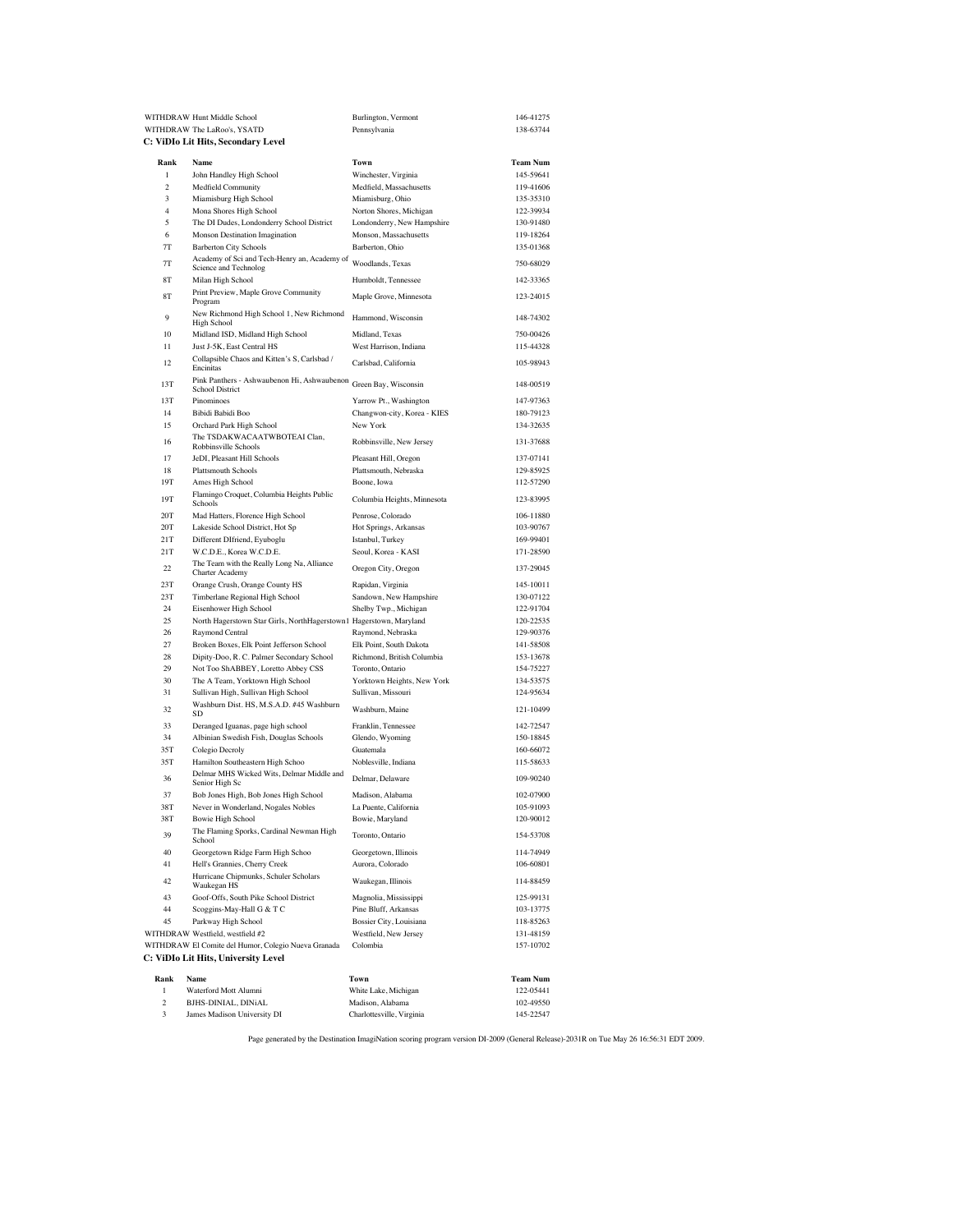|                     | WITHDRAW Hunt Middle School                                                                 | Burlington, Vermont                                 | 146-41275              |
|---------------------|---------------------------------------------------------------------------------------------|-----------------------------------------------------|------------------------|
|                     | WITHDRAW The LaRoo's, YSATD                                                                 | Pennsylvania                                        | 138-63744              |
|                     | C: ViDIo Lit Hits, Secondary Level                                                          |                                                     |                        |
| Rank                | Name                                                                                        | Town                                                | <b>Team Num</b>        |
| 1                   | John Handley High School                                                                    | Winchester, Virginia                                | 145-59641              |
| $\overline{c}$      | <b>Medfield Community</b>                                                                   | Medfield, Massachusetts                             | 119-41606              |
| 3                   | Miamisburg High School                                                                      | Miamisburg, Ohio                                    | 135-35310              |
| $\overline{4}$<br>5 | Mona Shores High School                                                                     | Norton Shores, Michigan                             | 122-39934              |
| 6                   | The DI Dudes, Londonderry School District<br>Monson Destination Imagination                 | Londonderry, New Hampshire<br>Monson, Massachusetts | 130-91480<br>119-18264 |
| 7T                  | <b>Barberton City Schools</b>                                                               | Barberton, Ohio                                     | 135-01368              |
| 7T                  | Academy of Sci and Tech-Henry an, Academy of                                                | Woodlands, Texas                                    | 750-68029              |
|                     | Science and Technolog                                                                       |                                                     |                        |
| 8T                  | Milan High School                                                                           | Humboldt, Tennessee                                 | 142-33365              |
| 8T                  | Print Preview, Maple Grove Community<br>Program<br>New Richmond High School 1, New Richmond | Maple Grove, Minnesota                              | 123-24015              |
| 9                   | High School                                                                                 | Hammond, Wisconsin                                  | 148-74302              |
| 10                  | Midland ISD, Midland High School                                                            | Midland, Texas                                      | 750-00426              |
| 11                  | Just J-5K, East Central HS                                                                  | West Harrison, Indiana                              | 115-44328              |
| 12                  | Collapsible Chaos and Kitten's S, Carlsbad /<br>Encinitas                                   | Carlsbad, California                                | 105-98943              |
| 13T                 | Pink Panthers - Ashwaubenon Hi, Ashwaubenon<br><b>School District</b>                       | Green Bay, Wisconsin                                | 148-00519              |
| 13T                 | Pinominoes                                                                                  | Yarrow Pt., Washington                              | 147-97363              |
| 14                  | Bibidi Babidi Boo                                                                           | Changwon-city, Korea - KIES                         | 180-79123              |
| 15                  | Orchard Park High School                                                                    | New York                                            | 134-32635              |
| 16                  | The TSDAKWACAATWBOTEAI Clan,<br>Robbinsville Schools                                        | Robbinsville, New Jersey                            | 131-37688              |
| 17                  | JeDI, Pleasant Hill Schools                                                                 | Pleasant Hill, Oregon                               | 137-07141              |
| 18                  | Plattsmouth Schools                                                                         | Plattsmouth, Nebraska                               | 129-85925              |
| 19T                 | Ames High School                                                                            | Boone, Iowa                                         | 112-57290              |
| 19T                 | Flamingo Croquet, Columbia Heights Public<br>Schools                                        | Columbia Heights, Minnesota                         | 123-83995              |
| 20T                 | Mad Hatters, Florence High School                                                           | Penrose, Colorado                                   | 106-11880              |
| 20T<br>21T          | Lakeside School District, Hot Sp<br>Different DIfriend, Eyuboglu                            | Hot Springs, Arkansas<br>Istanbul, Turkey           | 103-90767<br>169-99401 |
| 21T                 | W.C.D.E., Korea W.C.D.E.                                                                    | Seoul, Korea - KASI                                 | 171-28590              |
| 22                  | The Team with the Really Long Na, Alliance<br><b>Charter Academy</b>                        | Oregon City, Oregon                                 | 137-29045              |
| 23T                 | Orange Crush, Orange County HS                                                              | Rapidan, Virginia                                   | 145-10011              |
| 23T                 | Timberlane Regional High School                                                             | Sandown, New Hampshire                              | 130-07122              |
| 24                  | Eisenhower High School                                                                      | Shelby Twp., Michigan                               | 122-91704              |
| 25<br>26            | North Hagerstown Star Girls, NorthHagerstown1 Hagerstown, Maryland<br>Raymond Central       | Raymond, Nebraska                                   | 120-22535<br>129-90376 |
| 27                  | Broken Boxes, Elk Point Jefferson School                                                    | Elk Point, South Dakota                             | 141-58508              |
| 28                  | Dipity-Doo, R. C. Palmer Secondary School                                                   | Richmond, British Columbia                          | 153-13678              |
| 29                  | Not Too ShABBEY, Loretto Abbey CSS                                                          | Toronto, Ontario                                    | 154-75227              |
| 30                  | The A Team, Yorktown High School                                                            | Yorktown Heights, New York                          | 134-53575              |
| 31<br>32            | Sullivan High, Sullivan High School<br>Washburn Dist. HS, M.S.A.D. #45 Washburn             | Sullivan, Missouri<br>Washburn, Maine               | 124-95634<br>121-10499 |
|                     | <b>SD</b>                                                                                   |                                                     | 142-72547              |
| 33<br>34            | Deranged Iguanas, page high school<br>Albinian Swedish Fish, Douglas Schools                | Franklin, Tennessee<br>Glendo, Wyoming              | 150-18845              |
| 35T                 | Colegio Decroly                                                                             | Guatemala                                           | 160-66072              |
| 35T                 | Hamilton Southeastern High Schoo                                                            | Noblesville, Indiana                                | 115-58633              |
| 36                  | Delmar MHS Wicked Wits, Delmar Middle and<br>Senior High Sc                                 | Delmar, Delaware                                    | 109-90240              |
| 37                  | Bob Jones High, Bob Jones High School                                                       | Madison, Alabama                                    | 102-07900              |
| 38T                 | Never in Wonderland, Nogales Nobles                                                         | La Puente, California                               | 105-91093              |
| 38T                 | <b>Bowie High School</b><br>The Flaming Sporks, Cardinal Newman High                        | Bowie, Maryland                                     | 120-90012              |
| 39                  | School                                                                                      | Toronto, Ontario                                    | 154-53708              |
| 40                  | Georgetown Ridge Farm High Schoo                                                            | Georgetown, Illinois                                | 114-74949              |
| 41                  | Hell's Grannies, Cherry Creek<br>Hurricane Chipmunks, Schuler Scholars                      | Aurora, Colorado                                    | 106-60801              |
| 42<br>43            | Waukegan HS                                                                                 | Waukegan, Illinois                                  | 114-88459<br>125-99131 |
| 44                  | Goof-Offs, South Pike School District<br>Scoggins-May-Hall G & T C                          | Magnolia, Mississippi<br>Pine Bluff, Arkansas       | 103-13775              |
| 45                  | Parkway High School                                                                         | Bossier City, Louisiana                             | 118-85263              |
|                     | WITHDRAW Westfield, westfield #2                                                            | Westfield, New Jersey                               | 131-48159              |
|                     | WITHDRAW El Comite del Humor, Colegio Nueva Granada                                         | Colombia                                            | 157-10702              |
|                     | C: ViDIo Lit Hits, University Level                                                         |                                                     |                        |
| Rank                | Name                                                                                        | Town                                                | Team Num               |
| $\mathbf{1}$        | Waterford Mott Alumni                                                                       | White Lake, Michigan                                | 122-05441              |
| $\overline{c}$      | BJHS-DINIAL, DINiAL                                                                         | Madison, Alabama                                    | 102-49550              |
| 3                   | James Madison University DI                                                                 | Charlottesville, Virginia                           | 145-22547              |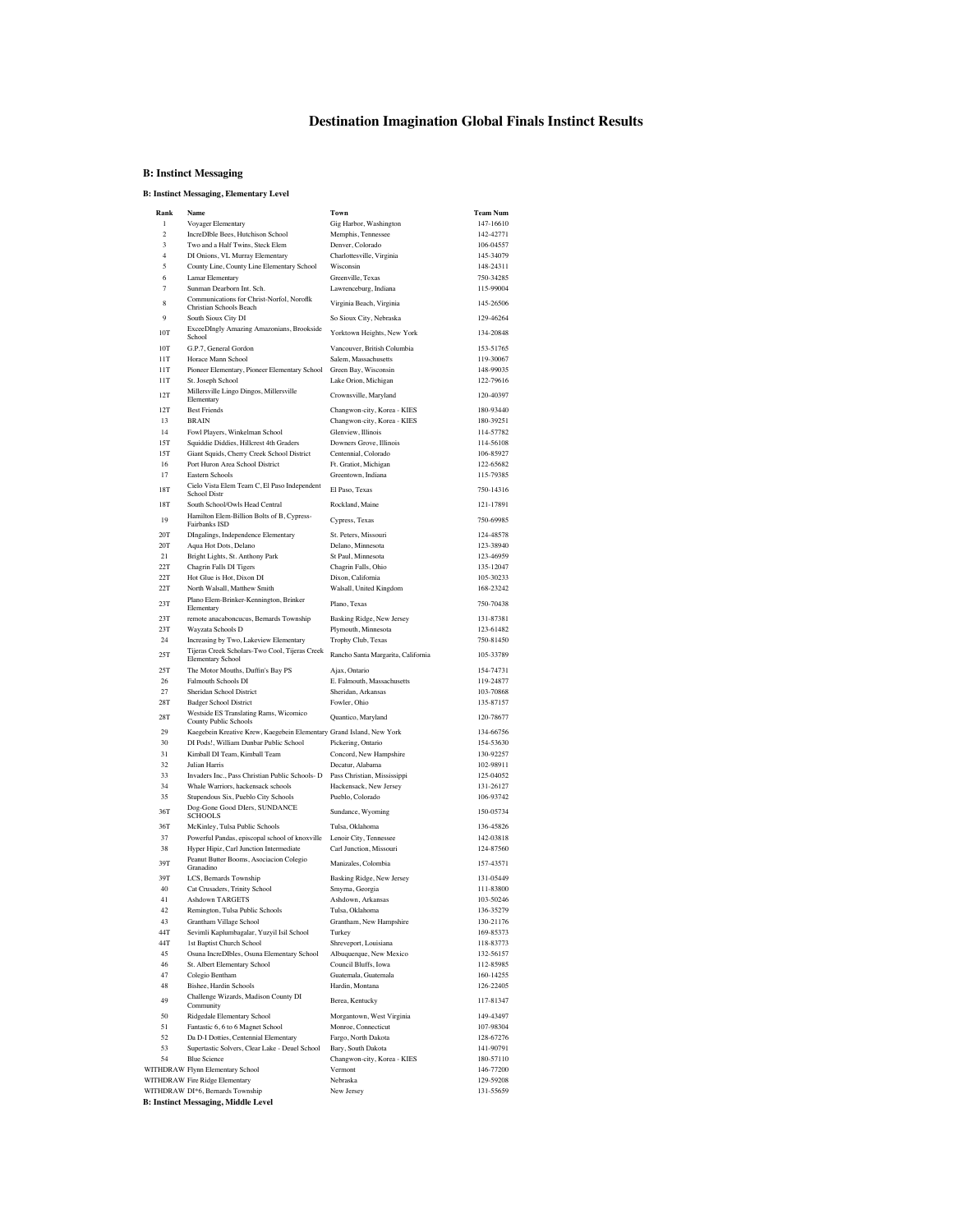### **Destination Imagination Global Finals Instinct Results**

#### **B: Instinct Messaging**

#### **B: Instinct Messaging, Elementary Level**

| Rank              | Name                                                                       | Town                                         | <b>Team Num</b>        |
|-------------------|----------------------------------------------------------------------------|----------------------------------------------|------------------------|
| 1                 | Voyager Elementary                                                         | Gig Harbor, Washington                       | 147-16610              |
| $\mathfrak{D}$    | IncreDIble Bees, Hutchison School                                          | Memphis, Tennessee                           | 142-42771              |
| 3                 | Two and a Half Twins, Steck Elem                                           | Denver, Colorado                             | 106-04557              |
| $\overline{4}$    | DI Onions, VL Murray Elementary                                            | Charlottesville, Virginia                    | 145-34079              |
| 5                 | County Line, County Line Elementary School                                 | Wisconsin                                    | 148-24311              |
| 6                 | Lamar Elementary                                                           | Greenville, Texas                            | 750-34285              |
| $\tau$            | Sunman Dearborn Int. Sch.<br>Communications for Christ-Norfol, Noroflk     | Lawrenceburg, Indiana                        | 115-99004              |
| 8                 | Christian Schools Beach                                                    | Virginia Beach, Virginia                     | 145-26506              |
| 9                 | South Sioux City DI                                                        | So Sioux City, Nebraska                      | 129-46264              |
| 10T               | ExceeDIngly Amazing Amazonians, Brookside                                  | Yorktown Heights, New York                   | 134-20848              |
|                   | School                                                                     |                                              |                        |
| 10T               | G.P.7, General Gordon                                                      | Vancouver, British Columbia                  | 153-51765              |
| 11T<br><b>11T</b> | Horace Mann School                                                         | Salem, Massachusetts                         | 119-30067              |
| 11T               | Pioneer Elementary, Pioneer Elementary School                              | Green Bay, Wisconsin<br>Lake Orion, Michigan | 148-99035<br>122-79616 |
|                   | St. Joseph School<br>Millersville Lingo Dingos, Millersville               |                                              |                        |
| 12T               | Elementary                                                                 | Crownsville, Maryland                        | 120-40397              |
| 12T               | <b>Best Friends</b>                                                        | Changwon-city, Korea - KIES                  | 180-93440              |
| 13                | <b>BRAIN</b>                                                               | Changwon-city, Korea - KIES                  | 180-39251              |
| 14                | Fowl Players, Winkelman School                                             | Glenview, Illinois                           | 114-57782              |
| 15T               | Squiddie Diddies, Hillcrest 4th Graders                                    | Downers Grove, Illinois                      | 114-56108              |
| 15T               | Giant Squids, Cherry Creek School District                                 | Centennial, Colorado                         | 106-85927              |
| 16                | Port Huron Area School District                                            | Ft. Gratiot, Michigan                        | 122-65682              |
| 17                | Eastern Schools                                                            | Greentown, Indiana                           | 115-79385              |
| 18T               | Cielo Vista Elem Team C, El Paso Independent<br><b>School Distr</b>        | El Paso, Texas                               | 750-14316              |
| <b>18T</b>        | South School/Owls Head Central                                             | Rockland, Maine                              | 121-17891              |
|                   | Hamilton Elem-Billion Bolts of B, Cypress-                                 |                                              |                        |
| 19                | Fairbanks ISD                                                              | Cypress, Texas                               | 750-69985              |
| 20T               | DIngalings, Independence Elementary                                        | St. Peters, Missouri                         | 124-48578              |
| 20T               | Aqua Hot Dots, Delano                                                      | Delano, Minnesota                            | 123-38940              |
| 21                | Bright Lights, St. Anthony Park                                            | St Paul, Minnesota                           | 123-46959              |
| 22T               | Chagrin Falls DI Tigers                                                    | Chagrin Falls, Ohio                          | 135-12047              |
| 22T               | Hot Glue is Hot, Dixon DI                                                  | Dixon, California                            | 105-30233              |
| 22T               | North Walsall, Matthew Smith<br>Plano Elem-Brinker-Kennington, Brinker     | Walsall, United Kingdom                      | 168-23242              |
| 23T               | Elementary                                                                 | Plano, Texas                                 | 750-70438              |
| 23T               | remote anacaboncucus, Bernards Township                                    | Basking Ridge, New Jersey                    | 131-87381              |
| 23T               | Wayzata Schools D                                                          | Plymouth, Minnesota                          | 123-61482              |
| 24                | Increasing by Two, Lakeview Elementary                                     | Trophy Club, Texas                           | 750-81450              |
| 25T               | Tijeras Creek Scholars-Two Cool, Tijeras Creek                             | Rancho Santa Margarita, California           | 105-33789              |
| 25T               | <b>Elementary School</b>                                                   |                                              |                        |
| 26                | The Motor Mouths, Duffin's Bay PS<br>Falmouth Schools DI                   | Ajax, Ontario<br>E. Falmouth, Massachusetts  | 154-74731<br>119-24877 |
| 27                | Sheridan School District                                                   | Sheridan, Arkansas                           | 103-70868              |
| 28T               | <b>Badger School District</b>                                              | Fowler, Ohio                                 | 135-87157              |
|                   | Westside ES Translating Rams, Wicomico                                     |                                              |                        |
| 28T               | County Public Schools                                                      | Quantico, Maryland                           | 120-78677              |
| 29                | Kaegebein Kreative Krew, Kaegebein Elementary Grand Island, New York       |                                              | 134-66756              |
| 30                | DI Pods!, William Dunbar Public School                                     | Pickering, Ontario                           | 154-53630              |
| 31                | Kimball DI Team, Kimball Team                                              | Concord, New Hampshire                       | 130-92257              |
| 32                | Julian Harris                                                              | Decatur, Alabama                             | 102-98911              |
| 33                | Invaders Inc., Pass Christian Public Schools- D                            | Pass Christian, Mississippi                  | 125-04052              |
| 34<br>35          | Whale Warriors, hackensack schools                                         | Hackensack, New Jersey                       | 131-26127              |
|                   | Stupendous Six, Pueblo City Schools<br>Dog-Gone Good Dlers, SUNDANCE       | Pueblo, Colorado                             | 106-93742              |
| 36T               | SCHOOLS                                                                    | Sundance, Wyoming                            | 150-05734              |
| 36T               | McKinley, Tulsa Public Schools                                             | Tulsa, Oklahoma                              | 136-45826              |
| 37                | Powerful Pandas, episcopal school of knoxville                             | Lenoir City, Tennessee                       | 142-03818              |
| 38                | Hyper Hipiz, Carl Junction Intermediate                                    | Carl Junction, Missouri                      | 124-87560              |
| 39T               | Peanut Butter Booms, Asociacion Colegio                                    | Manizales, Colombia                          | 157-43571              |
| 39T               | Granadino                                                                  | Basking Ridge, New Jersey                    | 131-05449              |
| 40                | LCS, Bernards Township<br>Cat Crusaders, Trinity School                    | Smyrna, Georgia                              | 111-83800              |
| 41                | <b>Ashdown TARGETS</b>                                                     | Ashdown, Arkansas                            | 103-50246              |
| 42                | Remington, Tulsa Public Schools                                            | Tulsa, Oklahoma                              | 136-35279              |
| 43                | Grantham Village School                                                    | Grantham, New Hampshire                      | 130-21176              |
| 44T               | Sevimli Kaplumbagalar, Yuzyil Isil School                                  | Turkey                                       | 169-85373              |
| 44T               | 1st Baptist Church School                                                  | Shreveport, Louisiana                        | 118-83773              |
| 45                | Osuna IncreDIbles, Osuna Elementary School                                 | Albuquerque, New Mexico                      | 132-56157              |
| 46                | St. Albert Elementary School                                               | Council Bluffs, Iowa                         | 112-85985              |
| 47                | Colegio Bentham                                                            | Guatemala, Guatemala                         | 160-14255              |
| 48                | Bishee, Hardin Schools                                                     | Hardin, Montana                              | 126-22405              |
| 49                | Challenge Wizards, Madison County DI                                       | Berea, Kentucky                              | 117-81347              |
|                   | Community                                                                  |                                              | 149-43497              |
| 50<br>51          | Ridgedale Elementary School                                                | Morgantown, West Virginia                    | 107-98304              |
| 52                | Fantastic 6, 6 to 6 Magnet School<br>Da D-I Dotties, Centennial Elementary | Monroe, Connecticut<br>Fargo, North Dakota   | 128-67276              |
| 53                | Supertastic Solvers, Clear Lake - Deuel School                             | Bary, South Dakota                           | 141-90791              |
| 54                | <b>Blue Science</b>                                                        | Changwon-city, Korea - KIES                  | 180-57110              |
|                   | WITHDRAW Flynn Elementary School                                           | Vermont                                      | 146-77200              |
|                   | WITHDRAW Fire Ridge Elementary                                             | Nebraska                                     | 129-59208              |
|                   | WITHDRAW DI*6, Bernards Township                                           | New Jersey                                   | 131-55659              |
|                   | <b>B: Instinct Messaging, Middle Level</b>                                 |                                              |                        |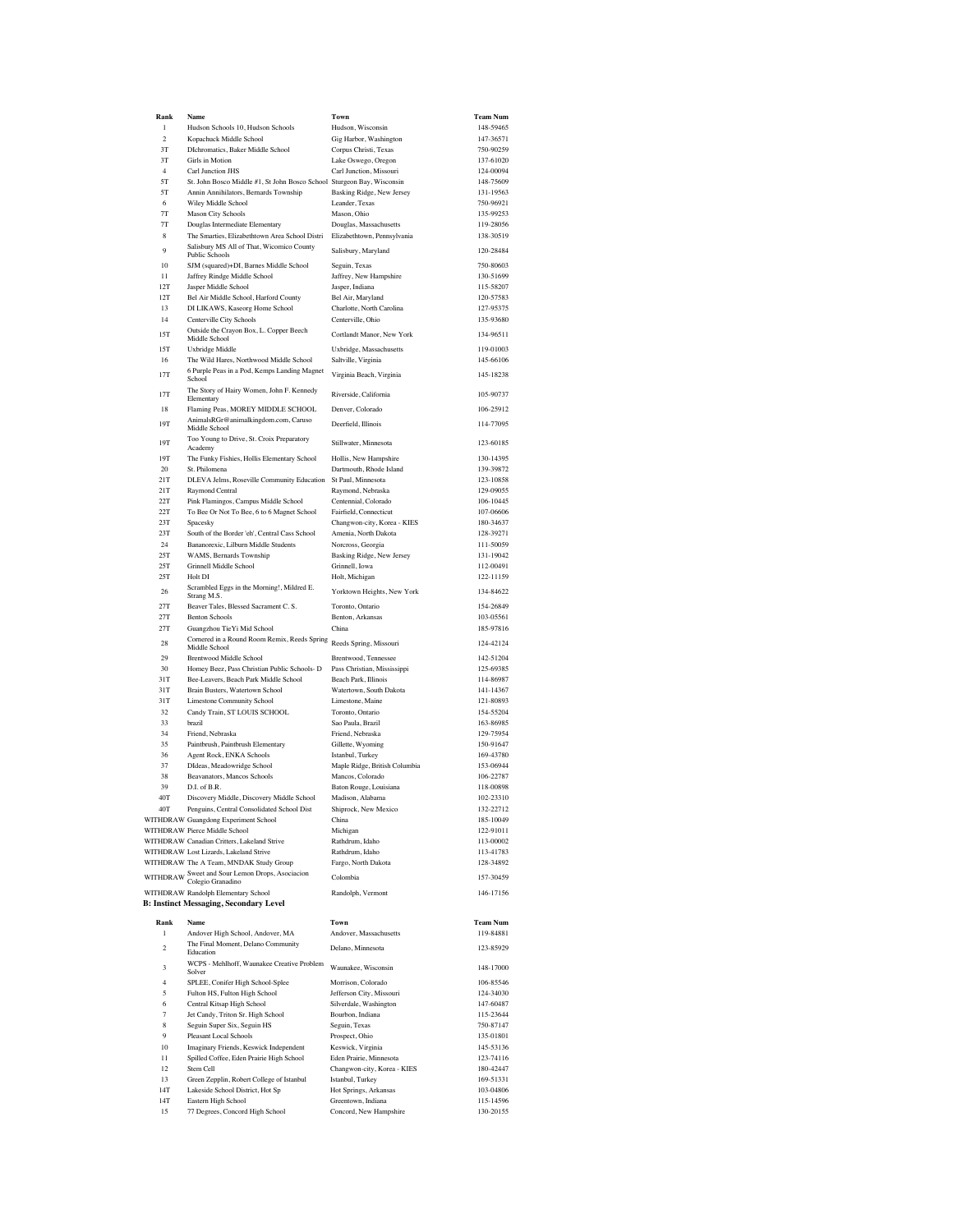| $\mathbf{1}$<br>Hudson Schools 10, Hudson Schools<br>Hudson, Wisconsin<br>$\overline{\mathbf{c}}$<br>Kopachuck Middle School<br>Gig Harbor, Washington<br>3T<br>DIchromatics, Baker Middle School<br>Corpus Christi, Texas<br>3T<br><b>Girls</b> in Motion<br>Lake Oswego, Oregon<br>Carl Junction JHS<br>Carl Junction, Missouri<br>$\overline{4}$<br>$5\mathrm{T}$<br>St. John Bosco Middle #1, St John Bosco School Sturgeon Bay, Wisconsin<br>5T<br>Annin Annihilators, Bernards Township<br>Basking Ridge, New Jersey<br>Leander, Texas<br>6<br>Wiley Middle School<br>7T<br>Mason City Schools<br>Mason, Ohio<br>$7\mathrm{T}$<br>Douglas, Massachusetts<br>Douglas Intermediate Elementary<br>Elizabethtown, Pennsylvania<br>8<br>The Smarties, Elizabethtown Area School Distri<br>Salisbury MS All of That, Wicomico County<br>9<br>Salisbury, Maryland<br>Public Schools<br>10<br>SJM (squared)+DI, Barnes Middle School<br>Seguin, Texas<br>Jaffrey Rindge Middle School<br>Jaffrey, New Hampshire<br>11<br>12T<br>Jasper Middle School<br>Jasper, Indiana<br>12T<br>Bel Air Middle School, Harford County<br>Bel Air, Maryland<br>13<br>DI LIKAWS, Kaseorg Home School<br>Charlotte, North Carolina<br>Centerville, Ohio<br>14<br>Centerville City Schools<br>Outside the Crayon Box, L. Copper Beech<br>Cortlandt Manor, New York<br>15T<br>Middle School<br>15T<br>Uxbridge, Massachusetts<br>Uxbridge Middle<br>The Wild Hares, Northwood Middle School<br>Saltville, Virginia<br>16<br>6 Purple Peas in a Pod, Kemps Landing Magnet<br><b>17T</b><br>Virginia Beach, Virginia<br>School<br>The Story of Hairy Women, John F. Kennedy<br>17T<br>Riverside, California<br>Elementary<br>18<br>Flaming Peas, MOREY MIDDLE SCHOOL<br>Denver, Colorado<br>AnimalsRGr@animalkingdom.com, Caruso<br>19T<br>Deerfield, Illinois<br>Middle School<br>Too Young to Drive, St. Croix Preparatory<br>19T<br>Stillwater, Minnesota<br>Academy<br>19T<br>The Funky Fishies, Hollis Elementary School<br>Hollis, New Hampshire<br>20<br>St. Philomena<br>Dartmouth, Rhode Island<br>21T<br>DLEVA Jelms, Roseville Community Education<br>St Paul, Minnesota<br>21T<br>Raymond Central<br>Raymond, Nebraska<br>22T<br>Centennial, Colorado<br>Pink Flamingos, Campus Middle School<br>22T<br>To Bee Or Not To Bee, 6 to 6 Magnet School<br>Fairfield, Connecticut<br>23T<br>Spacesky<br>Changwon-city, Korea - KIES<br>23T<br>South of the Border 'eh', Central Cass School<br>Amenia, North Dakota<br>Bananorexic, Lilburn Middle Students<br>24<br>Norcross, Georgia<br>25T<br>WAMS, Bernards Township<br>Basking Ridge, New Jersey<br>25T<br>Grinnell Middle School<br>Grinnell, Iowa<br>25T<br>Holt DI<br>Holt, Michigan<br>Scrambled Eggs in the Morning!, Mildred E.<br>26<br>Yorktown Heights, New York<br>Strang M.S.<br>27T<br>Beaver Tales, Blessed Sacrament C. S.<br>Toronto, Ontario<br>27T<br><b>Benton Schools</b><br>Benton, Arkansas<br>27T<br>Guangzhou TieYi Mid School<br>China<br>Cornered in a Round Room Remix, Reeds Spring<br>28<br>Reeds Spring, Missouri<br>Middle School<br>29<br><b>Brentwood Middle School</b><br>Brentwood, Tennessee<br>30<br>Homey Beez, Pass Christian Public Schools- D<br>Pass Christian, Mississippi<br>31T<br>Bee-Leavers, Beach Park Middle School<br>Beach Park, Illinois<br>31T<br>Brain Busters, Watertown School<br>Watertown, South Dakota<br>31T<br><b>Limestone Community School</b><br>Limestone, Maine<br>32<br>Candy Train, ST LOUIS SCHOOL<br>Toronto, Ontario<br>brazil<br>Sao Paula, Brazil<br>33<br>34<br>Friend, Nebraska<br>Friend, Nebraska<br>35<br>Paintbrush, Paintbrush Elementary<br>Gillette, Wyoming<br>36<br>Agent Rock, ENKA Schools<br>Istanbul, Turkey<br>37<br>DIdeas, Meadowridge School<br>Maple Ridge, British Columbia<br>38<br>Beavanators, Mancos Schools<br>Mancos, Colorado<br>39<br>D.L of B.R.<br>Baton Rouge, Louisiana<br>40T<br>Discovery Middle, Discovery Middle School<br>Madison, Alabama<br>40T<br>Penguins, Central Consolidated School Dist<br>Shiprock, New Mexico<br>WITHDRAW Guangdong Experiment School<br>China<br>WITHDRAW Pierce Middle School<br>Michigan<br>WITHDRAW Canadian Critters, Lakeland Strive<br>Rathdrum, Idaho<br>WITHDRAW Lost Lizards, Lakeland Strive<br>Rathdrum, Idaho<br>WITHDRAW The A Team, MNDAK Study Group<br>Fargo, North Dakota<br>WITHDRAW Sweet and Sour Lemon Drops, Asociacion<br>Colombia<br>Colegio Granadino<br>WITHDRAW Randolph Elementary School<br>Randolph, Vermont<br><b>B: Instinct Messaging, Secondary Level</b><br>Rank<br>Name<br>Town<br>1<br>Andover High School, Andover, MA<br>Andover, Massachusetts<br>The Final Moment, Delano Community<br>$\overline{2}$<br>Delano, Minnesota<br>Education<br>WCPS - Mehlhoff, Waunakee Creative Problem<br>3<br>Waunakee, Wisconsin<br>Solver<br>$\overline{4}$<br>SPLEE, Conifer High School-Splee<br>Morrison, Colorado<br>5<br>Fulton HS, Fulton High School<br>Jefferson City, Missouri<br>Central Kitsap High School<br>Silverdale, Washington<br>6<br>$\overline{7}$<br>Jet Candy, Triton Sr. High School<br>Bourbon, Indiana<br>8<br>Seguin Super Six, Seguin HS<br>Seguin, Texas<br>9<br><b>Pleasant Local Schools</b><br>Prospect, Ohio<br>10<br>Imaginary Friends, Keswick Independent<br>Keswick, Virginia<br>Spilled Coffee, Eden Prairie High School<br>11<br>Eden Prairie, Minnesota<br>12<br>Stem Cell<br>Changwon-city, Korea - KIES<br>13<br>Green Zepplin, Robert College of Istanbul<br>Istanbul, Turkey<br>14T<br>Lakeside School District, Hot Sp<br>Hot Springs, Arkansas<br>14T<br>Eastern High School<br>Greentown, Indiana<br>77 Degrees, Concord High School<br>Concord, New Hampshire<br>15 | Rank | Name | Town | <b>Team Num</b> |
|------------------------------------------------------------------------------------------------------------------------------------------------------------------------------------------------------------------------------------------------------------------------------------------------------------------------------------------------------------------------------------------------------------------------------------------------------------------------------------------------------------------------------------------------------------------------------------------------------------------------------------------------------------------------------------------------------------------------------------------------------------------------------------------------------------------------------------------------------------------------------------------------------------------------------------------------------------------------------------------------------------------------------------------------------------------------------------------------------------------------------------------------------------------------------------------------------------------------------------------------------------------------------------------------------------------------------------------------------------------------------------------------------------------------------------------------------------------------------------------------------------------------------------------------------------------------------------------------------------------------------------------------------------------------------------------------------------------------------------------------------------------------------------------------------------------------------------------------------------------------------------------------------------------------------------------------------------------------------------------------------------------------------------------------------------------------------------------------------------------------------------------------------------------------------------------------------------------------------------------------------------------------------------------------------------------------------------------------------------------------------------------------------------------------------------------------------------------------------------------------------------------------------------------------------------------------------------------------------------------------------------------------------------------------------------------------------------------------------------------------------------------------------------------------------------------------------------------------------------------------------------------------------------------------------------------------------------------------------------------------------------------------------------------------------------------------------------------------------------------------------------------------------------------------------------------------------------------------------------------------------------------------------------------------------------------------------------------------------------------------------------------------------------------------------------------------------------------------------------------------------------------------------------------------------------------------------------------------------------------------------------------------------------------------------------------------------------------------------------------------------------------------------------------------------------------------------------------------------------------------------------------------------------------------------------------------------------------------------------------------------------------------------------------------------------------------------------------------------------------------------------------------------------------------------------------------------------------------------------------------------------------------------------------------------------------------------------------------------------------------------------------------------------------------------------------------------------------------------------------------------------------------------------------------------------------------------------------------------------------------------------------------------------------------------------------------------------------------------------------------------------------------------------------------------------------------------------------------------------------------------------------------------------------------------------------------------------------------------------------------------------------------------------------------------------------------------------------------------------------------------------------------------------------------------------------------------------------------------------------------------------------------------------------------------------------------------------------------------------------------------------------------------------------------------------------------------------------------------------------------------------------------------------------------------------------------------------------------------------------------------------------------------------------------------------------------------------------------------|------|------|------|-----------------|
|                                                                                                                                                                                                                                                                                                                                                                                                                                                                                                                                                                                                                                                                                                                                                                                                                                                                                                                                                                                                                                                                                                                                                                                                                                                                                                                                                                                                                                                                                                                                                                                                                                                                                                                                                                                                                                                                                                                                                                                                                                                                                                                                                                                                                                                                                                                                                                                                                                                                                                                                                                                                                                                                                                                                                                                                                                                                                                                                                                                                                                                                                                                                                                                                                                                                                                                                                                                                                                                                                                                                                                                                                                                                                                                                                                                                                                                                                                                                                                                                                                                                                                                                                                                                                                                                                                                                                                                                                                                                                                                                                                                                                                                                                                                                                                                                                                                                                                                                                                                                                                                                                                                                                                                                                                                                                                                                                                                                                                                                                                                                                                                                                                                                                                                              |      |      |      | 148-59465       |
|                                                                                                                                                                                                                                                                                                                                                                                                                                                                                                                                                                                                                                                                                                                                                                                                                                                                                                                                                                                                                                                                                                                                                                                                                                                                                                                                                                                                                                                                                                                                                                                                                                                                                                                                                                                                                                                                                                                                                                                                                                                                                                                                                                                                                                                                                                                                                                                                                                                                                                                                                                                                                                                                                                                                                                                                                                                                                                                                                                                                                                                                                                                                                                                                                                                                                                                                                                                                                                                                                                                                                                                                                                                                                                                                                                                                                                                                                                                                                                                                                                                                                                                                                                                                                                                                                                                                                                                                                                                                                                                                                                                                                                                                                                                                                                                                                                                                                                                                                                                                                                                                                                                                                                                                                                                                                                                                                                                                                                                                                                                                                                                                                                                                                                                              |      |      |      | 147-36571       |
|                                                                                                                                                                                                                                                                                                                                                                                                                                                                                                                                                                                                                                                                                                                                                                                                                                                                                                                                                                                                                                                                                                                                                                                                                                                                                                                                                                                                                                                                                                                                                                                                                                                                                                                                                                                                                                                                                                                                                                                                                                                                                                                                                                                                                                                                                                                                                                                                                                                                                                                                                                                                                                                                                                                                                                                                                                                                                                                                                                                                                                                                                                                                                                                                                                                                                                                                                                                                                                                                                                                                                                                                                                                                                                                                                                                                                                                                                                                                                                                                                                                                                                                                                                                                                                                                                                                                                                                                                                                                                                                                                                                                                                                                                                                                                                                                                                                                                                                                                                                                                                                                                                                                                                                                                                                                                                                                                                                                                                                                                                                                                                                                                                                                                                                              |      |      |      | 750-90259       |
|                                                                                                                                                                                                                                                                                                                                                                                                                                                                                                                                                                                                                                                                                                                                                                                                                                                                                                                                                                                                                                                                                                                                                                                                                                                                                                                                                                                                                                                                                                                                                                                                                                                                                                                                                                                                                                                                                                                                                                                                                                                                                                                                                                                                                                                                                                                                                                                                                                                                                                                                                                                                                                                                                                                                                                                                                                                                                                                                                                                                                                                                                                                                                                                                                                                                                                                                                                                                                                                                                                                                                                                                                                                                                                                                                                                                                                                                                                                                                                                                                                                                                                                                                                                                                                                                                                                                                                                                                                                                                                                                                                                                                                                                                                                                                                                                                                                                                                                                                                                                                                                                                                                                                                                                                                                                                                                                                                                                                                                                                                                                                                                                                                                                                                                              |      |      |      | 137-61020       |
|                                                                                                                                                                                                                                                                                                                                                                                                                                                                                                                                                                                                                                                                                                                                                                                                                                                                                                                                                                                                                                                                                                                                                                                                                                                                                                                                                                                                                                                                                                                                                                                                                                                                                                                                                                                                                                                                                                                                                                                                                                                                                                                                                                                                                                                                                                                                                                                                                                                                                                                                                                                                                                                                                                                                                                                                                                                                                                                                                                                                                                                                                                                                                                                                                                                                                                                                                                                                                                                                                                                                                                                                                                                                                                                                                                                                                                                                                                                                                                                                                                                                                                                                                                                                                                                                                                                                                                                                                                                                                                                                                                                                                                                                                                                                                                                                                                                                                                                                                                                                                                                                                                                                                                                                                                                                                                                                                                                                                                                                                                                                                                                                                                                                                                                              |      |      |      | 124-00094       |
|                                                                                                                                                                                                                                                                                                                                                                                                                                                                                                                                                                                                                                                                                                                                                                                                                                                                                                                                                                                                                                                                                                                                                                                                                                                                                                                                                                                                                                                                                                                                                                                                                                                                                                                                                                                                                                                                                                                                                                                                                                                                                                                                                                                                                                                                                                                                                                                                                                                                                                                                                                                                                                                                                                                                                                                                                                                                                                                                                                                                                                                                                                                                                                                                                                                                                                                                                                                                                                                                                                                                                                                                                                                                                                                                                                                                                                                                                                                                                                                                                                                                                                                                                                                                                                                                                                                                                                                                                                                                                                                                                                                                                                                                                                                                                                                                                                                                                                                                                                                                                                                                                                                                                                                                                                                                                                                                                                                                                                                                                                                                                                                                                                                                                                                              |      |      |      | 148-75609       |
|                                                                                                                                                                                                                                                                                                                                                                                                                                                                                                                                                                                                                                                                                                                                                                                                                                                                                                                                                                                                                                                                                                                                                                                                                                                                                                                                                                                                                                                                                                                                                                                                                                                                                                                                                                                                                                                                                                                                                                                                                                                                                                                                                                                                                                                                                                                                                                                                                                                                                                                                                                                                                                                                                                                                                                                                                                                                                                                                                                                                                                                                                                                                                                                                                                                                                                                                                                                                                                                                                                                                                                                                                                                                                                                                                                                                                                                                                                                                                                                                                                                                                                                                                                                                                                                                                                                                                                                                                                                                                                                                                                                                                                                                                                                                                                                                                                                                                                                                                                                                                                                                                                                                                                                                                                                                                                                                                                                                                                                                                                                                                                                                                                                                                                                              |      |      |      | 131-19563       |
|                                                                                                                                                                                                                                                                                                                                                                                                                                                                                                                                                                                                                                                                                                                                                                                                                                                                                                                                                                                                                                                                                                                                                                                                                                                                                                                                                                                                                                                                                                                                                                                                                                                                                                                                                                                                                                                                                                                                                                                                                                                                                                                                                                                                                                                                                                                                                                                                                                                                                                                                                                                                                                                                                                                                                                                                                                                                                                                                                                                                                                                                                                                                                                                                                                                                                                                                                                                                                                                                                                                                                                                                                                                                                                                                                                                                                                                                                                                                                                                                                                                                                                                                                                                                                                                                                                                                                                                                                                                                                                                                                                                                                                                                                                                                                                                                                                                                                                                                                                                                                                                                                                                                                                                                                                                                                                                                                                                                                                                                                                                                                                                                                                                                                                                              |      |      |      | 750-96921       |
|                                                                                                                                                                                                                                                                                                                                                                                                                                                                                                                                                                                                                                                                                                                                                                                                                                                                                                                                                                                                                                                                                                                                                                                                                                                                                                                                                                                                                                                                                                                                                                                                                                                                                                                                                                                                                                                                                                                                                                                                                                                                                                                                                                                                                                                                                                                                                                                                                                                                                                                                                                                                                                                                                                                                                                                                                                                                                                                                                                                                                                                                                                                                                                                                                                                                                                                                                                                                                                                                                                                                                                                                                                                                                                                                                                                                                                                                                                                                                                                                                                                                                                                                                                                                                                                                                                                                                                                                                                                                                                                                                                                                                                                                                                                                                                                                                                                                                                                                                                                                                                                                                                                                                                                                                                                                                                                                                                                                                                                                                                                                                                                                                                                                                                                              |      |      |      | 135-99253       |
|                                                                                                                                                                                                                                                                                                                                                                                                                                                                                                                                                                                                                                                                                                                                                                                                                                                                                                                                                                                                                                                                                                                                                                                                                                                                                                                                                                                                                                                                                                                                                                                                                                                                                                                                                                                                                                                                                                                                                                                                                                                                                                                                                                                                                                                                                                                                                                                                                                                                                                                                                                                                                                                                                                                                                                                                                                                                                                                                                                                                                                                                                                                                                                                                                                                                                                                                                                                                                                                                                                                                                                                                                                                                                                                                                                                                                                                                                                                                                                                                                                                                                                                                                                                                                                                                                                                                                                                                                                                                                                                                                                                                                                                                                                                                                                                                                                                                                                                                                                                                                                                                                                                                                                                                                                                                                                                                                                                                                                                                                                                                                                                                                                                                                                                              |      |      |      | 119-28056       |
|                                                                                                                                                                                                                                                                                                                                                                                                                                                                                                                                                                                                                                                                                                                                                                                                                                                                                                                                                                                                                                                                                                                                                                                                                                                                                                                                                                                                                                                                                                                                                                                                                                                                                                                                                                                                                                                                                                                                                                                                                                                                                                                                                                                                                                                                                                                                                                                                                                                                                                                                                                                                                                                                                                                                                                                                                                                                                                                                                                                                                                                                                                                                                                                                                                                                                                                                                                                                                                                                                                                                                                                                                                                                                                                                                                                                                                                                                                                                                                                                                                                                                                                                                                                                                                                                                                                                                                                                                                                                                                                                                                                                                                                                                                                                                                                                                                                                                                                                                                                                                                                                                                                                                                                                                                                                                                                                                                                                                                                                                                                                                                                                                                                                                                                              |      |      |      | 138-30519       |
|                                                                                                                                                                                                                                                                                                                                                                                                                                                                                                                                                                                                                                                                                                                                                                                                                                                                                                                                                                                                                                                                                                                                                                                                                                                                                                                                                                                                                                                                                                                                                                                                                                                                                                                                                                                                                                                                                                                                                                                                                                                                                                                                                                                                                                                                                                                                                                                                                                                                                                                                                                                                                                                                                                                                                                                                                                                                                                                                                                                                                                                                                                                                                                                                                                                                                                                                                                                                                                                                                                                                                                                                                                                                                                                                                                                                                                                                                                                                                                                                                                                                                                                                                                                                                                                                                                                                                                                                                                                                                                                                                                                                                                                                                                                                                                                                                                                                                                                                                                                                                                                                                                                                                                                                                                                                                                                                                                                                                                                                                                                                                                                                                                                                                                                              |      |      |      | 120-28484       |
|                                                                                                                                                                                                                                                                                                                                                                                                                                                                                                                                                                                                                                                                                                                                                                                                                                                                                                                                                                                                                                                                                                                                                                                                                                                                                                                                                                                                                                                                                                                                                                                                                                                                                                                                                                                                                                                                                                                                                                                                                                                                                                                                                                                                                                                                                                                                                                                                                                                                                                                                                                                                                                                                                                                                                                                                                                                                                                                                                                                                                                                                                                                                                                                                                                                                                                                                                                                                                                                                                                                                                                                                                                                                                                                                                                                                                                                                                                                                                                                                                                                                                                                                                                                                                                                                                                                                                                                                                                                                                                                                                                                                                                                                                                                                                                                                                                                                                                                                                                                                                                                                                                                                                                                                                                                                                                                                                                                                                                                                                                                                                                                                                                                                                                                              |      |      |      | 750-80603       |
|                                                                                                                                                                                                                                                                                                                                                                                                                                                                                                                                                                                                                                                                                                                                                                                                                                                                                                                                                                                                                                                                                                                                                                                                                                                                                                                                                                                                                                                                                                                                                                                                                                                                                                                                                                                                                                                                                                                                                                                                                                                                                                                                                                                                                                                                                                                                                                                                                                                                                                                                                                                                                                                                                                                                                                                                                                                                                                                                                                                                                                                                                                                                                                                                                                                                                                                                                                                                                                                                                                                                                                                                                                                                                                                                                                                                                                                                                                                                                                                                                                                                                                                                                                                                                                                                                                                                                                                                                                                                                                                                                                                                                                                                                                                                                                                                                                                                                                                                                                                                                                                                                                                                                                                                                                                                                                                                                                                                                                                                                                                                                                                                                                                                                                                              |      |      |      | 130-51699       |
|                                                                                                                                                                                                                                                                                                                                                                                                                                                                                                                                                                                                                                                                                                                                                                                                                                                                                                                                                                                                                                                                                                                                                                                                                                                                                                                                                                                                                                                                                                                                                                                                                                                                                                                                                                                                                                                                                                                                                                                                                                                                                                                                                                                                                                                                                                                                                                                                                                                                                                                                                                                                                                                                                                                                                                                                                                                                                                                                                                                                                                                                                                                                                                                                                                                                                                                                                                                                                                                                                                                                                                                                                                                                                                                                                                                                                                                                                                                                                                                                                                                                                                                                                                                                                                                                                                                                                                                                                                                                                                                                                                                                                                                                                                                                                                                                                                                                                                                                                                                                                                                                                                                                                                                                                                                                                                                                                                                                                                                                                                                                                                                                                                                                                                                              |      |      |      | 115-58207       |
|                                                                                                                                                                                                                                                                                                                                                                                                                                                                                                                                                                                                                                                                                                                                                                                                                                                                                                                                                                                                                                                                                                                                                                                                                                                                                                                                                                                                                                                                                                                                                                                                                                                                                                                                                                                                                                                                                                                                                                                                                                                                                                                                                                                                                                                                                                                                                                                                                                                                                                                                                                                                                                                                                                                                                                                                                                                                                                                                                                                                                                                                                                                                                                                                                                                                                                                                                                                                                                                                                                                                                                                                                                                                                                                                                                                                                                                                                                                                                                                                                                                                                                                                                                                                                                                                                                                                                                                                                                                                                                                                                                                                                                                                                                                                                                                                                                                                                                                                                                                                                                                                                                                                                                                                                                                                                                                                                                                                                                                                                                                                                                                                                                                                                                                              |      |      |      | 120-57583       |
|                                                                                                                                                                                                                                                                                                                                                                                                                                                                                                                                                                                                                                                                                                                                                                                                                                                                                                                                                                                                                                                                                                                                                                                                                                                                                                                                                                                                                                                                                                                                                                                                                                                                                                                                                                                                                                                                                                                                                                                                                                                                                                                                                                                                                                                                                                                                                                                                                                                                                                                                                                                                                                                                                                                                                                                                                                                                                                                                                                                                                                                                                                                                                                                                                                                                                                                                                                                                                                                                                                                                                                                                                                                                                                                                                                                                                                                                                                                                                                                                                                                                                                                                                                                                                                                                                                                                                                                                                                                                                                                                                                                                                                                                                                                                                                                                                                                                                                                                                                                                                                                                                                                                                                                                                                                                                                                                                                                                                                                                                                                                                                                                                                                                                                                              |      |      |      | 127-95375       |
|                                                                                                                                                                                                                                                                                                                                                                                                                                                                                                                                                                                                                                                                                                                                                                                                                                                                                                                                                                                                                                                                                                                                                                                                                                                                                                                                                                                                                                                                                                                                                                                                                                                                                                                                                                                                                                                                                                                                                                                                                                                                                                                                                                                                                                                                                                                                                                                                                                                                                                                                                                                                                                                                                                                                                                                                                                                                                                                                                                                                                                                                                                                                                                                                                                                                                                                                                                                                                                                                                                                                                                                                                                                                                                                                                                                                                                                                                                                                                                                                                                                                                                                                                                                                                                                                                                                                                                                                                                                                                                                                                                                                                                                                                                                                                                                                                                                                                                                                                                                                                                                                                                                                                                                                                                                                                                                                                                                                                                                                                                                                                                                                                                                                                                                              |      |      |      | 135-93680       |
|                                                                                                                                                                                                                                                                                                                                                                                                                                                                                                                                                                                                                                                                                                                                                                                                                                                                                                                                                                                                                                                                                                                                                                                                                                                                                                                                                                                                                                                                                                                                                                                                                                                                                                                                                                                                                                                                                                                                                                                                                                                                                                                                                                                                                                                                                                                                                                                                                                                                                                                                                                                                                                                                                                                                                                                                                                                                                                                                                                                                                                                                                                                                                                                                                                                                                                                                                                                                                                                                                                                                                                                                                                                                                                                                                                                                                                                                                                                                                                                                                                                                                                                                                                                                                                                                                                                                                                                                                                                                                                                                                                                                                                                                                                                                                                                                                                                                                                                                                                                                                                                                                                                                                                                                                                                                                                                                                                                                                                                                                                                                                                                                                                                                                                                              |      |      |      | 134-96511       |
|                                                                                                                                                                                                                                                                                                                                                                                                                                                                                                                                                                                                                                                                                                                                                                                                                                                                                                                                                                                                                                                                                                                                                                                                                                                                                                                                                                                                                                                                                                                                                                                                                                                                                                                                                                                                                                                                                                                                                                                                                                                                                                                                                                                                                                                                                                                                                                                                                                                                                                                                                                                                                                                                                                                                                                                                                                                                                                                                                                                                                                                                                                                                                                                                                                                                                                                                                                                                                                                                                                                                                                                                                                                                                                                                                                                                                                                                                                                                                                                                                                                                                                                                                                                                                                                                                                                                                                                                                                                                                                                                                                                                                                                                                                                                                                                                                                                                                                                                                                                                                                                                                                                                                                                                                                                                                                                                                                                                                                                                                                                                                                                                                                                                                                                              |      |      |      |                 |
|                                                                                                                                                                                                                                                                                                                                                                                                                                                                                                                                                                                                                                                                                                                                                                                                                                                                                                                                                                                                                                                                                                                                                                                                                                                                                                                                                                                                                                                                                                                                                                                                                                                                                                                                                                                                                                                                                                                                                                                                                                                                                                                                                                                                                                                                                                                                                                                                                                                                                                                                                                                                                                                                                                                                                                                                                                                                                                                                                                                                                                                                                                                                                                                                                                                                                                                                                                                                                                                                                                                                                                                                                                                                                                                                                                                                                                                                                                                                                                                                                                                                                                                                                                                                                                                                                                                                                                                                                                                                                                                                                                                                                                                                                                                                                                                                                                                                                                                                                                                                                                                                                                                                                                                                                                                                                                                                                                                                                                                                                                                                                                                                                                                                                                                              |      |      |      | 119-01003       |
|                                                                                                                                                                                                                                                                                                                                                                                                                                                                                                                                                                                                                                                                                                                                                                                                                                                                                                                                                                                                                                                                                                                                                                                                                                                                                                                                                                                                                                                                                                                                                                                                                                                                                                                                                                                                                                                                                                                                                                                                                                                                                                                                                                                                                                                                                                                                                                                                                                                                                                                                                                                                                                                                                                                                                                                                                                                                                                                                                                                                                                                                                                                                                                                                                                                                                                                                                                                                                                                                                                                                                                                                                                                                                                                                                                                                                                                                                                                                                                                                                                                                                                                                                                                                                                                                                                                                                                                                                                                                                                                                                                                                                                                                                                                                                                                                                                                                                                                                                                                                                                                                                                                                                                                                                                                                                                                                                                                                                                                                                                                                                                                                                                                                                                                              |      |      |      | 145-66106       |
|                                                                                                                                                                                                                                                                                                                                                                                                                                                                                                                                                                                                                                                                                                                                                                                                                                                                                                                                                                                                                                                                                                                                                                                                                                                                                                                                                                                                                                                                                                                                                                                                                                                                                                                                                                                                                                                                                                                                                                                                                                                                                                                                                                                                                                                                                                                                                                                                                                                                                                                                                                                                                                                                                                                                                                                                                                                                                                                                                                                                                                                                                                                                                                                                                                                                                                                                                                                                                                                                                                                                                                                                                                                                                                                                                                                                                                                                                                                                                                                                                                                                                                                                                                                                                                                                                                                                                                                                                                                                                                                                                                                                                                                                                                                                                                                                                                                                                                                                                                                                                                                                                                                                                                                                                                                                                                                                                                                                                                                                                                                                                                                                                                                                                                                              |      |      |      | 145-18238       |
|                                                                                                                                                                                                                                                                                                                                                                                                                                                                                                                                                                                                                                                                                                                                                                                                                                                                                                                                                                                                                                                                                                                                                                                                                                                                                                                                                                                                                                                                                                                                                                                                                                                                                                                                                                                                                                                                                                                                                                                                                                                                                                                                                                                                                                                                                                                                                                                                                                                                                                                                                                                                                                                                                                                                                                                                                                                                                                                                                                                                                                                                                                                                                                                                                                                                                                                                                                                                                                                                                                                                                                                                                                                                                                                                                                                                                                                                                                                                                                                                                                                                                                                                                                                                                                                                                                                                                                                                                                                                                                                                                                                                                                                                                                                                                                                                                                                                                                                                                                                                                                                                                                                                                                                                                                                                                                                                                                                                                                                                                                                                                                                                                                                                                                                              |      |      |      |                 |
|                                                                                                                                                                                                                                                                                                                                                                                                                                                                                                                                                                                                                                                                                                                                                                                                                                                                                                                                                                                                                                                                                                                                                                                                                                                                                                                                                                                                                                                                                                                                                                                                                                                                                                                                                                                                                                                                                                                                                                                                                                                                                                                                                                                                                                                                                                                                                                                                                                                                                                                                                                                                                                                                                                                                                                                                                                                                                                                                                                                                                                                                                                                                                                                                                                                                                                                                                                                                                                                                                                                                                                                                                                                                                                                                                                                                                                                                                                                                                                                                                                                                                                                                                                                                                                                                                                                                                                                                                                                                                                                                                                                                                                                                                                                                                                                                                                                                                                                                                                                                                                                                                                                                                                                                                                                                                                                                                                                                                                                                                                                                                                                                                                                                                                                              |      |      |      | 105-90737       |
|                                                                                                                                                                                                                                                                                                                                                                                                                                                                                                                                                                                                                                                                                                                                                                                                                                                                                                                                                                                                                                                                                                                                                                                                                                                                                                                                                                                                                                                                                                                                                                                                                                                                                                                                                                                                                                                                                                                                                                                                                                                                                                                                                                                                                                                                                                                                                                                                                                                                                                                                                                                                                                                                                                                                                                                                                                                                                                                                                                                                                                                                                                                                                                                                                                                                                                                                                                                                                                                                                                                                                                                                                                                                                                                                                                                                                                                                                                                                                                                                                                                                                                                                                                                                                                                                                                                                                                                                                                                                                                                                                                                                                                                                                                                                                                                                                                                                                                                                                                                                                                                                                                                                                                                                                                                                                                                                                                                                                                                                                                                                                                                                                                                                                                                              |      |      |      | 106-25912       |
|                                                                                                                                                                                                                                                                                                                                                                                                                                                                                                                                                                                                                                                                                                                                                                                                                                                                                                                                                                                                                                                                                                                                                                                                                                                                                                                                                                                                                                                                                                                                                                                                                                                                                                                                                                                                                                                                                                                                                                                                                                                                                                                                                                                                                                                                                                                                                                                                                                                                                                                                                                                                                                                                                                                                                                                                                                                                                                                                                                                                                                                                                                                                                                                                                                                                                                                                                                                                                                                                                                                                                                                                                                                                                                                                                                                                                                                                                                                                                                                                                                                                                                                                                                                                                                                                                                                                                                                                                                                                                                                                                                                                                                                                                                                                                                                                                                                                                                                                                                                                                                                                                                                                                                                                                                                                                                                                                                                                                                                                                                                                                                                                                                                                                                                              |      |      |      |                 |
|                                                                                                                                                                                                                                                                                                                                                                                                                                                                                                                                                                                                                                                                                                                                                                                                                                                                                                                                                                                                                                                                                                                                                                                                                                                                                                                                                                                                                                                                                                                                                                                                                                                                                                                                                                                                                                                                                                                                                                                                                                                                                                                                                                                                                                                                                                                                                                                                                                                                                                                                                                                                                                                                                                                                                                                                                                                                                                                                                                                                                                                                                                                                                                                                                                                                                                                                                                                                                                                                                                                                                                                                                                                                                                                                                                                                                                                                                                                                                                                                                                                                                                                                                                                                                                                                                                                                                                                                                                                                                                                                                                                                                                                                                                                                                                                                                                                                                                                                                                                                                                                                                                                                                                                                                                                                                                                                                                                                                                                                                                                                                                                                                                                                                                                              |      |      |      | 114-77095       |
|                                                                                                                                                                                                                                                                                                                                                                                                                                                                                                                                                                                                                                                                                                                                                                                                                                                                                                                                                                                                                                                                                                                                                                                                                                                                                                                                                                                                                                                                                                                                                                                                                                                                                                                                                                                                                                                                                                                                                                                                                                                                                                                                                                                                                                                                                                                                                                                                                                                                                                                                                                                                                                                                                                                                                                                                                                                                                                                                                                                                                                                                                                                                                                                                                                                                                                                                                                                                                                                                                                                                                                                                                                                                                                                                                                                                                                                                                                                                                                                                                                                                                                                                                                                                                                                                                                                                                                                                                                                                                                                                                                                                                                                                                                                                                                                                                                                                                                                                                                                                                                                                                                                                                                                                                                                                                                                                                                                                                                                                                                                                                                                                                                                                                                                              |      |      |      |                 |
|                                                                                                                                                                                                                                                                                                                                                                                                                                                                                                                                                                                                                                                                                                                                                                                                                                                                                                                                                                                                                                                                                                                                                                                                                                                                                                                                                                                                                                                                                                                                                                                                                                                                                                                                                                                                                                                                                                                                                                                                                                                                                                                                                                                                                                                                                                                                                                                                                                                                                                                                                                                                                                                                                                                                                                                                                                                                                                                                                                                                                                                                                                                                                                                                                                                                                                                                                                                                                                                                                                                                                                                                                                                                                                                                                                                                                                                                                                                                                                                                                                                                                                                                                                                                                                                                                                                                                                                                                                                                                                                                                                                                                                                                                                                                                                                                                                                                                                                                                                                                                                                                                                                                                                                                                                                                                                                                                                                                                                                                                                                                                                                                                                                                                                                              |      |      |      | 123-60185       |
|                                                                                                                                                                                                                                                                                                                                                                                                                                                                                                                                                                                                                                                                                                                                                                                                                                                                                                                                                                                                                                                                                                                                                                                                                                                                                                                                                                                                                                                                                                                                                                                                                                                                                                                                                                                                                                                                                                                                                                                                                                                                                                                                                                                                                                                                                                                                                                                                                                                                                                                                                                                                                                                                                                                                                                                                                                                                                                                                                                                                                                                                                                                                                                                                                                                                                                                                                                                                                                                                                                                                                                                                                                                                                                                                                                                                                                                                                                                                                                                                                                                                                                                                                                                                                                                                                                                                                                                                                                                                                                                                                                                                                                                                                                                                                                                                                                                                                                                                                                                                                                                                                                                                                                                                                                                                                                                                                                                                                                                                                                                                                                                                                                                                                                                              |      |      |      | 130-14395       |
|                                                                                                                                                                                                                                                                                                                                                                                                                                                                                                                                                                                                                                                                                                                                                                                                                                                                                                                                                                                                                                                                                                                                                                                                                                                                                                                                                                                                                                                                                                                                                                                                                                                                                                                                                                                                                                                                                                                                                                                                                                                                                                                                                                                                                                                                                                                                                                                                                                                                                                                                                                                                                                                                                                                                                                                                                                                                                                                                                                                                                                                                                                                                                                                                                                                                                                                                                                                                                                                                                                                                                                                                                                                                                                                                                                                                                                                                                                                                                                                                                                                                                                                                                                                                                                                                                                                                                                                                                                                                                                                                                                                                                                                                                                                                                                                                                                                                                                                                                                                                                                                                                                                                                                                                                                                                                                                                                                                                                                                                                                                                                                                                                                                                                                                              |      |      |      | 139-39872       |
|                                                                                                                                                                                                                                                                                                                                                                                                                                                                                                                                                                                                                                                                                                                                                                                                                                                                                                                                                                                                                                                                                                                                                                                                                                                                                                                                                                                                                                                                                                                                                                                                                                                                                                                                                                                                                                                                                                                                                                                                                                                                                                                                                                                                                                                                                                                                                                                                                                                                                                                                                                                                                                                                                                                                                                                                                                                                                                                                                                                                                                                                                                                                                                                                                                                                                                                                                                                                                                                                                                                                                                                                                                                                                                                                                                                                                                                                                                                                                                                                                                                                                                                                                                                                                                                                                                                                                                                                                                                                                                                                                                                                                                                                                                                                                                                                                                                                                                                                                                                                                                                                                                                                                                                                                                                                                                                                                                                                                                                                                                                                                                                                                                                                                                                              |      |      |      | 123-10858       |
|                                                                                                                                                                                                                                                                                                                                                                                                                                                                                                                                                                                                                                                                                                                                                                                                                                                                                                                                                                                                                                                                                                                                                                                                                                                                                                                                                                                                                                                                                                                                                                                                                                                                                                                                                                                                                                                                                                                                                                                                                                                                                                                                                                                                                                                                                                                                                                                                                                                                                                                                                                                                                                                                                                                                                                                                                                                                                                                                                                                                                                                                                                                                                                                                                                                                                                                                                                                                                                                                                                                                                                                                                                                                                                                                                                                                                                                                                                                                                                                                                                                                                                                                                                                                                                                                                                                                                                                                                                                                                                                                                                                                                                                                                                                                                                                                                                                                                                                                                                                                                                                                                                                                                                                                                                                                                                                                                                                                                                                                                                                                                                                                                                                                                                                              |      |      |      | 129-09055       |
|                                                                                                                                                                                                                                                                                                                                                                                                                                                                                                                                                                                                                                                                                                                                                                                                                                                                                                                                                                                                                                                                                                                                                                                                                                                                                                                                                                                                                                                                                                                                                                                                                                                                                                                                                                                                                                                                                                                                                                                                                                                                                                                                                                                                                                                                                                                                                                                                                                                                                                                                                                                                                                                                                                                                                                                                                                                                                                                                                                                                                                                                                                                                                                                                                                                                                                                                                                                                                                                                                                                                                                                                                                                                                                                                                                                                                                                                                                                                                                                                                                                                                                                                                                                                                                                                                                                                                                                                                                                                                                                                                                                                                                                                                                                                                                                                                                                                                                                                                                                                                                                                                                                                                                                                                                                                                                                                                                                                                                                                                                                                                                                                                                                                                                                              |      |      |      | 106-10445       |
|                                                                                                                                                                                                                                                                                                                                                                                                                                                                                                                                                                                                                                                                                                                                                                                                                                                                                                                                                                                                                                                                                                                                                                                                                                                                                                                                                                                                                                                                                                                                                                                                                                                                                                                                                                                                                                                                                                                                                                                                                                                                                                                                                                                                                                                                                                                                                                                                                                                                                                                                                                                                                                                                                                                                                                                                                                                                                                                                                                                                                                                                                                                                                                                                                                                                                                                                                                                                                                                                                                                                                                                                                                                                                                                                                                                                                                                                                                                                                                                                                                                                                                                                                                                                                                                                                                                                                                                                                                                                                                                                                                                                                                                                                                                                                                                                                                                                                                                                                                                                                                                                                                                                                                                                                                                                                                                                                                                                                                                                                                                                                                                                                                                                                                                              |      |      |      | 107-06606       |
|                                                                                                                                                                                                                                                                                                                                                                                                                                                                                                                                                                                                                                                                                                                                                                                                                                                                                                                                                                                                                                                                                                                                                                                                                                                                                                                                                                                                                                                                                                                                                                                                                                                                                                                                                                                                                                                                                                                                                                                                                                                                                                                                                                                                                                                                                                                                                                                                                                                                                                                                                                                                                                                                                                                                                                                                                                                                                                                                                                                                                                                                                                                                                                                                                                                                                                                                                                                                                                                                                                                                                                                                                                                                                                                                                                                                                                                                                                                                                                                                                                                                                                                                                                                                                                                                                                                                                                                                                                                                                                                                                                                                                                                                                                                                                                                                                                                                                                                                                                                                                                                                                                                                                                                                                                                                                                                                                                                                                                                                                                                                                                                                                                                                                                                              |      |      |      | 180-34637       |
|                                                                                                                                                                                                                                                                                                                                                                                                                                                                                                                                                                                                                                                                                                                                                                                                                                                                                                                                                                                                                                                                                                                                                                                                                                                                                                                                                                                                                                                                                                                                                                                                                                                                                                                                                                                                                                                                                                                                                                                                                                                                                                                                                                                                                                                                                                                                                                                                                                                                                                                                                                                                                                                                                                                                                                                                                                                                                                                                                                                                                                                                                                                                                                                                                                                                                                                                                                                                                                                                                                                                                                                                                                                                                                                                                                                                                                                                                                                                                                                                                                                                                                                                                                                                                                                                                                                                                                                                                                                                                                                                                                                                                                                                                                                                                                                                                                                                                                                                                                                                                                                                                                                                                                                                                                                                                                                                                                                                                                                                                                                                                                                                                                                                                                                              |      |      |      |                 |
|                                                                                                                                                                                                                                                                                                                                                                                                                                                                                                                                                                                                                                                                                                                                                                                                                                                                                                                                                                                                                                                                                                                                                                                                                                                                                                                                                                                                                                                                                                                                                                                                                                                                                                                                                                                                                                                                                                                                                                                                                                                                                                                                                                                                                                                                                                                                                                                                                                                                                                                                                                                                                                                                                                                                                                                                                                                                                                                                                                                                                                                                                                                                                                                                                                                                                                                                                                                                                                                                                                                                                                                                                                                                                                                                                                                                                                                                                                                                                                                                                                                                                                                                                                                                                                                                                                                                                                                                                                                                                                                                                                                                                                                                                                                                                                                                                                                                                                                                                                                                                                                                                                                                                                                                                                                                                                                                                                                                                                                                                                                                                                                                                                                                                                                              |      |      |      | 128-39271       |
|                                                                                                                                                                                                                                                                                                                                                                                                                                                                                                                                                                                                                                                                                                                                                                                                                                                                                                                                                                                                                                                                                                                                                                                                                                                                                                                                                                                                                                                                                                                                                                                                                                                                                                                                                                                                                                                                                                                                                                                                                                                                                                                                                                                                                                                                                                                                                                                                                                                                                                                                                                                                                                                                                                                                                                                                                                                                                                                                                                                                                                                                                                                                                                                                                                                                                                                                                                                                                                                                                                                                                                                                                                                                                                                                                                                                                                                                                                                                                                                                                                                                                                                                                                                                                                                                                                                                                                                                                                                                                                                                                                                                                                                                                                                                                                                                                                                                                                                                                                                                                                                                                                                                                                                                                                                                                                                                                                                                                                                                                                                                                                                                                                                                                                                              |      |      |      | 111-50059       |
|                                                                                                                                                                                                                                                                                                                                                                                                                                                                                                                                                                                                                                                                                                                                                                                                                                                                                                                                                                                                                                                                                                                                                                                                                                                                                                                                                                                                                                                                                                                                                                                                                                                                                                                                                                                                                                                                                                                                                                                                                                                                                                                                                                                                                                                                                                                                                                                                                                                                                                                                                                                                                                                                                                                                                                                                                                                                                                                                                                                                                                                                                                                                                                                                                                                                                                                                                                                                                                                                                                                                                                                                                                                                                                                                                                                                                                                                                                                                                                                                                                                                                                                                                                                                                                                                                                                                                                                                                                                                                                                                                                                                                                                                                                                                                                                                                                                                                                                                                                                                                                                                                                                                                                                                                                                                                                                                                                                                                                                                                                                                                                                                                                                                                                                              |      |      |      | 131-19042       |
|                                                                                                                                                                                                                                                                                                                                                                                                                                                                                                                                                                                                                                                                                                                                                                                                                                                                                                                                                                                                                                                                                                                                                                                                                                                                                                                                                                                                                                                                                                                                                                                                                                                                                                                                                                                                                                                                                                                                                                                                                                                                                                                                                                                                                                                                                                                                                                                                                                                                                                                                                                                                                                                                                                                                                                                                                                                                                                                                                                                                                                                                                                                                                                                                                                                                                                                                                                                                                                                                                                                                                                                                                                                                                                                                                                                                                                                                                                                                                                                                                                                                                                                                                                                                                                                                                                                                                                                                                                                                                                                                                                                                                                                                                                                                                                                                                                                                                                                                                                                                                                                                                                                                                                                                                                                                                                                                                                                                                                                                                                                                                                                                                                                                                                                              |      |      |      | 112-00491       |
|                                                                                                                                                                                                                                                                                                                                                                                                                                                                                                                                                                                                                                                                                                                                                                                                                                                                                                                                                                                                                                                                                                                                                                                                                                                                                                                                                                                                                                                                                                                                                                                                                                                                                                                                                                                                                                                                                                                                                                                                                                                                                                                                                                                                                                                                                                                                                                                                                                                                                                                                                                                                                                                                                                                                                                                                                                                                                                                                                                                                                                                                                                                                                                                                                                                                                                                                                                                                                                                                                                                                                                                                                                                                                                                                                                                                                                                                                                                                                                                                                                                                                                                                                                                                                                                                                                                                                                                                                                                                                                                                                                                                                                                                                                                                                                                                                                                                                                                                                                                                                                                                                                                                                                                                                                                                                                                                                                                                                                                                                                                                                                                                                                                                                                                              |      |      |      | 122-11159       |
|                                                                                                                                                                                                                                                                                                                                                                                                                                                                                                                                                                                                                                                                                                                                                                                                                                                                                                                                                                                                                                                                                                                                                                                                                                                                                                                                                                                                                                                                                                                                                                                                                                                                                                                                                                                                                                                                                                                                                                                                                                                                                                                                                                                                                                                                                                                                                                                                                                                                                                                                                                                                                                                                                                                                                                                                                                                                                                                                                                                                                                                                                                                                                                                                                                                                                                                                                                                                                                                                                                                                                                                                                                                                                                                                                                                                                                                                                                                                                                                                                                                                                                                                                                                                                                                                                                                                                                                                                                                                                                                                                                                                                                                                                                                                                                                                                                                                                                                                                                                                                                                                                                                                                                                                                                                                                                                                                                                                                                                                                                                                                                                                                                                                                                                              |      |      |      | 134-84622       |
|                                                                                                                                                                                                                                                                                                                                                                                                                                                                                                                                                                                                                                                                                                                                                                                                                                                                                                                                                                                                                                                                                                                                                                                                                                                                                                                                                                                                                                                                                                                                                                                                                                                                                                                                                                                                                                                                                                                                                                                                                                                                                                                                                                                                                                                                                                                                                                                                                                                                                                                                                                                                                                                                                                                                                                                                                                                                                                                                                                                                                                                                                                                                                                                                                                                                                                                                                                                                                                                                                                                                                                                                                                                                                                                                                                                                                                                                                                                                                                                                                                                                                                                                                                                                                                                                                                                                                                                                                                                                                                                                                                                                                                                                                                                                                                                                                                                                                                                                                                                                                                                                                                                                                                                                                                                                                                                                                                                                                                                                                                                                                                                                                                                                                                                              |      |      |      |                 |
|                                                                                                                                                                                                                                                                                                                                                                                                                                                                                                                                                                                                                                                                                                                                                                                                                                                                                                                                                                                                                                                                                                                                                                                                                                                                                                                                                                                                                                                                                                                                                                                                                                                                                                                                                                                                                                                                                                                                                                                                                                                                                                                                                                                                                                                                                                                                                                                                                                                                                                                                                                                                                                                                                                                                                                                                                                                                                                                                                                                                                                                                                                                                                                                                                                                                                                                                                                                                                                                                                                                                                                                                                                                                                                                                                                                                                                                                                                                                                                                                                                                                                                                                                                                                                                                                                                                                                                                                                                                                                                                                                                                                                                                                                                                                                                                                                                                                                                                                                                                                                                                                                                                                                                                                                                                                                                                                                                                                                                                                                                                                                                                                                                                                                                                              |      |      |      | 154-26849       |
|                                                                                                                                                                                                                                                                                                                                                                                                                                                                                                                                                                                                                                                                                                                                                                                                                                                                                                                                                                                                                                                                                                                                                                                                                                                                                                                                                                                                                                                                                                                                                                                                                                                                                                                                                                                                                                                                                                                                                                                                                                                                                                                                                                                                                                                                                                                                                                                                                                                                                                                                                                                                                                                                                                                                                                                                                                                                                                                                                                                                                                                                                                                                                                                                                                                                                                                                                                                                                                                                                                                                                                                                                                                                                                                                                                                                                                                                                                                                                                                                                                                                                                                                                                                                                                                                                                                                                                                                                                                                                                                                                                                                                                                                                                                                                                                                                                                                                                                                                                                                                                                                                                                                                                                                                                                                                                                                                                                                                                                                                                                                                                                                                                                                                                                              |      |      |      | 103-05561       |
|                                                                                                                                                                                                                                                                                                                                                                                                                                                                                                                                                                                                                                                                                                                                                                                                                                                                                                                                                                                                                                                                                                                                                                                                                                                                                                                                                                                                                                                                                                                                                                                                                                                                                                                                                                                                                                                                                                                                                                                                                                                                                                                                                                                                                                                                                                                                                                                                                                                                                                                                                                                                                                                                                                                                                                                                                                                                                                                                                                                                                                                                                                                                                                                                                                                                                                                                                                                                                                                                                                                                                                                                                                                                                                                                                                                                                                                                                                                                                                                                                                                                                                                                                                                                                                                                                                                                                                                                                                                                                                                                                                                                                                                                                                                                                                                                                                                                                                                                                                                                                                                                                                                                                                                                                                                                                                                                                                                                                                                                                                                                                                                                                                                                                                                              |      |      |      | 185-97816       |
|                                                                                                                                                                                                                                                                                                                                                                                                                                                                                                                                                                                                                                                                                                                                                                                                                                                                                                                                                                                                                                                                                                                                                                                                                                                                                                                                                                                                                                                                                                                                                                                                                                                                                                                                                                                                                                                                                                                                                                                                                                                                                                                                                                                                                                                                                                                                                                                                                                                                                                                                                                                                                                                                                                                                                                                                                                                                                                                                                                                                                                                                                                                                                                                                                                                                                                                                                                                                                                                                                                                                                                                                                                                                                                                                                                                                                                                                                                                                                                                                                                                                                                                                                                                                                                                                                                                                                                                                                                                                                                                                                                                                                                                                                                                                                                                                                                                                                                                                                                                                                                                                                                                                                                                                                                                                                                                                                                                                                                                                                                                                                                                                                                                                                                                              |      |      |      | 124-42124       |
|                                                                                                                                                                                                                                                                                                                                                                                                                                                                                                                                                                                                                                                                                                                                                                                                                                                                                                                                                                                                                                                                                                                                                                                                                                                                                                                                                                                                                                                                                                                                                                                                                                                                                                                                                                                                                                                                                                                                                                                                                                                                                                                                                                                                                                                                                                                                                                                                                                                                                                                                                                                                                                                                                                                                                                                                                                                                                                                                                                                                                                                                                                                                                                                                                                                                                                                                                                                                                                                                                                                                                                                                                                                                                                                                                                                                                                                                                                                                                                                                                                                                                                                                                                                                                                                                                                                                                                                                                                                                                                                                                                                                                                                                                                                                                                                                                                                                                                                                                                                                                                                                                                                                                                                                                                                                                                                                                                                                                                                                                                                                                                                                                                                                                                                              |      |      |      |                 |
|                                                                                                                                                                                                                                                                                                                                                                                                                                                                                                                                                                                                                                                                                                                                                                                                                                                                                                                                                                                                                                                                                                                                                                                                                                                                                                                                                                                                                                                                                                                                                                                                                                                                                                                                                                                                                                                                                                                                                                                                                                                                                                                                                                                                                                                                                                                                                                                                                                                                                                                                                                                                                                                                                                                                                                                                                                                                                                                                                                                                                                                                                                                                                                                                                                                                                                                                                                                                                                                                                                                                                                                                                                                                                                                                                                                                                                                                                                                                                                                                                                                                                                                                                                                                                                                                                                                                                                                                                                                                                                                                                                                                                                                                                                                                                                                                                                                                                                                                                                                                                                                                                                                                                                                                                                                                                                                                                                                                                                                                                                                                                                                                                                                                                                                              |      |      |      | 142-51204       |
|                                                                                                                                                                                                                                                                                                                                                                                                                                                                                                                                                                                                                                                                                                                                                                                                                                                                                                                                                                                                                                                                                                                                                                                                                                                                                                                                                                                                                                                                                                                                                                                                                                                                                                                                                                                                                                                                                                                                                                                                                                                                                                                                                                                                                                                                                                                                                                                                                                                                                                                                                                                                                                                                                                                                                                                                                                                                                                                                                                                                                                                                                                                                                                                                                                                                                                                                                                                                                                                                                                                                                                                                                                                                                                                                                                                                                                                                                                                                                                                                                                                                                                                                                                                                                                                                                                                                                                                                                                                                                                                                                                                                                                                                                                                                                                                                                                                                                                                                                                                                                                                                                                                                                                                                                                                                                                                                                                                                                                                                                                                                                                                                                                                                                                                              |      |      |      | 125-69385       |
|                                                                                                                                                                                                                                                                                                                                                                                                                                                                                                                                                                                                                                                                                                                                                                                                                                                                                                                                                                                                                                                                                                                                                                                                                                                                                                                                                                                                                                                                                                                                                                                                                                                                                                                                                                                                                                                                                                                                                                                                                                                                                                                                                                                                                                                                                                                                                                                                                                                                                                                                                                                                                                                                                                                                                                                                                                                                                                                                                                                                                                                                                                                                                                                                                                                                                                                                                                                                                                                                                                                                                                                                                                                                                                                                                                                                                                                                                                                                                                                                                                                                                                                                                                                                                                                                                                                                                                                                                                                                                                                                                                                                                                                                                                                                                                                                                                                                                                                                                                                                                                                                                                                                                                                                                                                                                                                                                                                                                                                                                                                                                                                                                                                                                                                              |      |      |      | 114-86987       |
|                                                                                                                                                                                                                                                                                                                                                                                                                                                                                                                                                                                                                                                                                                                                                                                                                                                                                                                                                                                                                                                                                                                                                                                                                                                                                                                                                                                                                                                                                                                                                                                                                                                                                                                                                                                                                                                                                                                                                                                                                                                                                                                                                                                                                                                                                                                                                                                                                                                                                                                                                                                                                                                                                                                                                                                                                                                                                                                                                                                                                                                                                                                                                                                                                                                                                                                                                                                                                                                                                                                                                                                                                                                                                                                                                                                                                                                                                                                                                                                                                                                                                                                                                                                                                                                                                                                                                                                                                                                                                                                                                                                                                                                                                                                                                                                                                                                                                                                                                                                                                                                                                                                                                                                                                                                                                                                                                                                                                                                                                                                                                                                                                                                                                                                              |      |      |      | 141-14367       |
|                                                                                                                                                                                                                                                                                                                                                                                                                                                                                                                                                                                                                                                                                                                                                                                                                                                                                                                                                                                                                                                                                                                                                                                                                                                                                                                                                                                                                                                                                                                                                                                                                                                                                                                                                                                                                                                                                                                                                                                                                                                                                                                                                                                                                                                                                                                                                                                                                                                                                                                                                                                                                                                                                                                                                                                                                                                                                                                                                                                                                                                                                                                                                                                                                                                                                                                                                                                                                                                                                                                                                                                                                                                                                                                                                                                                                                                                                                                                                                                                                                                                                                                                                                                                                                                                                                                                                                                                                                                                                                                                                                                                                                                                                                                                                                                                                                                                                                                                                                                                                                                                                                                                                                                                                                                                                                                                                                                                                                                                                                                                                                                                                                                                                                                              |      |      |      | 121-80893       |
|                                                                                                                                                                                                                                                                                                                                                                                                                                                                                                                                                                                                                                                                                                                                                                                                                                                                                                                                                                                                                                                                                                                                                                                                                                                                                                                                                                                                                                                                                                                                                                                                                                                                                                                                                                                                                                                                                                                                                                                                                                                                                                                                                                                                                                                                                                                                                                                                                                                                                                                                                                                                                                                                                                                                                                                                                                                                                                                                                                                                                                                                                                                                                                                                                                                                                                                                                                                                                                                                                                                                                                                                                                                                                                                                                                                                                                                                                                                                                                                                                                                                                                                                                                                                                                                                                                                                                                                                                                                                                                                                                                                                                                                                                                                                                                                                                                                                                                                                                                                                                                                                                                                                                                                                                                                                                                                                                                                                                                                                                                                                                                                                                                                                                                                              |      |      |      | 154-55204       |
|                                                                                                                                                                                                                                                                                                                                                                                                                                                                                                                                                                                                                                                                                                                                                                                                                                                                                                                                                                                                                                                                                                                                                                                                                                                                                                                                                                                                                                                                                                                                                                                                                                                                                                                                                                                                                                                                                                                                                                                                                                                                                                                                                                                                                                                                                                                                                                                                                                                                                                                                                                                                                                                                                                                                                                                                                                                                                                                                                                                                                                                                                                                                                                                                                                                                                                                                                                                                                                                                                                                                                                                                                                                                                                                                                                                                                                                                                                                                                                                                                                                                                                                                                                                                                                                                                                                                                                                                                                                                                                                                                                                                                                                                                                                                                                                                                                                                                                                                                                                                                                                                                                                                                                                                                                                                                                                                                                                                                                                                                                                                                                                                                                                                                                                              |      |      |      | 163-86985       |
|                                                                                                                                                                                                                                                                                                                                                                                                                                                                                                                                                                                                                                                                                                                                                                                                                                                                                                                                                                                                                                                                                                                                                                                                                                                                                                                                                                                                                                                                                                                                                                                                                                                                                                                                                                                                                                                                                                                                                                                                                                                                                                                                                                                                                                                                                                                                                                                                                                                                                                                                                                                                                                                                                                                                                                                                                                                                                                                                                                                                                                                                                                                                                                                                                                                                                                                                                                                                                                                                                                                                                                                                                                                                                                                                                                                                                                                                                                                                                                                                                                                                                                                                                                                                                                                                                                                                                                                                                                                                                                                                                                                                                                                                                                                                                                                                                                                                                                                                                                                                                                                                                                                                                                                                                                                                                                                                                                                                                                                                                                                                                                                                                                                                                                                              |      |      |      | 129-75954       |
|                                                                                                                                                                                                                                                                                                                                                                                                                                                                                                                                                                                                                                                                                                                                                                                                                                                                                                                                                                                                                                                                                                                                                                                                                                                                                                                                                                                                                                                                                                                                                                                                                                                                                                                                                                                                                                                                                                                                                                                                                                                                                                                                                                                                                                                                                                                                                                                                                                                                                                                                                                                                                                                                                                                                                                                                                                                                                                                                                                                                                                                                                                                                                                                                                                                                                                                                                                                                                                                                                                                                                                                                                                                                                                                                                                                                                                                                                                                                                                                                                                                                                                                                                                                                                                                                                                                                                                                                                                                                                                                                                                                                                                                                                                                                                                                                                                                                                                                                                                                                                                                                                                                                                                                                                                                                                                                                                                                                                                                                                                                                                                                                                                                                                                                              |      |      |      | 150-91647       |
|                                                                                                                                                                                                                                                                                                                                                                                                                                                                                                                                                                                                                                                                                                                                                                                                                                                                                                                                                                                                                                                                                                                                                                                                                                                                                                                                                                                                                                                                                                                                                                                                                                                                                                                                                                                                                                                                                                                                                                                                                                                                                                                                                                                                                                                                                                                                                                                                                                                                                                                                                                                                                                                                                                                                                                                                                                                                                                                                                                                                                                                                                                                                                                                                                                                                                                                                                                                                                                                                                                                                                                                                                                                                                                                                                                                                                                                                                                                                                                                                                                                                                                                                                                                                                                                                                                                                                                                                                                                                                                                                                                                                                                                                                                                                                                                                                                                                                                                                                                                                                                                                                                                                                                                                                                                                                                                                                                                                                                                                                                                                                                                                                                                                                                                              |      |      |      | 169-43780       |
|                                                                                                                                                                                                                                                                                                                                                                                                                                                                                                                                                                                                                                                                                                                                                                                                                                                                                                                                                                                                                                                                                                                                                                                                                                                                                                                                                                                                                                                                                                                                                                                                                                                                                                                                                                                                                                                                                                                                                                                                                                                                                                                                                                                                                                                                                                                                                                                                                                                                                                                                                                                                                                                                                                                                                                                                                                                                                                                                                                                                                                                                                                                                                                                                                                                                                                                                                                                                                                                                                                                                                                                                                                                                                                                                                                                                                                                                                                                                                                                                                                                                                                                                                                                                                                                                                                                                                                                                                                                                                                                                                                                                                                                                                                                                                                                                                                                                                                                                                                                                                                                                                                                                                                                                                                                                                                                                                                                                                                                                                                                                                                                                                                                                                                                              |      |      |      | 153-06944       |
|                                                                                                                                                                                                                                                                                                                                                                                                                                                                                                                                                                                                                                                                                                                                                                                                                                                                                                                                                                                                                                                                                                                                                                                                                                                                                                                                                                                                                                                                                                                                                                                                                                                                                                                                                                                                                                                                                                                                                                                                                                                                                                                                                                                                                                                                                                                                                                                                                                                                                                                                                                                                                                                                                                                                                                                                                                                                                                                                                                                                                                                                                                                                                                                                                                                                                                                                                                                                                                                                                                                                                                                                                                                                                                                                                                                                                                                                                                                                                                                                                                                                                                                                                                                                                                                                                                                                                                                                                                                                                                                                                                                                                                                                                                                                                                                                                                                                                                                                                                                                                                                                                                                                                                                                                                                                                                                                                                                                                                                                                                                                                                                                                                                                                                                              |      |      |      | 106-22787       |
|                                                                                                                                                                                                                                                                                                                                                                                                                                                                                                                                                                                                                                                                                                                                                                                                                                                                                                                                                                                                                                                                                                                                                                                                                                                                                                                                                                                                                                                                                                                                                                                                                                                                                                                                                                                                                                                                                                                                                                                                                                                                                                                                                                                                                                                                                                                                                                                                                                                                                                                                                                                                                                                                                                                                                                                                                                                                                                                                                                                                                                                                                                                                                                                                                                                                                                                                                                                                                                                                                                                                                                                                                                                                                                                                                                                                                                                                                                                                                                                                                                                                                                                                                                                                                                                                                                                                                                                                                                                                                                                                                                                                                                                                                                                                                                                                                                                                                                                                                                                                                                                                                                                                                                                                                                                                                                                                                                                                                                                                                                                                                                                                                                                                                                                              |      |      |      | 118-00898       |
|                                                                                                                                                                                                                                                                                                                                                                                                                                                                                                                                                                                                                                                                                                                                                                                                                                                                                                                                                                                                                                                                                                                                                                                                                                                                                                                                                                                                                                                                                                                                                                                                                                                                                                                                                                                                                                                                                                                                                                                                                                                                                                                                                                                                                                                                                                                                                                                                                                                                                                                                                                                                                                                                                                                                                                                                                                                                                                                                                                                                                                                                                                                                                                                                                                                                                                                                                                                                                                                                                                                                                                                                                                                                                                                                                                                                                                                                                                                                                                                                                                                                                                                                                                                                                                                                                                                                                                                                                                                                                                                                                                                                                                                                                                                                                                                                                                                                                                                                                                                                                                                                                                                                                                                                                                                                                                                                                                                                                                                                                                                                                                                                                                                                                                                              |      |      |      | 102-23310       |
|                                                                                                                                                                                                                                                                                                                                                                                                                                                                                                                                                                                                                                                                                                                                                                                                                                                                                                                                                                                                                                                                                                                                                                                                                                                                                                                                                                                                                                                                                                                                                                                                                                                                                                                                                                                                                                                                                                                                                                                                                                                                                                                                                                                                                                                                                                                                                                                                                                                                                                                                                                                                                                                                                                                                                                                                                                                                                                                                                                                                                                                                                                                                                                                                                                                                                                                                                                                                                                                                                                                                                                                                                                                                                                                                                                                                                                                                                                                                                                                                                                                                                                                                                                                                                                                                                                                                                                                                                                                                                                                                                                                                                                                                                                                                                                                                                                                                                                                                                                                                                                                                                                                                                                                                                                                                                                                                                                                                                                                                                                                                                                                                                                                                                                                              |      |      |      | 132-22712       |
|                                                                                                                                                                                                                                                                                                                                                                                                                                                                                                                                                                                                                                                                                                                                                                                                                                                                                                                                                                                                                                                                                                                                                                                                                                                                                                                                                                                                                                                                                                                                                                                                                                                                                                                                                                                                                                                                                                                                                                                                                                                                                                                                                                                                                                                                                                                                                                                                                                                                                                                                                                                                                                                                                                                                                                                                                                                                                                                                                                                                                                                                                                                                                                                                                                                                                                                                                                                                                                                                                                                                                                                                                                                                                                                                                                                                                                                                                                                                                                                                                                                                                                                                                                                                                                                                                                                                                                                                                                                                                                                                                                                                                                                                                                                                                                                                                                                                                                                                                                                                                                                                                                                                                                                                                                                                                                                                                                                                                                                                                                                                                                                                                                                                                                                              |      |      |      | 185-10049       |
|                                                                                                                                                                                                                                                                                                                                                                                                                                                                                                                                                                                                                                                                                                                                                                                                                                                                                                                                                                                                                                                                                                                                                                                                                                                                                                                                                                                                                                                                                                                                                                                                                                                                                                                                                                                                                                                                                                                                                                                                                                                                                                                                                                                                                                                                                                                                                                                                                                                                                                                                                                                                                                                                                                                                                                                                                                                                                                                                                                                                                                                                                                                                                                                                                                                                                                                                                                                                                                                                                                                                                                                                                                                                                                                                                                                                                                                                                                                                                                                                                                                                                                                                                                                                                                                                                                                                                                                                                                                                                                                                                                                                                                                                                                                                                                                                                                                                                                                                                                                                                                                                                                                                                                                                                                                                                                                                                                                                                                                                                                                                                                                                                                                                                                                              |      |      |      |                 |
|                                                                                                                                                                                                                                                                                                                                                                                                                                                                                                                                                                                                                                                                                                                                                                                                                                                                                                                                                                                                                                                                                                                                                                                                                                                                                                                                                                                                                                                                                                                                                                                                                                                                                                                                                                                                                                                                                                                                                                                                                                                                                                                                                                                                                                                                                                                                                                                                                                                                                                                                                                                                                                                                                                                                                                                                                                                                                                                                                                                                                                                                                                                                                                                                                                                                                                                                                                                                                                                                                                                                                                                                                                                                                                                                                                                                                                                                                                                                                                                                                                                                                                                                                                                                                                                                                                                                                                                                                                                                                                                                                                                                                                                                                                                                                                                                                                                                                                                                                                                                                                                                                                                                                                                                                                                                                                                                                                                                                                                                                                                                                                                                                                                                                                                              |      |      |      | 122-91011       |
|                                                                                                                                                                                                                                                                                                                                                                                                                                                                                                                                                                                                                                                                                                                                                                                                                                                                                                                                                                                                                                                                                                                                                                                                                                                                                                                                                                                                                                                                                                                                                                                                                                                                                                                                                                                                                                                                                                                                                                                                                                                                                                                                                                                                                                                                                                                                                                                                                                                                                                                                                                                                                                                                                                                                                                                                                                                                                                                                                                                                                                                                                                                                                                                                                                                                                                                                                                                                                                                                                                                                                                                                                                                                                                                                                                                                                                                                                                                                                                                                                                                                                                                                                                                                                                                                                                                                                                                                                                                                                                                                                                                                                                                                                                                                                                                                                                                                                                                                                                                                                                                                                                                                                                                                                                                                                                                                                                                                                                                                                                                                                                                                                                                                                                                              |      |      |      | 113-00002       |
|                                                                                                                                                                                                                                                                                                                                                                                                                                                                                                                                                                                                                                                                                                                                                                                                                                                                                                                                                                                                                                                                                                                                                                                                                                                                                                                                                                                                                                                                                                                                                                                                                                                                                                                                                                                                                                                                                                                                                                                                                                                                                                                                                                                                                                                                                                                                                                                                                                                                                                                                                                                                                                                                                                                                                                                                                                                                                                                                                                                                                                                                                                                                                                                                                                                                                                                                                                                                                                                                                                                                                                                                                                                                                                                                                                                                                                                                                                                                                                                                                                                                                                                                                                                                                                                                                                                                                                                                                                                                                                                                                                                                                                                                                                                                                                                                                                                                                                                                                                                                                                                                                                                                                                                                                                                                                                                                                                                                                                                                                                                                                                                                                                                                                                                              |      |      |      | 113-41783       |
|                                                                                                                                                                                                                                                                                                                                                                                                                                                                                                                                                                                                                                                                                                                                                                                                                                                                                                                                                                                                                                                                                                                                                                                                                                                                                                                                                                                                                                                                                                                                                                                                                                                                                                                                                                                                                                                                                                                                                                                                                                                                                                                                                                                                                                                                                                                                                                                                                                                                                                                                                                                                                                                                                                                                                                                                                                                                                                                                                                                                                                                                                                                                                                                                                                                                                                                                                                                                                                                                                                                                                                                                                                                                                                                                                                                                                                                                                                                                                                                                                                                                                                                                                                                                                                                                                                                                                                                                                                                                                                                                                                                                                                                                                                                                                                                                                                                                                                                                                                                                                                                                                                                                                                                                                                                                                                                                                                                                                                                                                                                                                                                                                                                                                                                              |      |      |      | 128-34892       |
|                                                                                                                                                                                                                                                                                                                                                                                                                                                                                                                                                                                                                                                                                                                                                                                                                                                                                                                                                                                                                                                                                                                                                                                                                                                                                                                                                                                                                                                                                                                                                                                                                                                                                                                                                                                                                                                                                                                                                                                                                                                                                                                                                                                                                                                                                                                                                                                                                                                                                                                                                                                                                                                                                                                                                                                                                                                                                                                                                                                                                                                                                                                                                                                                                                                                                                                                                                                                                                                                                                                                                                                                                                                                                                                                                                                                                                                                                                                                                                                                                                                                                                                                                                                                                                                                                                                                                                                                                                                                                                                                                                                                                                                                                                                                                                                                                                                                                                                                                                                                                                                                                                                                                                                                                                                                                                                                                                                                                                                                                                                                                                                                                                                                                                                              |      |      |      | 157-30459       |
|                                                                                                                                                                                                                                                                                                                                                                                                                                                                                                                                                                                                                                                                                                                                                                                                                                                                                                                                                                                                                                                                                                                                                                                                                                                                                                                                                                                                                                                                                                                                                                                                                                                                                                                                                                                                                                                                                                                                                                                                                                                                                                                                                                                                                                                                                                                                                                                                                                                                                                                                                                                                                                                                                                                                                                                                                                                                                                                                                                                                                                                                                                                                                                                                                                                                                                                                                                                                                                                                                                                                                                                                                                                                                                                                                                                                                                                                                                                                                                                                                                                                                                                                                                                                                                                                                                                                                                                                                                                                                                                                                                                                                                                                                                                                                                                                                                                                                                                                                                                                                                                                                                                                                                                                                                                                                                                                                                                                                                                                                                                                                                                                                                                                                                                              |      |      |      | 146-17156       |
|                                                                                                                                                                                                                                                                                                                                                                                                                                                                                                                                                                                                                                                                                                                                                                                                                                                                                                                                                                                                                                                                                                                                                                                                                                                                                                                                                                                                                                                                                                                                                                                                                                                                                                                                                                                                                                                                                                                                                                                                                                                                                                                                                                                                                                                                                                                                                                                                                                                                                                                                                                                                                                                                                                                                                                                                                                                                                                                                                                                                                                                                                                                                                                                                                                                                                                                                                                                                                                                                                                                                                                                                                                                                                                                                                                                                                                                                                                                                                                                                                                                                                                                                                                                                                                                                                                                                                                                                                                                                                                                                                                                                                                                                                                                                                                                                                                                                                                                                                                                                                                                                                                                                                                                                                                                                                                                                                                                                                                                                                                                                                                                                                                                                                                                              |      |      |      |                 |
|                                                                                                                                                                                                                                                                                                                                                                                                                                                                                                                                                                                                                                                                                                                                                                                                                                                                                                                                                                                                                                                                                                                                                                                                                                                                                                                                                                                                                                                                                                                                                                                                                                                                                                                                                                                                                                                                                                                                                                                                                                                                                                                                                                                                                                                                                                                                                                                                                                                                                                                                                                                                                                                                                                                                                                                                                                                                                                                                                                                                                                                                                                                                                                                                                                                                                                                                                                                                                                                                                                                                                                                                                                                                                                                                                                                                                                                                                                                                                                                                                                                                                                                                                                                                                                                                                                                                                                                                                                                                                                                                                                                                                                                                                                                                                                                                                                                                                                                                                                                                                                                                                                                                                                                                                                                                                                                                                                                                                                                                                                                                                                                                                                                                                                                              |      |      |      | <b>Team Num</b> |
|                                                                                                                                                                                                                                                                                                                                                                                                                                                                                                                                                                                                                                                                                                                                                                                                                                                                                                                                                                                                                                                                                                                                                                                                                                                                                                                                                                                                                                                                                                                                                                                                                                                                                                                                                                                                                                                                                                                                                                                                                                                                                                                                                                                                                                                                                                                                                                                                                                                                                                                                                                                                                                                                                                                                                                                                                                                                                                                                                                                                                                                                                                                                                                                                                                                                                                                                                                                                                                                                                                                                                                                                                                                                                                                                                                                                                                                                                                                                                                                                                                                                                                                                                                                                                                                                                                                                                                                                                                                                                                                                                                                                                                                                                                                                                                                                                                                                                                                                                                                                                                                                                                                                                                                                                                                                                                                                                                                                                                                                                                                                                                                                                                                                                                                              |      |      |      | 119-84881       |
|                                                                                                                                                                                                                                                                                                                                                                                                                                                                                                                                                                                                                                                                                                                                                                                                                                                                                                                                                                                                                                                                                                                                                                                                                                                                                                                                                                                                                                                                                                                                                                                                                                                                                                                                                                                                                                                                                                                                                                                                                                                                                                                                                                                                                                                                                                                                                                                                                                                                                                                                                                                                                                                                                                                                                                                                                                                                                                                                                                                                                                                                                                                                                                                                                                                                                                                                                                                                                                                                                                                                                                                                                                                                                                                                                                                                                                                                                                                                                                                                                                                                                                                                                                                                                                                                                                                                                                                                                                                                                                                                                                                                                                                                                                                                                                                                                                                                                                                                                                                                                                                                                                                                                                                                                                                                                                                                                                                                                                                                                                                                                                                                                                                                                                                              |      |      |      |                 |
|                                                                                                                                                                                                                                                                                                                                                                                                                                                                                                                                                                                                                                                                                                                                                                                                                                                                                                                                                                                                                                                                                                                                                                                                                                                                                                                                                                                                                                                                                                                                                                                                                                                                                                                                                                                                                                                                                                                                                                                                                                                                                                                                                                                                                                                                                                                                                                                                                                                                                                                                                                                                                                                                                                                                                                                                                                                                                                                                                                                                                                                                                                                                                                                                                                                                                                                                                                                                                                                                                                                                                                                                                                                                                                                                                                                                                                                                                                                                                                                                                                                                                                                                                                                                                                                                                                                                                                                                                                                                                                                                                                                                                                                                                                                                                                                                                                                                                                                                                                                                                                                                                                                                                                                                                                                                                                                                                                                                                                                                                                                                                                                                                                                                                                                              |      |      |      | 123-85929       |
|                                                                                                                                                                                                                                                                                                                                                                                                                                                                                                                                                                                                                                                                                                                                                                                                                                                                                                                                                                                                                                                                                                                                                                                                                                                                                                                                                                                                                                                                                                                                                                                                                                                                                                                                                                                                                                                                                                                                                                                                                                                                                                                                                                                                                                                                                                                                                                                                                                                                                                                                                                                                                                                                                                                                                                                                                                                                                                                                                                                                                                                                                                                                                                                                                                                                                                                                                                                                                                                                                                                                                                                                                                                                                                                                                                                                                                                                                                                                                                                                                                                                                                                                                                                                                                                                                                                                                                                                                                                                                                                                                                                                                                                                                                                                                                                                                                                                                                                                                                                                                                                                                                                                                                                                                                                                                                                                                                                                                                                                                                                                                                                                                                                                                                                              |      |      |      |                 |
|                                                                                                                                                                                                                                                                                                                                                                                                                                                                                                                                                                                                                                                                                                                                                                                                                                                                                                                                                                                                                                                                                                                                                                                                                                                                                                                                                                                                                                                                                                                                                                                                                                                                                                                                                                                                                                                                                                                                                                                                                                                                                                                                                                                                                                                                                                                                                                                                                                                                                                                                                                                                                                                                                                                                                                                                                                                                                                                                                                                                                                                                                                                                                                                                                                                                                                                                                                                                                                                                                                                                                                                                                                                                                                                                                                                                                                                                                                                                                                                                                                                                                                                                                                                                                                                                                                                                                                                                                                                                                                                                                                                                                                                                                                                                                                                                                                                                                                                                                                                                                                                                                                                                                                                                                                                                                                                                                                                                                                                                                                                                                                                                                                                                                                                              |      |      |      | 148-17000       |
|                                                                                                                                                                                                                                                                                                                                                                                                                                                                                                                                                                                                                                                                                                                                                                                                                                                                                                                                                                                                                                                                                                                                                                                                                                                                                                                                                                                                                                                                                                                                                                                                                                                                                                                                                                                                                                                                                                                                                                                                                                                                                                                                                                                                                                                                                                                                                                                                                                                                                                                                                                                                                                                                                                                                                                                                                                                                                                                                                                                                                                                                                                                                                                                                                                                                                                                                                                                                                                                                                                                                                                                                                                                                                                                                                                                                                                                                                                                                                                                                                                                                                                                                                                                                                                                                                                                                                                                                                                                                                                                                                                                                                                                                                                                                                                                                                                                                                                                                                                                                                                                                                                                                                                                                                                                                                                                                                                                                                                                                                                                                                                                                                                                                                                                              |      |      |      | 106-85546       |
|                                                                                                                                                                                                                                                                                                                                                                                                                                                                                                                                                                                                                                                                                                                                                                                                                                                                                                                                                                                                                                                                                                                                                                                                                                                                                                                                                                                                                                                                                                                                                                                                                                                                                                                                                                                                                                                                                                                                                                                                                                                                                                                                                                                                                                                                                                                                                                                                                                                                                                                                                                                                                                                                                                                                                                                                                                                                                                                                                                                                                                                                                                                                                                                                                                                                                                                                                                                                                                                                                                                                                                                                                                                                                                                                                                                                                                                                                                                                                                                                                                                                                                                                                                                                                                                                                                                                                                                                                                                                                                                                                                                                                                                                                                                                                                                                                                                                                                                                                                                                                                                                                                                                                                                                                                                                                                                                                                                                                                                                                                                                                                                                                                                                                                                              |      |      |      | 124-34030       |
|                                                                                                                                                                                                                                                                                                                                                                                                                                                                                                                                                                                                                                                                                                                                                                                                                                                                                                                                                                                                                                                                                                                                                                                                                                                                                                                                                                                                                                                                                                                                                                                                                                                                                                                                                                                                                                                                                                                                                                                                                                                                                                                                                                                                                                                                                                                                                                                                                                                                                                                                                                                                                                                                                                                                                                                                                                                                                                                                                                                                                                                                                                                                                                                                                                                                                                                                                                                                                                                                                                                                                                                                                                                                                                                                                                                                                                                                                                                                                                                                                                                                                                                                                                                                                                                                                                                                                                                                                                                                                                                                                                                                                                                                                                                                                                                                                                                                                                                                                                                                                                                                                                                                                                                                                                                                                                                                                                                                                                                                                                                                                                                                                                                                                                                              |      |      |      | 147-60487       |
|                                                                                                                                                                                                                                                                                                                                                                                                                                                                                                                                                                                                                                                                                                                                                                                                                                                                                                                                                                                                                                                                                                                                                                                                                                                                                                                                                                                                                                                                                                                                                                                                                                                                                                                                                                                                                                                                                                                                                                                                                                                                                                                                                                                                                                                                                                                                                                                                                                                                                                                                                                                                                                                                                                                                                                                                                                                                                                                                                                                                                                                                                                                                                                                                                                                                                                                                                                                                                                                                                                                                                                                                                                                                                                                                                                                                                                                                                                                                                                                                                                                                                                                                                                                                                                                                                                                                                                                                                                                                                                                                                                                                                                                                                                                                                                                                                                                                                                                                                                                                                                                                                                                                                                                                                                                                                                                                                                                                                                                                                                                                                                                                                                                                                                                              |      |      |      | 115-23644       |
|                                                                                                                                                                                                                                                                                                                                                                                                                                                                                                                                                                                                                                                                                                                                                                                                                                                                                                                                                                                                                                                                                                                                                                                                                                                                                                                                                                                                                                                                                                                                                                                                                                                                                                                                                                                                                                                                                                                                                                                                                                                                                                                                                                                                                                                                                                                                                                                                                                                                                                                                                                                                                                                                                                                                                                                                                                                                                                                                                                                                                                                                                                                                                                                                                                                                                                                                                                                                                                                                                                                                                                                                                                                                                                                                                                                                                                                                                                                                                                                                                                                                                                                                                                                                                                                                                                                                                                                                                                                                                                                                                                                                                                                                                                                                                                                                                                                                                                                                                                                                                                                                                                                                                                                                                                                                                                                                                                                                                                                                                                                                                                                                                                                                                                                              |      |      |      | 750-87147       |
|                                                                                                                                                                                                                                                                                                                                                                                                                                                                                                                                                                                                                                                                                                                                                                                                                                                                                                                                                                                                                                                                                                                                                                                                                                                                                                                                                                                                                                                                                                                                                                                                                                                                                                                                                                                                                                                                                                                                                                                                                                                                                                                                                                                                                                                                                                                                                                                                                                                                                                                                                                                                                                                                                                                                                                                                                                                                                                                                                                                                                                                                                                                                                                                                                                                                                                                                                                                                                                                                                                                                                                                                                                                                                                                                                                                                                                                                                                                                                                                                                                                                                                                                                                                                                                                                                                                                                                                                                                                                                                                                                                                                                                                                                                                                                                                                                                                                                                                                                                                                                                                                                                                                                                                                                                                                                                                                                                                                                                                                                                                                                                                                                                                                                                                              |      |      |      | 135-01801       |
|                                                                                                                                                                                                                                                                                                                                                                                                                                                                                                                                                                                                                                                                                                                                                                                                                                                                                                                                                                                                                                                                                                                                                                                                                                                                                                                                                                                                                                                                                                                                                                                                                                                                                                                                                                                                                                                                                                                                                                                                                                                                                                                                                                                                                                                                                                                                                                                                                                                                                                                                                                                                                                                                                                                                                                                                                                                                                                                                                                                                                                                                                                                                                                                                                                                                                                                                                                                                                                                                                                                                                                                                                                                                                                                                                                                                                                                                                                                                                                                                                                                                                                                                                                                                                                                                                                                                                                                                                                                                                                                                                                                                                                                                                                                                                                                                                                                                                                                                                                                                                                                                                                                                                                                                                                                                                                                                                                                                                                                                                                                                                                                                                                                                                                                              |      |      |      | 145-53136       |
|                                                                                                                                                                                                                                                                                                                                                                                                                                                                                                                                                                                                                                                                                                                                                                                                                                                                                                                                                                                                                                                                                                                                                                                                                                                                                                                                                                                                                                                                                                                                                                                                                                                                                                                                                                                                                                                                                                                                                                                                                                                                                                                                                                                                                                                                                                                                                                                                                                                                                                                                                                                                                                                                                                                                                                                                                                                                                                                                                                                                                                                                                                                                                                                                                                                                                                                                                                                                                                                                                                                                                                                                                                                                                                                                                                                                                                                                                                                                                                                                                                                                                                                                                                                                                                                                                                                                                                                                                                                                                                                                                                                                                                                                                                                                                                                                                                                                                                                                                                                                                                                                                                                                                                                                                                                                                                                                                                                                                                                                                                                                                                                                                                                                                                                              |      |      |      |                 |
|                                                                                                                                                                                                                                                                                                                                                                                                                                                                                                                                                                                                                                                                                                                                                                                                                                                                                                                                                                                                                                                                                                                                                                                                                                                                                                                                                                                                                                                                                                                                                                                                                                                                                                                                                                                                                                                                                                                                                                                                                                                                                                                                                                                                                                                                                                                                                                                                                                                                                                                                                                                                                                                                                                                                                                                                                                                                                                                                                                                                                                                                                                                                                                                                                                                                                                                                                                                                                                                                                                                                                                                                                                                                                                                                                                                                                                                                                                                                                                                                                                                                                                                                                                                                                                                                                                                                                                                                                                                                                                                                                                                                                                                                                                                                                                                                                                                                                                                                                                                                                                                                                                                                                                                                                                                                                                                                                                                                                                                                                                                                                                                                                                                                                                                              |      |      |      | 123-74116       |
|                                                                                                                                                                                                                                                                                                                                                                                                                                                                                                                                                                                                                                                                                                                                                                                                                                                                                                                                                                                                                                                                                                                                                                                                                                                                                                                                                                                                                                                                                                                                                                                                                                                                                                                                                                                                                                                                                                                                                                                                                                                                                                                                                                                                                                                                                                                                                                                                                                                                                                                                                                                                                                                                                                                                                                                                                                                                                                                                                                                                                                                                                                                                                                                                                                                                                                                                                                                                                                                                                                                                                                                                                                                                                                                                                                                                                                                                                                                                                                                                                                                                                                                                                                                                                                                                                                                                                                                                                                                                                                                                                                                                                                                                                                                                                                                                                                                                                                                                                                                                                                                                                                                                                                                                                                                                                                                                                                                                                                                                                                                                                                                                                                                                                                                              |      |      |      | 180-42447       |
|                                                                                                                                                                                                                                                                                                                                                                                                                                                                                                                                                                                                                                                                                                                                                                                                                                                                                                                                                                                                                                                                                                                                                                                                                                                                                                                                                                                                                                                                                                                                                                                                                                                                                                                                                                                                                                                                                                                                                                                                                                                                                                                                                                                                                                                                                                                                                                                                                                                                                                                                                                                                                                                                                                                                                                                                                                                                                                                                                                                                                                                                                                                                                                                                                                                                                                                                                                                                                                                                                                                                                                                                                                                                                                                                                                                                                                                                                                                                                                                                                                                                                                                                                                                                                                                                                                                                                                                                                                                                                                                                                                                                                                                                                                                                                                                                                                                                                                                                                                                                                                                                                                                                                                                                                                                                                                                                                                                                                                                                                                                                                                                                                                                                                                                              |      |      |      | 169-51331       |
|                                                                                                                                                                                                                                                                                                                                                                                                                                                                                                                                                                                                                                                                                                                                                                                                                                                                                                                                                                                                                                                                                                                                                                                                                                                                                                                                                                                                                                                                                                                                                                                                                                                                                                                                                                                                                                                                                                                                                                                                                                                                                                                                                                                                                                                                                                                                                                                                                                                                                                                                                                                                                                                                                                                                                                                                                                                                                                                                                                                                                                                                                                                                                                                                                                                                                                                                                                                                                                                                                                                                                                                                                                                                                                                                                                                                                                                                                                                                                                                                                                                                                                                                                                                                                                                                                                                                                                                                                                                                                                                                                                                                                                                                                                                                                                                                                                                                                                                                                                                                                                                                                                                                                                                                                                                                                                                                                                                                                                                                                                                                                                                                                                                                                                                              |      |      |      | 103-04806       |
|                                                                                                                                                                                                                                                                                                                                                                                                                                                                                                                                                                                                                                                                                                                                                                                                                                                                                                                                                                                                                                                                                                                                                                                                                                                                                                                                                                                                                                                                                                                                                                                                                                                                                                                                                                                                                                                                                                                                                                                                                                                                                                                                                                                                                                                                                                                                                                                                                                                                                                                                                                                                                                                                                                                                                                                                                                                                                                                                                                                                                                                                                                                                                                                                                                                                                                                                                                                                                                                                                                                                                                                                                                                                                                                                                                                                                                                                                                                                                                                                                                                                                                                                                                                                                                                                                                                                                                                                                                                                                                                                                                                                                                                                                                                                                                                                                                                                                                                                                                                                                                                                                                                                                                                                                                                                                                                                                                                                                                                                                                                                                                                                                                                                                                                              |      |      |      | 115-14596       |
|                                                                                                                                                                                                                                                                                                                                                                                                                                                                                                                                                                                                                                                                                                                                                                                                                                                                                                                                                                                                                                                                                                                                                                                                                                                                                                                                                                                                                                                                                                                                                                                                                                                                                                                                                                                                                                                                                                                                                                                                                                                                                                                                                                                                                                                                                                                                                                                                                                                                                                                                                                                                                                                                                                                                                                                                                                                                                                                                                                                                                                                                                                                                                                                                                                                                                                                                                                                                                                                                                                                                                                                                                                                                                                                                                                                                                                                                                                                                                                                                                                                                                                                                                                                                                                                                                                                                                                                                                                                                                                                                                                                                                                                                                                                                                                                                                                                                                                                                                                                                                                                                                                                                                                                                                                                                                                                                                                                                                                                                                                                                                                                                                                                                                                                              |      |      |      | 130-20155       |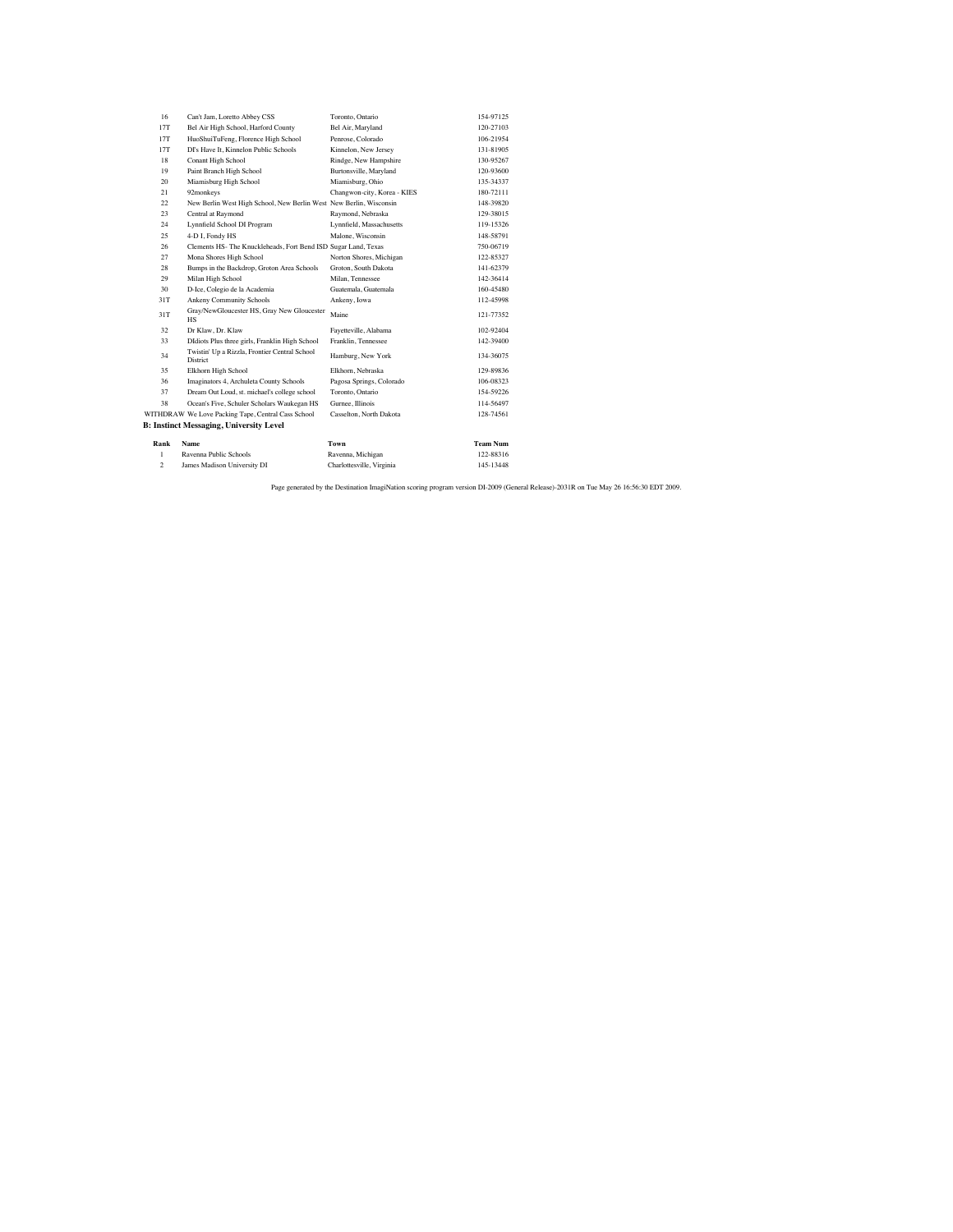| 1    | Ravenna Public Schools                                             | Ravenna, Michigan           | 122-88316       |
|------|--------------------------------------------------------------------|-----------------------------|-----------------|
| Rank | Name                                                               | Town                        | <b>Team Num</b> |
|      | <b>B: Instinct Messaging, University Level</b>                     |                             |                 |
|      | WITHDRAW We Love Packing Tape, Central Cass School                 | Casselton, North Dakota     | 128-74561       |
| 38   | Ocean's Five, Schuler Scholars Waukegan HS                         | Gurnee, Illinois            | 114-56497       |
| 37   | Dream Out Loud, st. michael's college school                       | Toronto, Ontario            | 154-59226       |
| 36   | Imaginators 4, Archuleta County Schools                            | Pagosa Springs, Colorado    | 106-08323       |
| 35   | Elkhorn High School                                                | Elkhorn, Nebraska           | 129-89836       |
| 34   | Twistin' Up a Rizzla, Frontier Central School<br>District          | Hamburg, New York           | 134-36075       |
| 33   | DIdiots Plus three girls, Franklin High School                     | Franklin, Tennessee         | 142-39400       |
| 32   | Dr Klaw, Dr. Klaw                                                  | Fayetteville, Alabama       | 102-92404       |
| 31T  | Gray/NewGloucester HS, Gray New Gloucester<br><b>HS</b>            | Maine                       | 121-77352       |
| 31T  | Ankeny Community Schools                                           | Ankeny, Iowa                | 112-45998       |
| 30   | D-Ice, Colegio de la Academia                                      | Guatemala, Guatemala        | 160-45480       |
| 29   | Milan High School                                                  | Milan, Tennessee            | 142-36414       |
| 28   | Bumps in the Backdrop, Groton Area Schools                         | Groton, South Dakota        | 141-62379       |
| 27   | Mona Shores High School                                            | Norton Shores, Michigan     | 122-85327       |
| 26   | Clements HS- The Knuckleheads, Fort Bend ISD Sugar Land, Texas     |                             | 750-06719       |
| 25   | 4-D I, Fondy HS                                                    | Malone, Wisconsin           | 148-58791       |
| 24   | Lynnfield School DI Program                                        | Lynnfield, Massachusetts    | 119-15326       |
| 23   | Central at Raymond                                                 | Raymond, Nebraska           | 129-38015       |
| 22   | New Berlin West High School, New Berlin West New Berlin, Wisconsin |                             | 148-39820       |
| 21   | 92monkeys                                                          | Changwon-city, Korea - KIES | 180-72111       |
| 20   | Miamisburg High School                                             | Miamisburg, Ohio            | 135-34337       |
| 19   | Paint Branch High School                                           | Burtonsville, Maryland      | 120-93600       |
| 18   | Conant High School                                                 | Rindge, New Hampshire       | 130-95267       |
| 17T  | DI's Have It. Kinnelon Public Schools                              | Kinnelon, New Jersey        | 131-81905       |
| 17T  | HuoShuiTuFeng, Florence High School                                | Penrose, Colorado           | 106-21954       |
| 17T  | Bel Air High School, Harford County                                | Bel Air, Maryland           | 120-27103       |
| 16   | Can't Jam, Loretto Abbey CSS                                       | Toronto, Ontario            | 154-97125       |

122-88316<br>Charlottesville, Virginia 145-13448 2 James Madison University DI